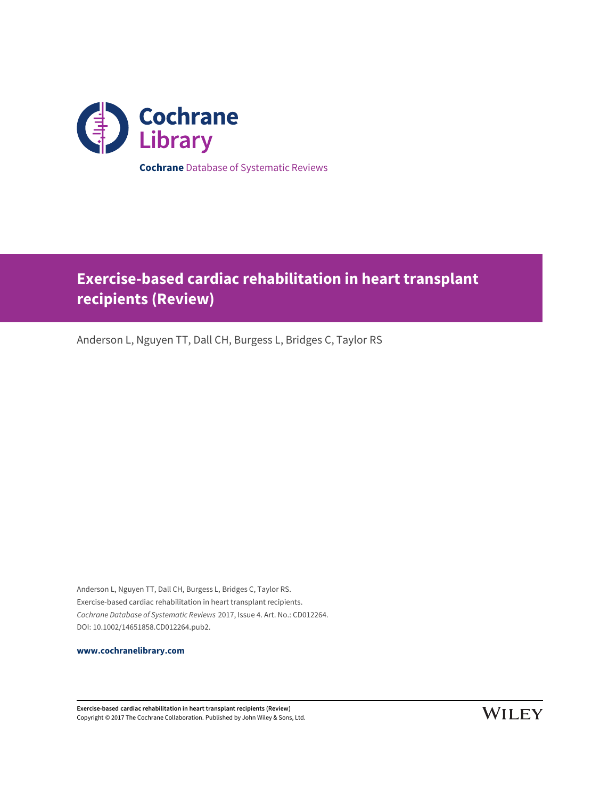

**Exercise-based cardiac rehabilitation in heart transplant recipients (Review)**

Anderson L, Nguyen TT, Dall CH, Burgess L, Bridges C, Taylor RS

Anderson L, Nguyen TT, Dall CH, Burgess L, Bridges C, Taylor RS. Exercise-based cardiac rehabilitation in heart transplant recipients. Cochrane Database of Systematic Reviews 2017, Issue 4. Art. No.: CD012264. DOI: 10.1002/14651858.CD012264.pub2.

**[www.cochranelibrary.com](http://www.cochranelibrary.com)**

**Exercise-based cardiac rehabilitation in heart transplant recipients (Review)** Copyright © 2017 The Cochrane Collaboration. Published by John Wiley & Sons, Ltd.

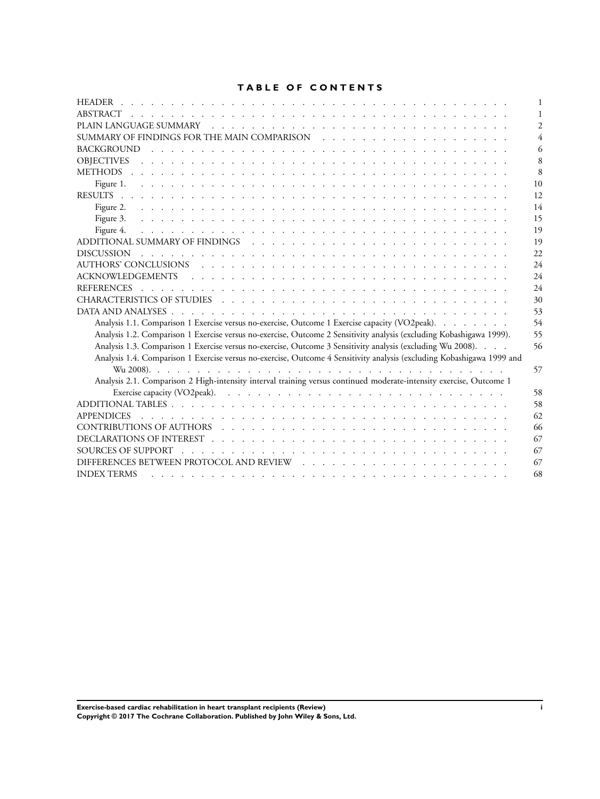# **TABLE OF CONTENTS**

| SUMMARY OF FINDINGS FOR THE MAIN COMPARISON (ed. a) and a contract the set of the contract of the set of the contract of the contract of the contract of the contract of the contract of the contract of the contract of the c                            |
|-----------------------------------------------------------------------------------------------------------------------------------------------------------------------------------------------------------------------------------------------------------|
|                                                                                                                                                                                                                                                           |
| <b>OBJECTIVES</b><br><u>. In the second contract of the second contract of the second contract of the second contract of the second contract of the second contract of the second contract of the second contract of the second contract of the secon</u> |
| 8                                                                                                                                                                                                                                                         |
| 10                                                                                                                                                                                                                                                        |
| 12                                                                                                                                                                                                                                                        |
| 14                                                                                                                                                                                                                                                        |
| 15                                                                                                                                                                                                                                                        |
| Figure 4.<br>19                                                                                                                                                                                                                                           |
| 19                                                                                                                                                                                                                                                        |
| 22<br><b>DISCUSSION</b><br>a constitution de la constitution de la constitution de la constitution de la constitution de la constitution                                                                                                                  |
| 24<br>AUTHORS' CONCLUSIONS (et al., et al., et al., et al., et al., et al., et al., et al., et al., et al., et al.,                                                                                                                                       |
| 24                                                                                                                                                                                                                                                        |
| <b>REFERENCES</b><br>24<br>and the contract of the contract of the contract of the contract of the contract of the contract of the contract of the contract of the contract of the contract of the contract of the contract of the contract of the contra |
| 30                                                                                                                                                                                                                                                        |
| 53                                                                                                                                                                                                                                                        |
| Analysis 1.1. Comparison 1 Exercise versus no-exercise, Outcome 1 Exercise capacity (VO2peak).<br>54                                                                                                                                                      |
| Analysis 1.2. Comparison 1 Exercise versus no-exercise, Outcome 2 Sensitivity analysis (excluding Kobashigawa 1999).<br>55                                                                                                                                |
| Analysis 1.3. Comparison 1 Exercise versus no-exercise, Outcome 3 Sensitivity analysis (excluding Wu 2008).<br>56                                                                                                                                         |
| Analysis 1.4. Comparison 1 Exercise versus no-exercise, Outcome 4 Sensitivity analysis (excluding Kobashigawa 1999 and                                                                                                                                    |
| 57                                                                                                                                                                                                                                                        |
| Analysis 2.1. Comparison 2 High-intensity interval training versus continued moderate-intensity exercise, Outcome 1                                                                                                                                       |
| 58                                                                                                                                                                                                                                                        |
| 58                                                                                                                                                                                                                                                        |
| 62<br><b>APPENDICES</b><br><u>. 1991 - 1992 - 1993 - 1994 - 1995 - 1996 - 1997 - 1998 - 1999 - 1994 - 1995 - 1996 - 1997 - 1998 - 1999 - 19</u>                                                                                                           |
| CONTRIBUTIONS OF AUTHORS (experience and experience and experience and experience and experience and the experience and experience and the experience and experience and experience and experience and experience and the expe<br>66                      |
| 67                                                                                                                                                                                                                                                        |
| <b>SOURCES OF SUPPORT</b><br>67<br>the contract of the contract of the contract of the contract of the contract of the contract of the contract of                                                                                                        |
| 67                                                                                                                                                                                                                                                        |
| <b>INDEX TERMS</b><br>68                                                                                                                                                                                                                                  |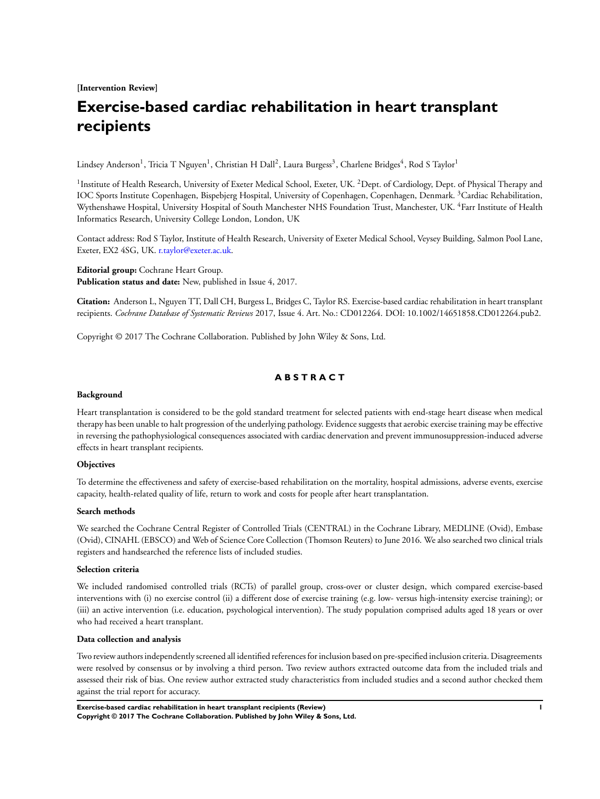**[Intervention Review]**

# **Exercise-based cardiac rehabilitation in heart transplant recipients**

Lindsey Anderson<sup>1</sup>, Tricia T Nguyen<sup>1</sup>, Christian H Dall<sup>2</sup>, Laura Burgess<sup>3</sup>, Charlene Bridges<sup>4</sup>, Rod S Taylor<sup>1</sup>

<sup>1</sup> Institute of Health Research, University of Exeter Medical School, Exeter, UK. <sup>2</sup> Dept. of Cardiology, Dept. of Physical Therapy and IOC Sports Institute Copenhagen, Bispebjerg Hospital, University of Copenhagen, Copenhagen, Denmark. <sup>3</sup>Cardiac Rehabilitation, Wythenshawe Hospital, University Hospital of South Manchester NHS Foundation Trust, Manchester, UK. <sup>4</sup>Farr Institute of Health Informatics Research, University College London, London, UK

Contact address: Rod S Taylor, Institute of Health Research, University of Exeter Medical School, Veysey Building, Salmon Pool Lane, Exeter, EX2 4SG, UK. [r.taylor@exeter.ac.uk](mailto:r.taylor@exeter.ac.uk).

**Editorial group:** Cochrane Heart Group. **Publication status and date:** New, published in Issue 4, 2017.

**Citation:** Anderson L, Nguyen TT, Dall CH, Burgess L, Bridges C, Taylor RS. Exercise-based cardiac rehabilitation in heart transplant recipients. *Cochrane Database of Systematic Reviews* 2017, Issue 4. Art. No.: CD012264. DOI: 10.1002/14651858.CD012264.pub2.

Copyright © 2017 The Cochrane Collaboration. Published by John Wiley & Sons, Ltd.

# **A B S T R A C T**

#### **Background**

Heart transplantation is considered to be the gold standard treatment for selected patients with end-stage heart disease when medical therapy has been unable to halt progression of the underlying pathology. Evidence suggests that aerobic exercise training may be effective in reversing the pathophysiological consequences associated with cardiac denervation and prevent immunosuppression-induced adverse effects in heart transplant recipients.

#### **Objectives**

To determine the effectiveness and safety of exercise-based rehabilitation on the mortality, hospital admissions, adverse events, exercise capacity, health-related quality of life, return to work and costs for people after heart transplantation.

#### **Search methods**

We searched the Cochrane Central Register of Controlled Trials (CENTRAL) in the Cochrane Library, MEDLINE (Ovid), Embase (Ovid), CINAHL (EBSCO) and Web of Science Core Collection (Thomson Reuters) to June 2016. We also searched two clinical trials registers and handsearched the reference lists of included studies.

#### **Selection criteria**

We included randomised controlled trials (RCTs) of parallel group, cross-over or cluster design, which compared exercise-based interventions with (i) no exercise control (ii) a different dose of exercise training (e.g. low- versus high-intensity exercise training); or (iii) an active intervention (i.e. education, psychological intervention). The study population comprised adults aged 18 years or over who had received a heart transplant.

#### **Data collection and analysis**

Two review authors independently screened all identified references for inclusion based on pre-specified inclusion criteria. Disagreements were resolved by consensus or by involving a third person. Two review authors extracted outcome data from the included trials and assessed their risk of bias. One review author extracted study characteristics from included studies and a second author checked them against the trial report for accuracy.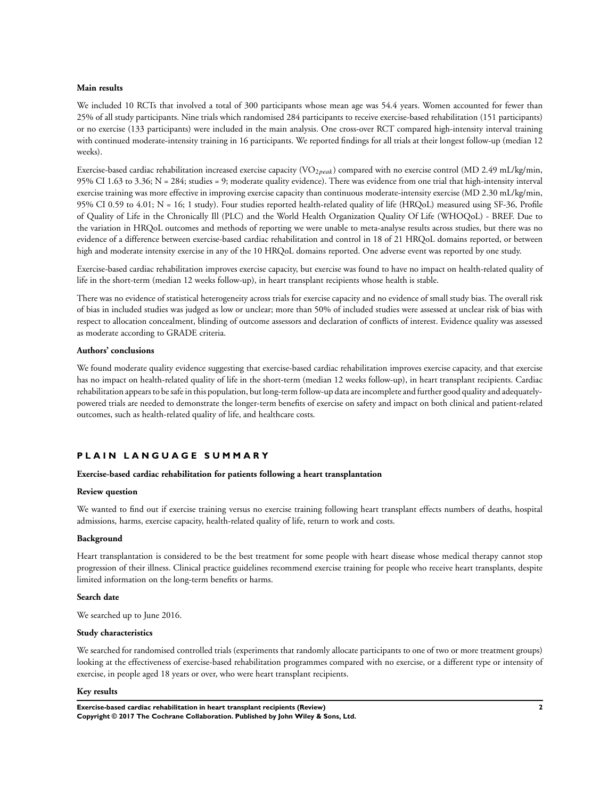### **Main results**

We included 10 RCTs that involved a total of 300 participants whose mean age was 54.4 years. Women accounted for fewer than 25% of all study participants. Nine trials which randomised 284 participants to receive exercise-based rehabilitation (151 participants) or no exercise (133 participants) were included in the main analysis. One cross-over RCT compared high-intensity interval training with continued moderate-intensity training in 16 participants. We reported findings for all trials at their longest follow-up (median 12 weeks).

Exercise-based cardiac rehabilitation increased exercise capacity (VO<sub>2peak</sub>) compared with no exercise control (MD 2.49 mL/kg/min, 95% CI 1.63 to 3.36; N = 284; studies = 9; moderate quality evidence). There was evidence from one trial that high-intensity interval exercise training was more effective in improving exercise capacity than continuous moderate-intensity exercise (MD 2.30 mL/kg/min, 95% CI 0.59 to  $4.01$ ; N = 16; 1 study). Four studies reported health-related quality of life (HRQoL) measured using SF-36, Profile of Quality of Life in the Chronically Ill (PLC) and the World Health Organization Quality Of Life (WHOQoL) - BREF. Due to the variation in HRQoL outcomes and methods of reporting we were unable to meta-analyse results across studies, but there was no evidence of a difference between exercise-based cardiac rehabilitation and control in 18 of 21 HRQoL domains reported, or between high and moderate intensity exercise in any of the 10 HRQoL domains reported. One adverse event was reported by one study.

Exercise-based cardiac rehabilitation improves exercise capacity, but exercise was found to have no impact on health-related quality of life in the short-term (median 12 weeks follow-up), in heart transplant recipients whose health is stable.

There was no evidence of statistical heterogeneity across trials for exercise capacity and no evidence of small study bias. The overall risk of bias in included studies was judged as low or unclear; more than 50% of included studies were assessed at unclear risk of bias with respect to allocation concealment, blinding of outcome assessors and declaration of conflicts of interest. Evidence quality was assessed as moderate according to GRADE criteria.

#### **Authors' conclusions**

We found moderate quality evidence suggesting that exercise-based cardiac rehabilitation improves exercise capacity, and that exercise has no impact on health-related quality of life in the short-term (median 12 weeks follow-up), in heart transplant recipients. Cardiac rehabilitation appears to be safe in this population, but long-term follow-up data are incomplete and further good quality and adequatelypowered trials are needed to demonstrate the longer-term benefits of exercise on safety and impact on both clinical and patient-related outcomes, such as health-related quality of life, and healthcare costs.

# **P L A I N L A N G U A G E S U M M A R Y**

#### **Exercise-based cardiac rehabilitation for patients following a heart transplantation**

#### **Review question**

We wanted to find out if exercise training versus no exercise training following heart transplant effects numbers of deaths, hospital admissions, harms, exercise capacity, health-related quality of life, return to work and costs.

### **Background**

Heart transplantation is considered to be the best treatment for some people with heart disease whose medical therapy cannot stop progression of their illness. Clinical practice guidelines recommend exercise training for people who receive heart transplants, despite limited information on the long-term benefits or harms.

#### **Search date**

We searched up to June 2016.

#### **Study characteristics**

We searched for randomised controlled trials (experiments that randomly allocate participants to one of two or more treatment groups) looking at the effectiveness of exercise-based rehabilitation programmes compared with no exercise, or a different type or intensity of exercise, in people aged 18 years or over, who were heart transplant recipients.

#### **Key results**

**Exercise-based cardiac rehabilitation in heart transplant recipients (Review) 2 Copyright © 2017 The Cochrane Collaboration. Published by John Wiley & Sons, Ltd.**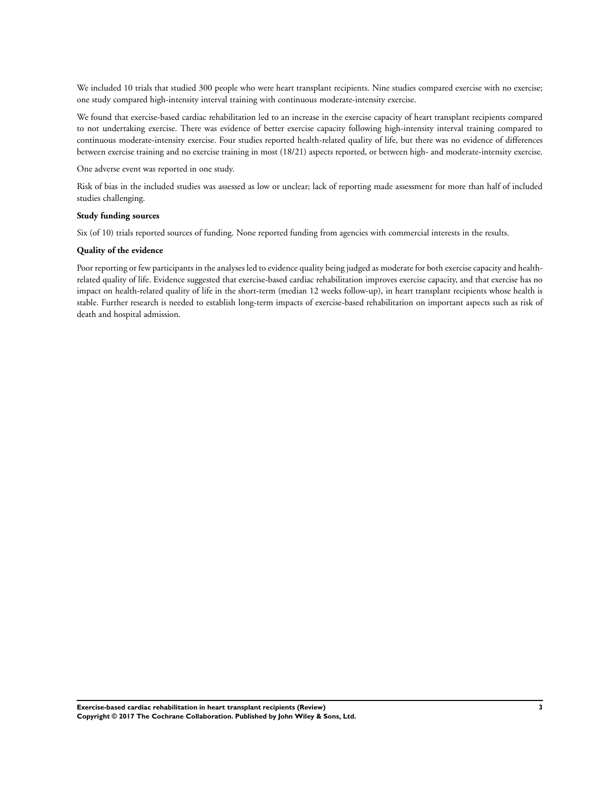We included 10 trials that studied 300 people who were heart transplant recipients. Nine studies compared exercise with no exercise; one study compared high-intensity interval training with continuous moderate-intensity exercise.

We found that exercise-based cardiac rehabilitation led to an increase in the exercise capacity of heart transplant recipients compared to not undertaking exercise. There was evidence of better exercise capacity following high-intensity interval training compared to continuous moderate-intensity exercise. Four studies reported health-related quality of life, but there was no evidence of differences between exercise training and no exercise training in most (18/21) aspects reported, or between high- and moderate-intensity exercise.

One adverse event was reported in one study.

Risk of bias in the included studies was assessed as low or unclear; lack of reporting made assessment for more than half of included studies challenging.

### **Study funding sources**

Six (of 10) trials reported sources of funding. None reported funding from agencies with commercial interests in the results.

#### **Quality of the evidence**

Poor reporting or few participants in the analyses led to evidence quality being judged as moderate for both exercise capacity and healthrelated quality of life. Evidence suggested that exercise-based cardiac rehabilitation improves exercise capacity, and that exercise has no impact on health-related quality of life in the short-term (median 12 weeks follow-up), in heart transplant recipients whose health is stable. Further research is needed to establish long-term impacts of exercise-based rehabilitation on important aspects such as risk of death and hospital admission.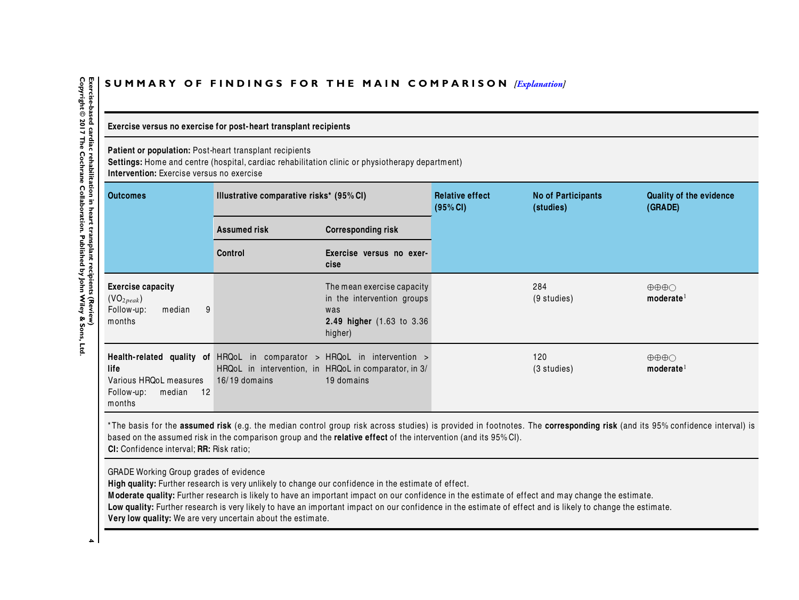# <span id="page-5-0"></span>SUMMARY OF FINDINGS FOR THE MAIN COMPARISON *[\[Explanation\]](http://www.thecochranelibrary.com/view/0/SummaryFindings.html)*

# **Exercise versus no exercise for post- heart transplant recipients**

**Patient or population:** Post-heart transplant recipients

**Settings:** Home and centre (hospital, cardiac rehabilitation clinic or physiotherapy department)

**Intervention:** Exercise versus no exercise

| <b>Outcomes</b>                                                                           | Illustrative comparative risks* (95% CI)                                                                                                           |                                                                                                         | <b>Relative effect</b><br>$(95\% \, \text{Cl})$ | No of Participants<br>(studies) | Quality of the evidence<br>(GRADE)                       |
|-------------------------------------------------------------------------------------------|----------------------------------------------------------------------------------------------------------------------------------------------------|---------------------------------------------------------------------------------------------------------|-------------------------------------------------|---------------------------------|----------------------------------------------------------|
|                                                                                           | <b>Assumed risk</b>                                                                                                                                | <b>Corresponding risk</b>                                                                               |                                                 |                                 |                                                          |
|                                                                                           | <b>Control</b>                                                                                                                                     | Exercise versus no exer-<br><b>cise</b>                                                                 |                                                 |                                 |                                                          |
| <b>Exercise capacity</b><br>$(VO_{2\text{peak}})$<br>-9<br>Follow-up:<br>median<br>months |                                                                                                                                                    | The mean exercise capacity<br>in the intervention groups<br>was<br>2.49 higher (1.63 to 3.36<br>higher) |                                                 | 284<br>(9 studies)              | $\oplus \oplus \oplus \bigcirc$<br>moderate <sup>1</sup> |
| life<br>Various HRQoL measures<br>Follow-up:<br>12<br>median<br>months                    | Health-related quality of HRQoL in comparator > HRQoL in intervention ><br>HRQoL in intervention, in HRQoL in comparator, in 3/<br>$16/19$ domains | 19 domains                                                                                              |                                                 | 120<br>(3 studies)              | $\oplus \oplus \oplus \bigcirc$<br>moderate <sup>1</sup> |

\* The basis for the **assumed risk** (e.g. the median control group risk across studies) is provided in footnotes. The **corresponding risk** (and its 95% conf idence interval) is based on the assumed risk in the comparison group and the **relative effect** of the intervention (and its 95% CI). **CI:** Conf idence interval; **RR:** Risk ratio;

GRADE Working Group grades of evidence

High quality: Further research is very unlikely to change our confidence in the estimate of effect.

Moderate quality: Further research is likely to have an important impact on our confidence in the estimate of effect and may change the estimate.

Low quality: Further research is very likely to have an important impact on our confidence in the estimate of effect and is likely to change the estimate.

**Very low quality:** We are very uncertain about the estimate.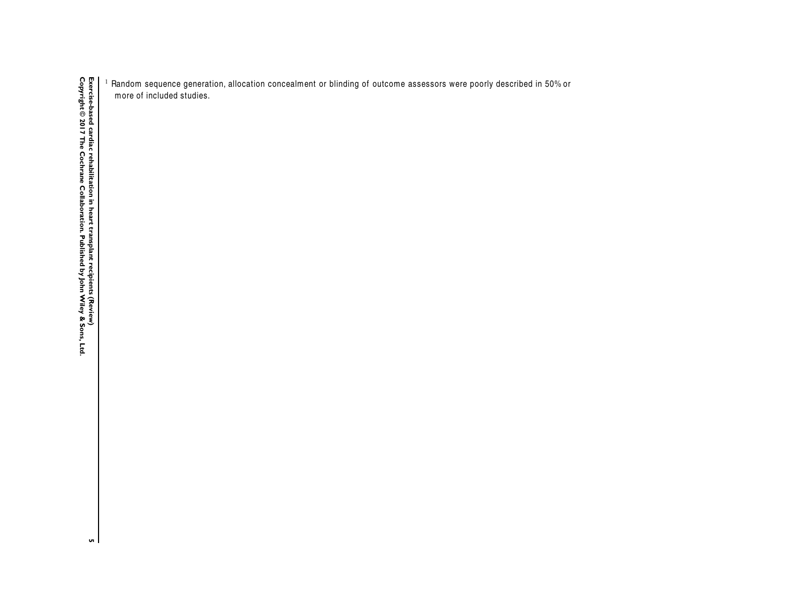| $^{\rm 1}$ Random sequence generation, allocation concealment or blinding of outcome assessors were poorly described in 50% or |  |  |  |
|--------------------------------------------------------------------------------------------------------------------------------|--|--|--|
| more of included studies.                                                                                                      |  |  |  |

Exercise-based cardiac rehabilitation in heart transplant recipients (Review)<br>Copyright © 2017 The Cochrane Collaboration. Published by John Wiley & Sons, Ltd. **Copyright © 2017 The Cochrane Collaboration. Published by John Wiley & Sons, Ltd.Exercise-based cardiac rehabilitation in heart transplant recipients (Review)**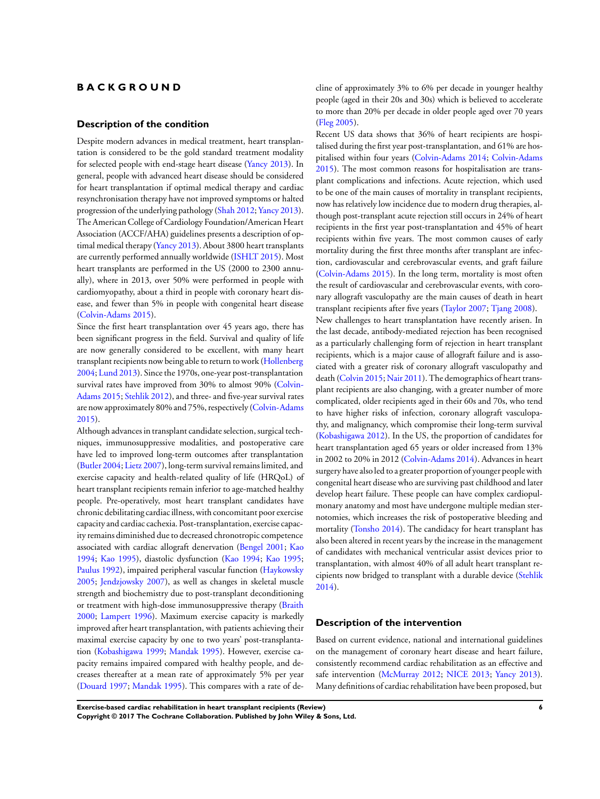# **B A C K G R O U N D**

#### **Description of the condition**

Despite modern advances in medical treatment, heart transplantation is considered to be the gold standard treatment modality for selected people with end-stage heart disease [\(Yancy 2013\)](#page-25-0). In general, people with advanced heart disease should be considered for heart transplantation if optimal medical therapy and cardiac resynchronisation therapy have not improved symptoms or halted progression of the underlying pathology ([Shah 2012;](#page-25-0) [Yancy 2013](#page-25-0)). The American College of Cardiology Foundation/American Heart Association (ACCF/AHA) guidelines presents a description of optimal medical therapy ([Yancy 2013\)](#page-25-0). About 3800 heart transplants are currently performed annually worldwide ([ISHLT 2015](#page-25-0)). Most heart transplants are performed in the US (2000 to 2300 annually), where in 2013, over 50% were performed in people with cardiomyopathy, about a third in people with coronary heart disease, and fewer than 5% in people with congenital heart disease [\(Colvin-Adams 2015\)](#page-25-0).

Since the first heart transplantation over 45 years ago, there has been significant progress in the field. Survival and quality of life are now generally considered to be excellent, with many heart transplant recipients now being able to return to work [\(Hollenberg](#page-25-0) [2004](#page-25-0); [Lund 2013](#page-25-0)). Since the 1970s, one-year post-transplantation survival rates have improved from 30% to almost 90% ([Colvin-](#page-25-0)[Adams 2015;](#page-25-0) [Stehlik 2012\)](#page-25-0), and three- and five-year survival rates are now approximately 80% and 75%, respectively [\(Colvin-Adams](#page-25-0) [2015](#page-25-0)).

Although advances in transplant candidate selection, surgical techniques, immunosuppressive modalities, and postoperative care have led to improved long-term outcomes after transplantation [\(Butler 2004](#page-25-0); [Lietz 2007](#page-25-0)), long-term survival remains limited, and exercise capacity and health-related quality of life (HRQoL) of heart transplant recipients remain inferior to age-matched healthy people. Pre-operatively, most heart transplant candidates have chronic debilitating cardiac illness, with concomitant poor exercise capacity and cardiac cachexia. Post-transplantation, exercise capacity remains diminished due to decreased chronotropic competence associated with cardiac allograft denervation [\(Bengel 2001](#page-25-0); [Kao](#page-25-0) [1994](#page-25-0); [Kao 1995](#page-25-0)), diastolic dysfunction ([Kao 1994](#page-25-0); [Kao 1995;](#page-25-0) [Paulus 1992\)](#page-25-0), impaired peripheral vascular function ([Haykowsky](#page-25-0) [2005](#page-25-0); [Jendzjowsky 2007\)](#page-25-0), as well as changes in skeletal muscle strength and biochemistry due to post-transplant deconditioning or treatment with high-dose immunosuppressive therapy [\(Braith](#page-25-0) [2000](#page-25-0); [Lampert 1996\)](#page-25-0). Maximum exercise capacity is markedly improved after heart transplantation, with patients achieving their maximal exercise capacity by one to two years' post-transplantation [\(Kobashigawa 1999;](#page-25-0) [Mandak 1995\)](#page-25-0). However, exercise capacity remains impaired compared with healthy people, and decreases thereafter at a mean rate of approximately 5% per year [\(Douard 1997](#page-25-0); [Mandak 1995\)](#page-25-0). This compares with a rate of decline of approximately 3% to 6% per decade in younger healthy people (aged in their 20s and 30s) which is believed to accelerate to more than 20% per decade in older people aged over 70 years [\(Fleg 2005\)](#page-25-0).

Recent US data shows that 36% of heart recipients are hospitalised during the first year post-transplantation, and 61% are hospitalised within four years [\(Colvin-Adams 2014;](#page-25-0) [Colvin-Adams](#page-25-0) [2015](#page-25-0)). The most common reasons for hospitalisation are transplant complications and infections. Acute rejection, which used to be one of the main causes of mortality in transplant recipients, now has relatively low incidence due to modern drug therapies, although post-transplant acute rejection still occurs in 24% of heart recipients in the first year post-transplantation and 45% of heart recipients within five years. The most common causes of early mortality during the first three months after transplant are infection, cardiovascular and cerebrovascular events, and graft failure [\(Colvin-Adams 2015](#page-25-0)). In the long term, mortality is most often the result of cardiovascular and cerebrovascular events, with coronary allograft vasculopathy are the main causes of death in heart transplant recipients after five years [\(Taylor 2007;](#page-25-0) [Tjang 2008\)](#page-25-0).

New challenges to heart transplantation have recently arisen. In the last decade, antibody-mediated rejection has been recognised as a particularly challenging form of rejection in heart transplant recipients, which is a major cause of allograft failure and is associated with a greater risk of coronary allograft vasculopathy and death ([Colvin 2015;](#page-25-0) [Nair 2011\)](#page-25-0). The demographics of heart transplant recipients are also changing, with a greater number of more complicated, older recipients aged in their 60s and 70s, who tend to have higher risks of infection, coronary allograft vasculopathy, and malignancy, which compromise their long-term survival [\(Kobashigawa 2012\)](#page-25-0). In the US, the proportion of candidates for heart transplantation aged 65 years or older increased from 13% in 2002 to 20% in 2012 ([Colvin-Adams 2014\)](#page-25-0). Advances in heart surgery have also led to a greater proportion of younger people with congenital heart disease who are surviving past childhood and later develop heart failure. These people can have complex cardiopulmonary anatomy and most have undergone multiple median sternotomies, which increases the risk of postoperative bleeding and mortality ([Tonsho 2014\)](#page-25-0). The candidacy for heart transplant has also been altered in recent years by the increase in the management of candidates with mechanical ventricular assist devices prior to transplantation, with almost 40% of all adult heart transplant recipients now bridged to transplant with a durable device [\(Stehlik](#page-25-0) [2014](#page-25-0)).

### **Description of the intervention**

Based on current evidence, national and international guidelines on the management of coronary heart disease and heart failure, consistently recommend cardiac rehabilitation as an effective and safe intervention [\(McMurray 2012](#page-25-0); [NICE 2013;](#page-25-0) [Yancy 2013](#page-25-0)). Many definitions of cardiac rehabilitation have been proposed, but

**Exercise-based cardiac rehabilitation in heart transplant recipients (Review) 6 Copyright © 2017 The Cochrane Collaboration. Published by John Wiley & Sons, Ltd.**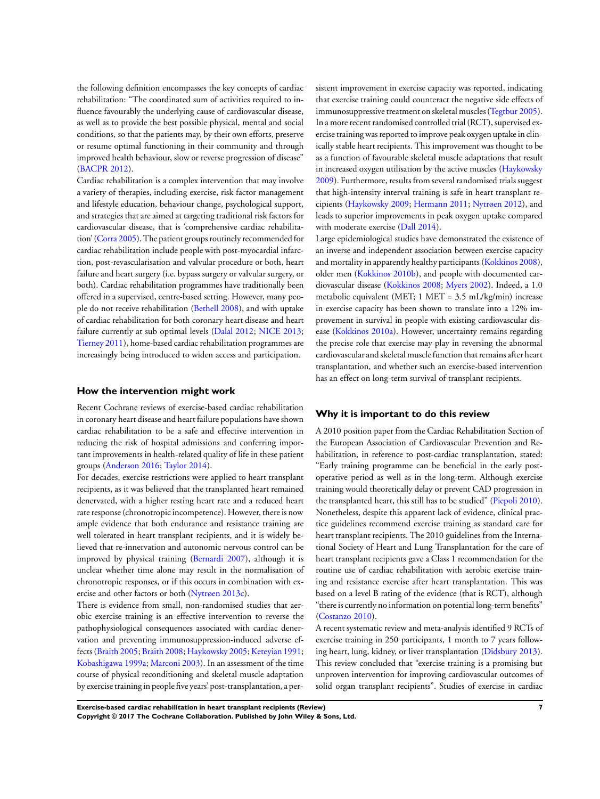the following definition encompasses the key concepts of cardiac rehabilitation: "The coordinated sum of activities required to influence favourably the underlying cause of cardiovascular disease, as well as to provide the best possible physical, mental and social conditions, so that the patients may, by their own efforts, preserve or resume optimal functioning in their community and through improved health behaviour, slow or reverse progression of disease" [\(BACPR 2012](#page-25-0)).

Cardiac rehabilitation is a complex intervention that may involve a variety of therapies, including exercise, risk factor management and lifestyle education, behaviour change, psychological support, and strategies that are aimed at targeting traditional risk factors for cardiovascular disease, that is 'comprehensive cardiac rehabilita-tion' ([Corra 2005\)](#page-25-0). The patient groups routinely recommended for cardiac rehabilitation include people with post-myocardial infarction, post-revascularisation and valvular procedure or both, heart failure and heart surgery (i.e. bypass surgery or valvular surgery, or both). Cardiac rehabilitation programmes have traditionally been offered in a supervised, centre-based setting. However, many people do not receive rehabilitation [\(Bethell 2008\)](#page-25-0), and with uptake of cardiac rehabilitation for both coronary heart disease and heart failure currently at sub optimal levels [\(Dalal 2012;](#page-25-0) [NICE 2013;](#page-25-0) [Tierney 2011](#page-25-0)), home-based cardiac rehabilitation programmes are increasingly being introduced to widen access and participation.

#### **How the intervention might work**

Recent Cochrane reviews of exercise-based cardiac rehabilitation in coronary heart disease and heart failure populations have shown cardiac rehabilitation to be a safe and effective intervention in reducing the risk of hospital admissions and conferring important improvements in health-related quality of life in these patient groups ([Anderson 2016](#page-25-0); [Taylor 2014](#page-25-0)).

For decades, exercise restrictions were applied to heart transplant recipients, as it was believed that the transplanted heart remained denervated, with a higher resting heart rate and a reduced heart rate response (chronotropic incompetence). However, there is now ample evidence that both endurance and resistance training are well tolerated in heart transplant recipients, and it is widely believed that re-innervation and autonomic nervous control can be improved by physical training [\(Bernardi 2007](#page-25-0)), although it is unclear whether time alone may result in the normalisation of chronotropic responses, or if this occurs in combination with exercise and other factors or both [\(Nytrøen 2013c](#page-25-0)).

There is evidence from small, non-randomised studies that aerobic exercise training is an effective intervention to reverse the pathophysiological consequences associated with cardiac denervation and preventing immunosuppression-induced adverse ef-fects ([Braith 2005](#page-25-0); [Braith 2008;](#page-25-0) [Haykowsky 2005](#page-25-0); [Keteyian 1991;](#page-25-0) [Kobashigawa 1999a](#page-25-0); [Marconi 2003\)](#page-25-0). In an assessment of the time course of physical reconditioning and skeletal muscle adaptation by exercise training in people five years' post-transplantation, a persistent improvement in exercise capacity was reported, indicating that exercise training could counteract the negative side effects of immunosuppressive treatment on skeletal muscles [\(Tegtbur 2005](#page-25-0)). In a more recent randomised controlled trial (RCT), supervised exercise training was reported to improve peak oxygen uptake in clinically stable heart recipients. This improvement was thought to be as a function of favourable skeletal muscle adaptations that result in increased oxygen utilisation by the active muscles ([Haykowsky](#page-25-0) [2009](#page-25-0)). Furthermore, results from several randomised trials suggest that high-intensity interval training is safe in heart transplant recipients ([Haykowsky 2009;](#page-25-0) [Hermann 2011](#page-25-0); [Nytrøen 2012\)](#page-25-0), and leads to superior improvements in peak oxygen uptake compared with moderate exercise [\(Dall 2014\)](#page-25-0).

Large epidemiological studies have demonstrated the existence of an inverse and independent association between exercise capacity and mortality in apparently healthy participants [\(Kokkinos 2008](#page-25-0)), older men [\(Kokkinos 2010b](#page-25-0)), and people with documented cardiovascular disease [\(Kokkinos 2008](#page-25-0); [Myers 2002](#page-25-0)). Indeed, a 1.0 metabolic equivalent (MET; 1 MET = 3.5 mL/kg/min) increase in exercise capacity has been shown to translate into a 12% improvement in survival in people with existing cardiovascular disease [\(Kokkinos 2010a](#page-25-0)). However, uncertainty remains regarding the precise role that exercise may play in reversing the abnormal cardiovascular and skeletal muscle function that remains after heart transplantation, and whether such an exercise-based intervention has an effect on long-term survival of transplant recipients.

### **Why it is important to do this review**

A 2010 position paper from the Cardiac Rehabilitation Section of the European Association of Cardiovascular Prevention and Rehabilitation, in reference to post-cardiac transplantation, stated: "Early training programme can be beneficial in the early postoperative period as well as in the long-term. Although exercise training would theoretically delay or prevent CAD progression in the transplanted heart, this still has to be studied" ([Piepoli 2010](#page-25-0)). Nonetheless, despite this apparent lack of evidence, clinical practice guidelines recommend exercise training as standard care for heart transplant recipients. The 2010 guidelines from the International Society of Heart and Lung Transplantation for the care of heart transplant recipients gave a Class 1 recommendation for the routine use of cardiac rehabilitation with aerobic exercise training and resistance exercise after heart transplantation. This was based on a level B rating of the evidence (that is RCT), although "there is currently no information on potential long-term benefits" [\(Costanzo 2010\)](#page-25-0).

A recent systematic review and meta-analysis identified 9 RCTs of exercise training in 250 participants, 1 month to 7 years following heart, lung, kidney, or liver transplantation ([Didsbury 2013](#page-25-0)). This review concluded that "exercise training is a promising but unproven intervention for improving cardiovascular outcomes of solid organ transplant recipients". Studies of exercise in cardiac

**Exercise-based cardiac rehabilitation in heart transplant recipients (Review) 7 Copyright © 2017 The Cochrane Collaboration. Published by John Wiley & Sons, Ltd.**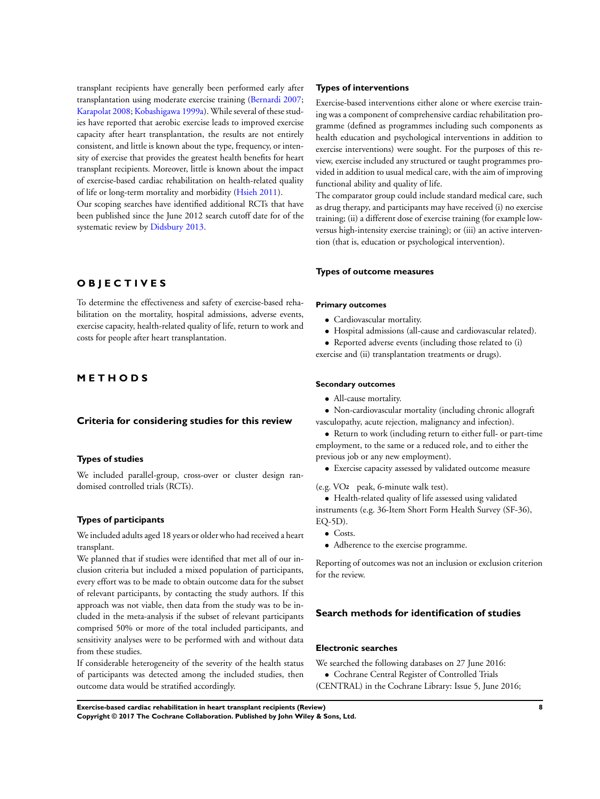transplant recipients have generally been performed early after transplantation using moderate exercise training ([Bernardi 2007;](#page-25-0) [Karapolat 2008;](#page-25-0) [Kobashigawa 1999a](#page-25-0)). While several of these studies have reported that aerobic exercise leads to improved exercise capacity after heart transplantation, the results are not entirely consistent, and little is known about the type, frequency, or intensity of exercise that provides the greatest health benefits for heart transplant recipients. Moreover, little is known about the impact of exercise-based cardiac rehabilitation on health-related quality of life or long-term mortality and morbidity [\(Hsieh 2011](#page-25-0)).

Our scoping searches have identified additional RCTs that have been published since the June 2012 search cutoff date for of the systematic review by [Didsbury 2013](#page-25-0).

# **O B J E C T I V E S**

To determine the effectiveness and safety of exercise-based rehabilitation on the mortality, hospital admissions, adverse events, exercise capacity, health-related quality of life, return to work and costs for people after heart transplantation.

# **M E T H O D S**

# **Criteria for considering studies for this review**

### **Types of studies**

We included parallel-group, cross-over or cluster design randomised controlled trials (RCTs).

#### **Types of participants**

We included adults aged 18 years or older who had received a heart transplant.

We planned that if studies were identified that met all of our inclusion criteria but included a mixed population of participants, every effort was to be made to obtain outcome data for the subset of relevant participants, by contacting the study authors. If this approach was not viable, then data from the study was to be included in the meta-analysis if the subset of relevant participants comprised 50% or more of the total included participants, and sensitivity analyses were to be performed with and without data from these studies.

If considerable heterogeneity of the severity of the health status of participants was detected among the included studies, then outcome data would be stratified accordingly.

### **Types of interventions**

Exercise-based interventions either alone or where exercise training was a component of comprehensive cardiac rehabilitation programme (defined as programmes including such components as health education and psychological interventions in addition to exercise interventions) were sought. For the purposes of this review, exercise included any structured or taught programmes provided in addition to usual medical care, with the aim of improving functional ability and quality of life.

The comparator group could include standard medical care, such as drug therapy, and participants may have received (i) no exercise training; (ii) a different dose of exercise training (for example lowversus high-intensity exercise training); or (iii) an active intervention (that is, education or psychological intervention).

#### **Types of outcome measures**

### **Primary outcomes**

- Cardiovascular mortality.
- Hospital admissions (all-cause and cardiovascular related).

• Reported adverse events (including those related to (i) exercise and (ii) transplantation treatments or drugs).

### **Secondary outcomes**

• All-cause mortality.

• Non-cardiovascular mortality (including chronic allograft vasculopathy, acute rejection, malignancy and infection).

• Return to work (including return to either full- or part-time employment, to the same or a reduced role, and to either the previous job or any new employment).

• Exercise capacity assessed by validated outcome measure

(e.g. VO<sup>2</sup> peak, 6-minute walk test).

• Health-related quality of life assessed using validated instruments (e.g. 36-Item Short Form Health Survey (SF-36), EQ-5D).

• Costs.

• Adherence to the exercise programme.

Reporting of outcomes was not an inclusion or exclusion criterion for the review.

### **Search methods for identification of studies**

### **Electronic searches**

We searched the following databases on 27 June 2016:

• Cochrane Central Register of Controlled Trials

(CENTRAL) in the Cochrane Library: Issue 5, June 2016;

**Exercise-based cardiac rehabilitation in heart transplant recipients (Review) 8 Copyright © 2017 The Cochrane Collaboration. Published by John Wiley & Sons, Ltd.**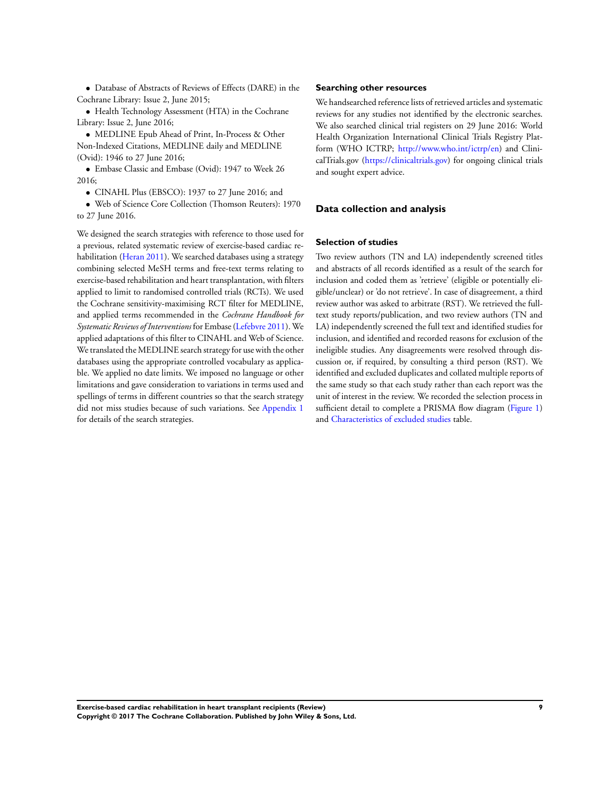• Database of Abstracts of Reviews of Effects (DARE) in the Cochrane Library: Issue 2, June 2015;

• Health Technology Assessment (HTA) in the Cochrane Library: Issue 2, June 2016;

• MEDLINE Epub Ahead of Print, In-Process & Other Non-Indexed Citations, MEDLINE daily and MEDLINE (Ovid): 1946 to 27 June 2016;

• Embase Classic and Embase (Ovid): 1947 to Week 26 2016;

• CINAHL Plus (EBSCO): 1937 to 27 June 2016; and

• Web of Science Core Collection (Thomson Reuters): 1970 to 27 June 2016.

We designed the search strategies with reference to those used for a previous, related systematic review of exercise-based cardiac rehabilitation [\(Heran 2011\)](#page-25-0). We searched databases using a strategy combining selected MeSH terms and free-text terms relating to exercise-based rehabilitation and heart transplantation, with filters applied to limit to randomised controlled trials (RCTs). We used the Cochrane sensitivity-maximising RCT filter for MEDLINE, and applied terms recommended in the *Cochrane Handbook for Systematic Reviews of Interventions* for Embase ([Lefebvre 2011](#page-25-0)). We applied adaptations of this filter to CINAHL and Web of Science. We translated the MEDLINE search strategy for use with the other databases using the appropriate controlled vocabulary as applicable. We applied no date limits. We imposed no language or other limitations and gave consideration to variations in terms used and spellings of terms in different countries so that the search strategy did not miss studies because of such variations. See [Appendix 1](#page-63-0) for details of the search strategies.

#### **Searching other resources**

We handsearched reference lists of retrieved articles and systematic reviews for any studies not identified by the electronic searches. We also searched clinical trial registers on 29 June 2016: World Health Organization International Clinical Trials Registry Platform (WHO ICTRP; <http://www.who.int/ictrp/en>) and ClinicalTrials.gov ([https://clinicaltrials.gov\)](https://clinicaltrials.gov) for ongoing clinical trials and sought expert advice.

### **Data collection and analysis**

#### **Selection of studies**

Two review authors (TN and LA) independently screened titles and abstracts of all records identified as a result of the search for inclusion and coded them as 'retrieve' (eligible or potentially eligible/unclear) or 'do not retrieve'. In case of disagreement, a third review author was asked to arbitrate (RST). We retrieved the fulltext study reports/publication, and two review authors (TN and LA) independently screened the full text and identified studies for inclusion, and identified and recorded reasons for exclusion of the ineligible studies. Any disagreements were resolved through discussion or, if required, by consulting a third person (RST). We identified and excluded duplicates and collated multiple reports of the same study so that each study rather than each report was the unit of interest in the review. We recorded the selection process in sufficient detail to complete a PRISMA flow diagram [\(Figure 1](#page-11-0)) and [Characteristics of excluded studies](#page-49-0) table.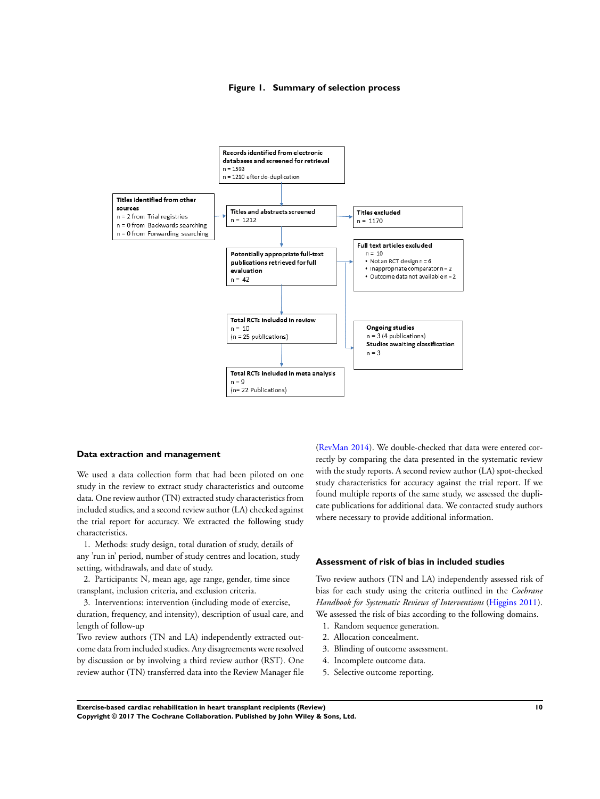#### **Figure 1. Summary of selection process**

<span id="page-11-0"></span>

#### **Data extraction and management**

We used a data collection form that had been piloted on one study in the review to extract study characteristics and outcome data. One review author (TN) extracted study characteristics from included studies, and a second review author (LA) checked against the trial report for accuracy. We extracted the following study characteristics.

1. Methods: study design, total duration of study, details of any 'run in' period, number of study centres and location, study setting, withdrawals, and date of study.

2. Participants: N, mean age, age range, gender, time since transplant, inclusion criteria, and exclusion criteria.

3. Interventions: intervention (including mode of exercise,

duration, frequency, and intensity), description of usual care, and length of follow-up

Two review authors (TN and LA) independently extracted outcome data from included studies. Any disagreements were resolved by discussion or by involving a third review author (RST). One review author (TN) transferred data into the Review Manager file

[\(RevMan 2014](#page-25-0)). We double-checked that data were entered correctly by comparing the data presented in the systematic review with the study reports. A second review author (LA) spot-checked study characteristics for accuracy against the trial report. If we found multiple reports of the same study, we assessed the duplicate publications for additional data. We contacted study authors where necessary to provide additional information.

#### **Assessment of risk of bias in included studies**

Two review authors (TN and LA) independently assessed risk of bias for each study using the criteria outlined in the *Cochrane Handbook for Systematic Reviews of Interventions* [\(Higgins 2011](#page-25-0)). We assessed the risk of bias according to the following domains.

- 1. Random sequence generation.
- 2. Allocation concealment.
- 3. Blinding of outcome assessment.
- 4. Incomplete outcome data.
- 5. Selective outcome reporting.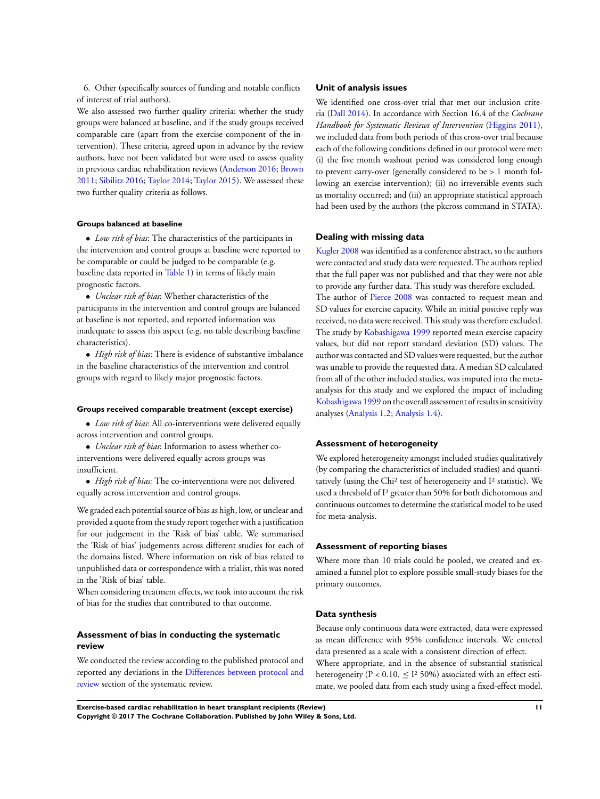6. Other (specifically sources of funding and notable conflicts of interest of trial authors).

We also assessed two further quality criteria: whether the study groups were balanced at baseline, and if the study groups received comparable care (apart from the exercise component of the intervention). These criteria, agreed upon in advance by the review authors, have not been validated but were used to assess quality in previous cardiac rehabilitation reviews ([Anderson 2016;](#page-25-0) [Brown](#page-25-0) [2011](#page-25-0); [Sibilitz 2016](#page-25-0); [Taylor 2014](#page-25-0); [Taylor 2015](#page-25-0)). We assessed these two further quality criteria as follows.

#### **Groups balanced at baseline**

• *Low risk of bias*: The characteristics of the participants in the intervention and control groups at baseline were reported to be comparable or could be judged to be comparable (e.g. baseline data reported in [Table 1](#page-59-0)) in terms of likely main prognostic factors.

• *Unclear risk of bias*: Whether characteristics of the participants in the intervention and control groups are balanced at baseline is not reported, and reported information was inadequate to assess this aspect (e.g. no table describing baseline characteristics).

• *High risk of bias*: There is evidence of substantive imbalance in the baseline characteristics of the intervention and control groups with regard to likely major prognostic factors.

#### **Groups received comparable treatment (except exercise)**

• *Low risk of bias*: All co-interventions were delivered equally across intervention and control groups.

• *Unclear risk of bias*: Information to assess whether cointerventions were delivered equally across groups was insufficient.

• *High risk of bias:* The co-interventions were not delivered equally across intervention and control groups.

We graded each potential source of bias as high, low, or unclear and provided a quote from the study report together with a justification for our judgement in the 'Risk of bias' table. We summarised the 'Risk of bias' judgements across different studies for each of the domains listed. Where information on risk of bias related to unpublished data or correspondence with a trialist, this was noted in the 'Risk of bias' table.

When considering treatment effects, we took into account the risk of bias for the studies that contributed to that outcome.

### **Assessment of bias in conducting the systematic review**

We conducted the review according to the published protocol and reported any deviations in the [Differences between protocol and](#page-68-0) [review](#page-68-0) section of the systematic review.

#### **Unit of analysis issues**

We identified one cross-over trial that met our inclusion criteria [\(Dall 2014\)](#page-25-0). In accordance with Section 16.4 of the *Cochrane Handbook for Systematic Reviews of Intervention* ([Higgins 2011](#page-25-0)), we included data from both periods of this cross-over trial because each of the following conditions defined in our protocol were met: (i) the five month washout period was considered long enough to prevent carry-over (generally considered to be > 1 month following an exercise intervention); (ii) no irreversible events such as mortality occurred; and (iii) an appropriate statistical approach had been used by the authors (the pkcross command in STATA).

#### **Dealing with missing data**

[Kugler 2008](#page-25-0) was identified as a conference abstract, so the authors were contacted and study data were requested. The authors replied that the full paper was not published and that they were not able to provide any further data. This study was therefore excluded. The author of [Pierce 2008](#page-25-0) was contacted to request mean and SD values for exercise capacity. While an initial positive reply was received, no data were received. This study was therefore excluded. The study by [Kobashigawa 1999](#page-25-0) reported mean exercise capacity values, but did not report standard deviation (SD) values. The author was contacted and SD values were requested, but the author was unable to provide the requested data. A median SD calculated from all of the other included studies, was imputed into the metaanalysis for this study and we explored the impact of including [Kobashigawa 1999](#page-25-0) on the overall assessment of results in sensitivity analyses ([Analysis 1.2;](#page-56-0) [Analysis 1.4\)](#page-58-0).

### **Assessment of heterogeneity**

We explored heterogeneity amongst included studies qualitatively (by comparing the characteristics of included studies) and quantitatively (using the Chi² test of heterogeneity and I² statistic). We used a threshold of I² greater than 50% for both dichotomous and continuous outcomes to determine the statistical model to be used for meta-analysis.

### **Assessment of reporting biases**

Where more than 10 trials could be pooled, we created and examined a funnel plot to explore possible small-study biases for the primary outcomes.

#### **Data synthesis**

Because only continuous data were extracted, data were expressed as mean difference with 95% confidence intervals. We entered data presented as a scale with a consistent direction of effect.

Where appropriate, and in the absence of substantial statistical heterogeneity ( $P < 0.10$ ,  $\leq I^2$  50%) associated with an effect estimate, we pooled data from each study using a fixed-effect model.

**Exercise-based cardiac rehabilitation in heart transplant recipients (Review) 11 Copyright © 2017 The Cochrane Collaboration. Published by John Wiley & Sons, Ltd.**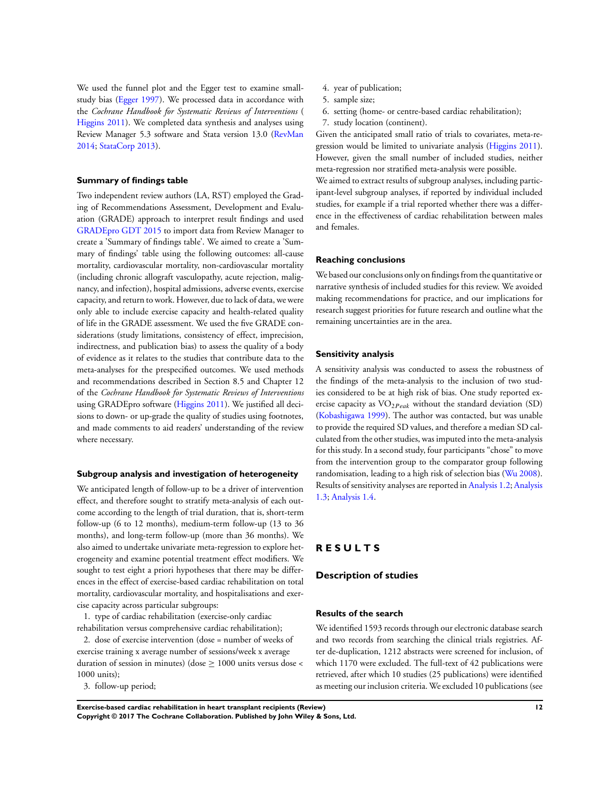We used the funnel plot and the Egger test to examine smallstudy bias [\(Egger 1997](#page-25-0)). We processed data in accordance with the *Cochrane Handbook for Systematic Reviews of Interventions* ( [Higgins 2011](#page-25-0)). We completed data synthesis and analyses using Review Manager 5.3 software and Stata version 13.0 ([RevMan](#page-25-0) [2014](#page-25-0); [StataCorp 2013](#page-25-0)).

#### **Summary of findings table**

Two independent review authors (LA, RST) employed the Grading of Recommendations Assessment, Development and Evaluation (GRADE) approach to interpret result findings and used [GRADEpro GDT 2015](#page-25-0) to import data from Review Manager to create a 'Summary of findings table'. We aimed to create a 'Summary of findings' table using the following outcomes: all-cause mortality, cardiovascular mortality, non-cardiovascular mortality (including chronic allograft vasculopathy, acute rejection, malignancy, and infection), hospital admissions, adverse events, exercise capacity, and return to work. However, due to lack of data, we were only able to include exercise capacity and health-related quality of life in the GRADE assessment. We used the five GRADE considerations (study limitations, consistency of effect, imprecision, indirectness, and publication bias) to assess the quality of a body of evidence as it relates to the studies that contribute data to the meta-analyses for the prespecified outcomes. We used methods and recommendations described in Section 8.5 and Chapter 12 of the *Cochrane Handbook for Systematic Reviews of Interventions* using GRADEpro software [\(Higgins 2011\)](#page-25-0). We justified all decisions to down- or up-grade the quality of studies using footnotes, and made comments to aid readers' understanding of the review where necessary.

#### **Subgroup analysis and investigation of heterogeneity**

We anticipated length of follow-up to be a driver of intervention effect, and therefore sought to stratify meta-analysis of each outcome according to the length of trial duration, that is, short-term follow-up (6 to 12 months), medium-term follow-up (13 to 36 months), and long-term follow-up (more than 36 months). We also aimed to undertake univariate meta-regression to explore heterogeneity and examine potential treatment effect modifiers. We sought to test eight a priori hypotheses that there may be differences in the effect of exercise-based cardiac rehabilitation on total mortality, cardiovascular mortality, and hospitalisations and exercise capacity across particular subgroups:

1. type of cardiac rehabilitation (exercise-only cardiac rehabilitation versus comprehensive cardiac rehabilitation);

2. dose of exercise intervention (dose = number of weeks of exercise training x average number of sessions/week x average duration of session in minutes) (dose ≥ 1000 units versus dose < 1000 units);

3. follow-up period;

- 4. year of publication;
- 5. sample size;
- 6. setting (home- or centre-based cardiac rehabilitation);
- 7. study location (continent).

Given the anticipated small ratio of trials to covariates, meta-regression would be limited to univariate analysis [\(Higgins 2011](#page-25-0)). However, given the small number of included studies, neither meta-regression nor stratified meta-analysis were possible.

We aimed to extract results of subgroup analyses, including participant-level subgroup analyses, if reported by individual included studies, for example if a trial reported whether there was a difference in the effectiveness of cardiac rehabilitation between males and females.

#### **Reaching conclusions**

We based our conclusions only on findings from the quantitative or narrative synthesis of included studies for this review. We avoided making recommendations for practice, and our implications for research suggest priorities for future research and outline what the remaining uncertainties are in the area.

### **Sensitivity analysis**

A sensitivity analysis was conducted to assess the robustness of the findings of the meta-analysis to the inclusion of two studies considered to be at high risk of bias. One study reported exercise capacity as  $VO<sub>2Peak</sub>$  without the standard deviation (SD) [\(Kobashigawa 1999](#page-25-0)). The author was contacted, but was unable to provide the required SD values, and therefore a median SD calculated from the other studies, was imputed into the meta-analysis for this study. In a second study, four participants "chose" to move from the intervention group to the comparator group following randomisation, leading to a high risk of selection bias ([Wu 2008](#page-25-0)). Results of sensitivity analyses are reported in [Analysis 1.2](#page-56-0); [Analysis](#page-57-0) [1.3](#page-57-0); [Analysis 1.4.](#page-58-0)

### **R E S U L T S**

### **Description of studies**

### **Results of the search**

We identified 1593 records through our electronic database search and two records from searching the clinical trials registries. After de-duplication, 1212 abstracts were screened for inclusion, of which 1170 were excluded. The full-text of 42 publications were retrieved, after which 10 studies (25 publications) were identified as meeting our inclusion criteria. We excluded 10 publications (see

**Exercise-based cardiac rehabilitation in heart transplant recipients (Review) 12 Copyright © 2017 The Cochrane Collaboration. Published by John Wiley & Sons, Ltd.**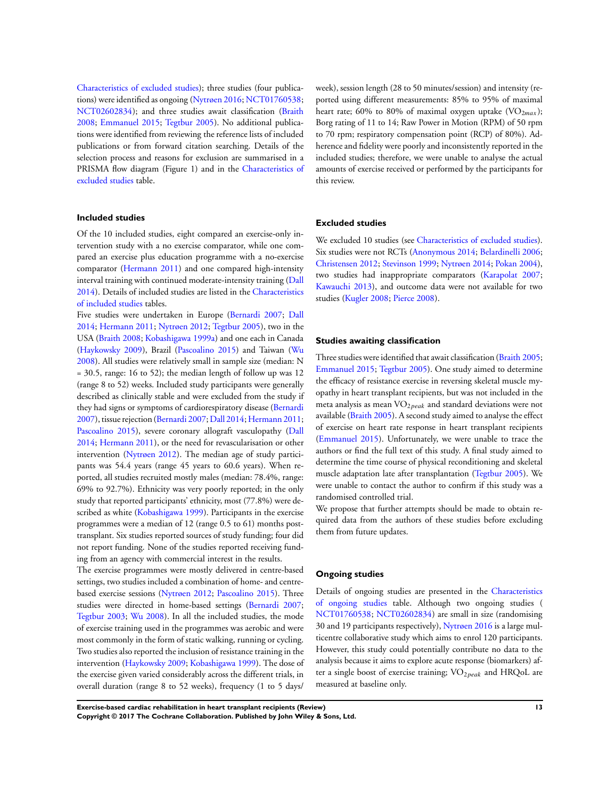[Characteristics of excluded studies](#page-49-0)); three studies (four publications) were identified as ongoing [\(Nytrøen 2016;](#page-25-0) [NCT01760538;](#page-25-0) [NCT02602834](#page-25-0)); and three studies await classification [\(Braith](#page-25-0) [2008](#page-25-0); [Emmanuel 2015;](#page-25-0) [Tegtbur 2005](#page-25-0)). No additional publications were identified from reviewing the reference lists of included publications or from forward citation searching. Details of the selection process and reasons for exclusion are summarised in a PRISMA flow diagram (Figure 1) and in the [Characteristics of](#page-49-0) [excluded studies](#page-49-0) table.

#### **Included studies**

Of the 10 included studies, eight compared an exercise-only intervention study with a no exercise comparator, while one compared an exercise plus education programme with a no-exercise comparator [\(Hermann 2011](#page-25-0)) and one compared high-intensity interval training with continued moderate-intensity training [\(Dall](#page-25-0) [2014](#page-25-0)). Details of included studies are listed in the [Characteristics](#page-32-0) [of included studies](#page-32-0) tables.

Five studies were undertaken in Europe ([Bernardi 2007;](#page-25-0) [Dall](#page-25-0) [2014](#page-25-0); [Hermann 2011;](#page-25-0) [Nytrøen 2012](#page-25-0); [Tegtbur 2005](#page-25-0)), two in the USA ([Braith 2008;](#page-25-0) [Kobashigawa 1999a](#page-25-0)) and one each in Canada [\(Haykowsky 2009](#page-25-0)), Brazil [\(Pascoalino 2015](#page-25-0)) and Taiwan ([Wu](#page-25-0) [2008](#page-25-0)). All studies were relatively small in sample size (median: N  $= 30.5$ , range: 16 to 52); the median length of follow up was 12 (range 8 to 52) weeks. Included study participants were generally described as clinically stable and were excluded from the study if they had signs or symptoms of cardiorespiratory disease [\(Bernardi](#page-25-0) [2007](#page-25-0)), tissue rejection [\(Bernardi 2007;Dall 2014](#page-25-0); [Hermann 2011;](#page-25-0) [Pascoalino 2015](#page-25-0)), severe coronary allograft vasculopathy [\(Dall](#page-25-0) [2014](#page-25-0); [Hermann 2011\)](#page-25-0), or the need for revascularisation or other intervention [\(Nytrøen 2012](#page-25-0)). The median age of study participants was 54.4 years (range 45 years to 60.6 years). When reported, all studies recruited mostly males (median: 78.4%, range: 69% to 92.7%). Ethnicity was very poorly reported; in the only study that reported participants' ethnicity, most (77.8%) were described as white [\(Kobashigawa 1999\)](#page-25-0). Participants in the exercise programmes were a median of 12 (range 0.5 to 61) months posttransplant. Six studies reported sources of study funding; four did not report funding. None of the studies reported receiving funding from an agency with commercial interest in the results.

The exercise programmes were mostly delivered in centre-based settings, two studies included a combination of home- and centrebased exercise sessions ([Nytrøen 2012](#page-25-0); [Pascoalino 2015\)](#page-25-0). Three studies were directed in home-based settings ([Bernardi 2007;](#page-25-0) [Tegtbur 2003](#page-25-0); [Wu 2008\)](#page-25-0). In all the included studies, the mode of exercise training used in the programmes was aerobic and were most commonly in the form of static walking, running or cycling. Two studies also reported the inclusion of resistance training in the intervention ([Haykowsky 2009](#page-25-0); [Kobashigawa 1999\)](#page-25-0). The dose of the exercise given varied considerably across the different trials, in overall duration (range 8 to 52 weeks), frequency (1 to 5 days/ week), session length (28 to 50 minutes/session) and intensity (reported using different measurements: 85% to 95% of maximal heart rate; 60% to 80% of maximal oxygen uptake  $(VO_{2max})$ ; Borg rating of 11 to 14; Raw Power in Motion (RPM) of 50 rpm to 70 rpm; respiratory compensation point (RCP) of 80%). Adherence and fidelity were poorly and inconsistently reported in the included studies; therefore, we were unable to analyse the actual amounts of exercise received or performed by the participants for this review.

#### **Excluded studies**

We excluded 10 studies (see [Characteristics of excluded studies](#page-49-0)). Six studies were not RCTs ([Anonymous 2014;](#page-25-0) [Belardinelli 2006;](#page-25-0) [Christensen 2012;](#page-25-0) [Stevinson 1999;](#page-25-0) [Nytrøen 2014;](#page-25-0) [Pokan 2004](#page-25-0)), two studies had inappropriate comparators [\(Karapolat 2007;](#page-25-0) [Kawauchi 2013\)](#page-25-0), and outcome data were not available for two studies ([Kugler 2008](#page-25-0); [Pierce 2008](#page-25-0)).

#### **Studies awaiting classification**

Three studies were identified that await classification ([Braith 2005;](#page-25-0) [Emmanuel 2015;](#page-25-0) [Tegtbur 2005\)](#page-25-0). One study aimed to determine the efficacy of resistance exercise in reversing skeletal muscle myopathy in heart transplant recipients, but was not included in the meta analysis as mean  $VO_{2\textit{peak}}$  and standard deviations were not available [\(Braith 2005\)](#page-25-0). A second study aimed to analyse the effect of exercise on heart rate response in heart transplant recipients [\(Emmanuel 2015\)](#page-25-0). Unfortunately, we were unable to trace the authors or find the full text of this study. A final study aimed to determine the time course of physical reconditioning and skeletal muscle adaptation late after transplantation ([Tegtbur 2005\)](#page-25-0). We were unable to contact the author to confirm if this study was a randomised controlled trial.

We propose that further attempts should be made to obtain required data from the authors of these studies before excluding them from future updates.

#### **Ongoing studies**

Details of ongoing studies are presented in the [Characteristics](#page-50-0) [of ongoing studies](#page-50-0) table. Although two ongoing studies ( [NCT01760538](#page-25-0); [NCT02602834\)](#page-25-0) are small in size (randomising 30 and 19 participants respectively), [Nytrøen 2016](#page-25-0) is a large multicentre collaborative study which aims to enrol 120 participants. However, this study could potentially contribute no data to the analysis because it aims to explore acute response (biomarkers) after a single boost of exercise training;  $VO_{2\it peak}$  and HRQoL are measured at baseline only.

**Exercise-based cardiac rehabilitation in heart transplant recipients (Review) 13 Copyright © 2017 The Cochrane Collaboration. Published by John Wiley & Sons, Ltd.**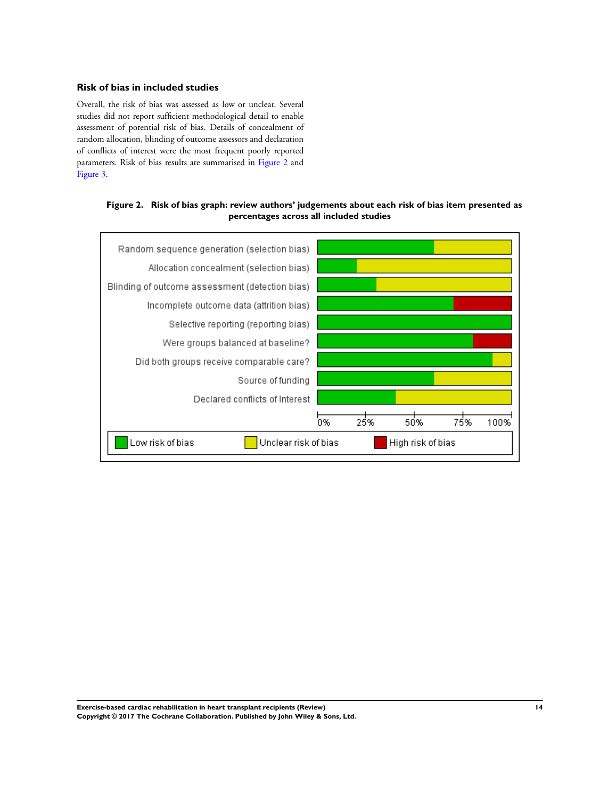### **Risk of bias in included studies**

Overall, the risk of bias was assessed as low or unclear. Several studies did not report sufficient methodological detail to enable assessment of potential risk of bias. Details of concealment of random allocation, blinding of outcome assessors and declaration of conflicts of interest were the most frequent poorly reported parameters. Risk of bias results are summarised in Figure 2 and [Figure 3.](#page-16-0)



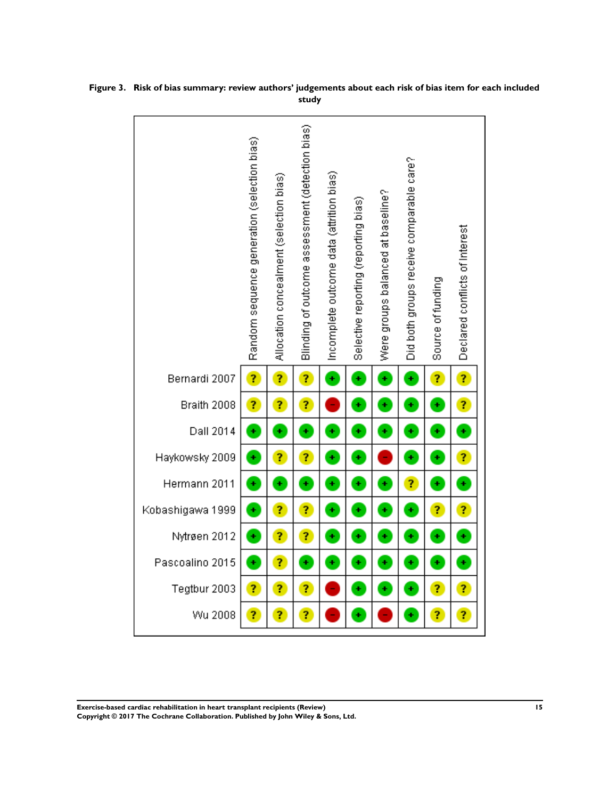|                  | Random sequence generation (selection bias) | Allocation concealment (selection bias) | Blinding of outcome assessment (detection bias) | (Incomplete outcome data (attrition bias | Selective reporting (reporting bias) | Were groups balanced at baseline? | Did both groups receive comparable care? | Source of funding | Declared conflicts of Interest |
|------------------|---------------------------------------------|-----------------------------------------|-------------------------------------------------|------------------------------------------|--------------------------------------|-----------------------------------|------------------------------------------|-------------------|--------------------------------|
| Bernardi 2007    | Ĩ,                                          | Ĩ,                                      | ?                                               | Ŧ                                        | Ŧ                                    | Ŧ                                 | $\ddot{}$                                | ?                 | ?                              |
| Braith 2008      | ?                                           | ?                                       | ?                                               |                                          | Ŧ                                    | ÷                                 | ÷                                        | ÷                 | ?                              |
| Dall 2014        | $\ddot{}$                                   | ÷                                       | $\ddot{}$                                       | ÷                                        | Ŧ                                    | $\ddot{}$                         | ÷                                        | $\color{red}+$    | Ŧ                              |
| Haykowsky 2009   | Ŧ                                           | Ĩ,                                      | ?                                               | Ŧ                                        | Ŧ                                    |                                   | Ŧ                                        | ÷                 | ?                              |
| Hermann 2011     | Ŧ                                           | ÷                                       | ÷                                               | ÷                                        | ÷                                    | $\bullet$                         | ?                                        | $\color{red}+$    | $\ddot{}$                      |
| Kobashigawa 1999 | ÷                                           | ?                                       | ?                                               | ¥                                        | ÷                                    | ÷                                 | ÷                                        | ?                 | ?                              |
| Nytrøen 2012     | $\ddot{}$                                   | ?                                       | ?                                               | ÷                                        | ÷                                    | ÷                                 | ÷                                        | ÷                 | ł                              |
| Pascoalino 2015  | ÷                                           | 7                                       | ÷                                               | ÷                                        | ÷                                    | ÷                                 | ÷                                        | ¥                 | Ŧ                              |
| Tegtbur 2003     | ?                                           | ?                                       | ?                                               |                                          | ÷                                    | ÷                                 | ¥                                        | Ĩ,                | ?                              |
| Wu 2008          | ?                                           | Ĩ,                                      | Ĩ,                                              | ۳                                        | ¥                                    | ÷                                 | ÷                                        | Ĩ,                | ?                              |

<span id="page-16-0"></span>**Figure 3. Risk of bias summary: review authors' judgements about each risk of bias item for each included study**

**Exercise-based cardiac rehabilitation in heart transplant recipients (Review) 15 Copyright © 2017 The Cochrane Collaboration. Published by John Wiley & Sons, Ltd.**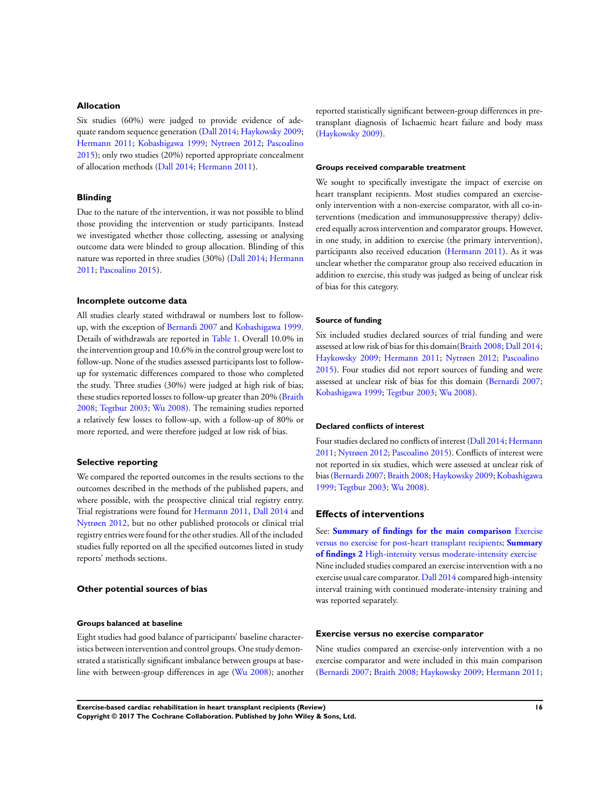#### **Allocation**

Six studies (60%) were judged to provide evidence of adequate random sequence generation [\(Dall 2014;](#page-25-0) [Haykowsky 2009;](#page-25-0) [Hermann 2011](#page-25-0); [Kobashigawa 1999;](#page-25-0) [Nytrøen 2012](#page-25-0); [Pascoalino](#page-25-0) [2015](#page-25-0)); only two studies (20%) reported appropriate concealment of allocation methods ([Dall 2014;](#page-25-0) [Hermann 2011](#page-25-0)).

### **Blinding**

Due to the nature of the intervention, it was not possible to blind those providing the intervention or study participants. Instead we investigated whether those collecting, assessing or analysing outcome data were blinded to group allocation. Blinding of this nature was reported in three studies (30%) [\(Dall 2014](#page-25-0); [Hermann](#page-25-0) [2011](#page-25-0); [Pascoalino 2015](#page-25-0)).

#### **Incomplete outcome data**

All studies clearly stated withdrawal or numbers lost to followup, with the exception of [Bernardi 2007](#page-25-0) and [Kobashigawa 1999.](#page-25-0) Details of withdrawals are reported in [Table 1.](#page-59-0) Overall 10.0% in the intervention group and 10.6% in the control group were lost to follow-up. None of the studies assessed participants lost to followup for systematic differences compared to those who completed the study. Three studies (30%) were judged at high risk of bias; these studies reported losses to follow-up greater than 20% [\(Braith](#page-25-0) [2008](#page-25-0); [Tegtbur 2003;](#page-25-0) [Wu 2008](#page-25-0)). The remaining studies reported a relatively few losses to follow-up, with a follow-up of 80% or more reported, and were therefore judged at low risk of bias.

#### **Selective reporting**

We compared the reported outcomes in the results sections to the outcomes described in the methods of the published papers, and where possible, with the prospective clinical trial registry entry. Trial registrations were found for [Hermann 2011](#page-25-0), [Dall 2014](#page-25-0) and [Nytrøen 2012](#page-25-0), but no other published protocols or clinical trial registry entries were found for the other studies. All of the included studies fully reported on all the specified outcomes listed in study reports' methods sections.

#### **Other potential sources of bias**

#### **Groups balanced at baseline**

Eight studies had good balance of participants' baseline characteristics between intervention and control groups. One study demonstrated a statistically significant imbalance between groups at baseline with between-group differences in age ([Wu 2008](#page-25-0)); another reported statistically significant between-group differences in pretransplant diagnosis of Ischaemic heart failure and body mass [\(Haykowsky 2009\)](#page-25-0).

#### **Groups received comparable treatment**

We sought to specifically investigate the impact of exercise on heart transplant recipients. Most studies compared an exerciseonly intervention with a non-exercise comparator, with all co-interventions (medication and immunosuppressive therapy) delivered equally across intervention and comparator groups. However, in one study, in addition to exercise (the primary intervention), participants also received education ([Hermann 2011](#page-25-0)). As it was unclear whether the comparator group also received education in addition to exercise, this study was judged as being of unclear risk of bias for this category.

#### **Source of funding**

Six included studies declared sources of trial funding and were assessed at low risk of bias for this domain[\(Braith 2008;](#page-25-0) [Dall 2014;](#page-25-0) [Haykowsky 2009](#page-25-0); [Hermann 2011](#page-25-0); [Nytrøen 2012;](#page-25-0) [Pascoalino](#page-25-0) [2015](#page-25-0)). Four studies did not report sources of funding and were assessed at unclear risk of bias for this domain ([Bernardi 2007;](#page-25-0) [Kobashigawa 1999;](#page-25-0) [Tegtbur 2003](#page-25-0); [Wu 2008](#page-25-0)).

#### **Declared conflicts of interest**

Four studies declared no conflicts of interest [\(Dall 2014;](#page-25-0) [Hermann](#page-25-0) [2011](#page-25-0); [Nytrøen 2012;](#page-25-0) [Pascoalino 2015](#page-25-0)). Conflicts of interest were not reported in six studies, which were assessed at unclear risk of bias ([Bernardi 2007](#page-25-0); [Braith 2008](#page-25-0); [Haykowsky 2009](#page-25-0); [Kobashigawa](#page-25-0) [1999](#page-25-0); [Tegtbur 2003](#page-25-0); [Wu 2008](#page-25-0)).

### **Effects of interventions**

See: **[Summary of findings for the main comparison](#page-5-0)** [Exercise](#page-5-0) [versus no exercise for post-heart transplant recipients;](#page-5-0) **[Summary](#page-21-0) [of findings 2](#page-21-0)** [High-intensity versus moderate-intensity exercise](#page-21-0) Nine included studies compared an exercise intervention with a no exercise usual care comparator. [Dall 2014](#page-25-0) compared high-intensity interval training with continued moderate-intensity training and was reported separately.

#### **Exercise versus no exercise comparator**

Nine studies compared an exercise-only intervention with a no exercise comparator and were included in this main comparison [\(Bernardi 2007](#page-25-0); [Braith 2008;](#page-25-0) [Haykowsky 2009;](#page-25-0) [Hermann 2011;](#page-25-0)

**Exercise-based cardiac rehabilitation in heart transplant recipients (Review) 16 Copyright © 2017 The Cochrane Collaboration. Published by John Wiley & Sons, Ltd.**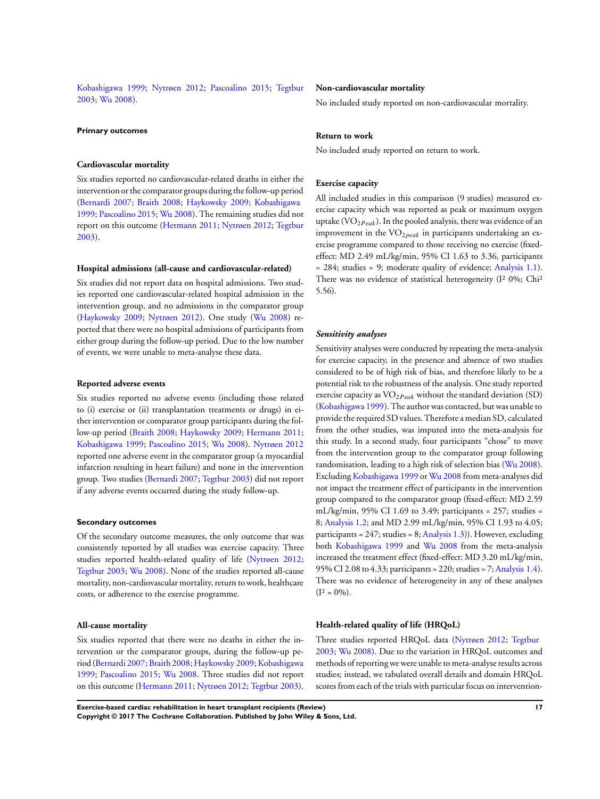[Kobashigawa 1999](#page-25-0); [Nytrøen 2012](#page-25-0); [Pascoalino 2015](#page-25-0); [Tegtbur](#page-25-0) [2003](#page-25-0); [Wu 2008](#page-25-0)).

### **Primary outcomes**

#### **Cardiovascular mortality**

Six studies reported no cardiovascular-related deaths in either the intervention or the comparator groups during the follow-up period [\(Bernardi 2007;](#page-25-0) [Braith 2008](#page-25-0); [Haykowsky 2009;](#page-25-0) [Kobashigawa](#page-25-0) [1999](#page-25-0); [Pascoalino 2015](#page-25-0); [Wu 2008\)](#page-25-0). The remaining studies did not report on this outcome [\(Hermann 2011;](#page-25-0) [Nytrøen 2012](#page-25-0); [Tegtbur](#page-25-0) [2003](#page-25-0)).

#### **Hospital admissions (all-cause and cardiovascular-related)**

Six studies did not report data on hospital admissions. Two studies reported one cardiovascular-related hospital admission in the intervention group, and no admissions in the comparator group [\(Haykowsky 2009](#page-25-0); [Nytrøen 2012](#page-25-0)). One study [\(Wu 2008](#page-25-0)) reported that there were no hospital admissions of participants from either group during the follow-up period. Due to the low number of events, we were unable to meta-analyse these data.

#### **Reported adverse events**

Six studies reported no adverse events (including those related to (i) exercise or (ii) transplantation treatments or drugs) in either intervention or comparator group participants during the follow-up period [\(Braith 2008;](#page-25-0) [Haykowsky 2009;](#page-25-0) [Hermann 2011;](#page-25-0) [Kobashigawa 1999;](#page-25-0) [Pascoalino 2015;](#page-25-0) [Wu 2008](#page-25-0)). [Nytrøen 2012](#page-25-0) reported one adverse event in the comparator group (a myocardial infarction resulting in heart failure) and none in the intervention group. Two studies [\(Bernardi 2007](#page-25-0); [Tegtbur 2003\)](#page-25-0) did not report if any adverse events occurred during the study follow-up.

#### **Secondary outcomes**

Of the secondary outcome measures, the only outcome that was consistently reported by all studies was exercise capacity. Three studies reported health-related quality of life [\(Nytrøen 2012;](#page-25-0) [Tegtbur 2003;](#page-25-0) [Wu 2008\)](#page-25-0). None of the studies reported all-cause mortality, non-cardiovascular mortality, return to work, healthcare costs, or adherence to the exercise programme.

#### **All-cause mortality**

Six studies reported that there were no deaths in either the intervention or the comparator groups, during the follow-up pe-riod ([Bernardi 2007](#page-25-0); [Braith 2008;](#page-25-0) [Haykowsky 2009](#page-25-0); [Kobashigawa](#page-25-0) [1999](#page-25-0); [Pascoalino 2015;](#page-25-0) [Wu 2008](#page-25-0). Three studies did not report on this outcome [\(Hermann 2011](#page-25-0); [Nytrøen 2012](#page-25-0); [Tegtbur 2003](#page-25-0)).

#### **Non-cardiovascular mortality**

No included study reported on non-cardiovascular mortality.

#### **Return to work**

No included study reported on return to work.

#### **Exercise capacity**

All included studies in this comparison (9 studies) measured exercise capacity which was reported as peak or maximum oxygen uptake ( $\text{VO}_{2Peak}$ ). In the pooled analysis, there was evidence of an improvement in the  $VO_{2\textit{peak}}$  in participants undertaking an exercise programme compared to those receiving no exercise (fixedeffect: MD 2.49 mL/kg/min, 95% CI 1.63 to 3.36, participants = 284; studies = 9; moderate quality of evidence; [Analysis 1.1](#page-55-0)). There was no evidence of statistical heterogeneity (I<sup>2</sup> 0%; Chi<sup>2</sup> 5.56).

### *Sensitivity analyses*

Sensitivity analyses were conducted by repeating the meta-analysis for exercise capacity, in the presence and absence of two studies considered to be of high risk of bias, and therefore likely to be a potential risk to the robustness of the analysis. One study reported exercise capacity as  $VO<sub>2Peak</sub>$  without the standard deviation (SD) [\(Kobashigawa 1999](#page-25-0)). The author was contacted, but was unable to provide the required SD values. Therefore a median SD, calculated from the other studies, was imputed into the meta-analysis for this study. In a second study, four participants "chose" to move from the intervention group to the comparator group following randomisation, leading to a high risk of selection bias ([Wu 2008](#page-25-0)). Excluding [Kobashigawa 1999](#page-25-0) or [Wu 2008](#page-25-0) from meta-analyses did not impact the treatment effect of participants in the intervention group compared to the comparator group (fixed-effect: MD 2.59 mL/kg/min, 95% CI 1.69 to 3.49; participants = 257; studies = 8; [Analysis 1.2;](#page-56-0) and MD 2.99 mL/kg/min, 95% CI 1.93 to 4.05; participants = 247; studies = 8; [Analysis 1.3\)](#page-57-0)). However, excluding both [Kobashigawa 1999](#page-25-0) and [Wu 2008](#page-25-0) from the meta-analysis increased the treatment effect (fixed-effect: MD 3.20 mL/kg/min, 95% CI 2.08 to 4.33; participants = 220; studies = 7; [Analysis 1.4](#page-58-0)). There was no evidence of heterogeneity in any of these analyses  $(I^2 = 0\%)$ .

#### **Health-related quality of life (HRQoL)**

Three studies reported HRQoL data [\(Nytrøen 2012;](#page-25-0) [Tegtbur](#page-25-0) [2003](#page-25-0); [Wu 2008\)](#page-25-0). Due to the variation in HRQoL outcomes and methods of reporting we were unable to meta-analyse results across studies; instead, we tabulated overall details and domain HRQoL scores from each of the trials with particular focus on intervention-

**Exercise-based cardiac rehabilitation in heart transplant recipients (Review) 17 Copyright © 2017 The Cochrane Collaboration. Published by John Wiley & Sons, Ltd.**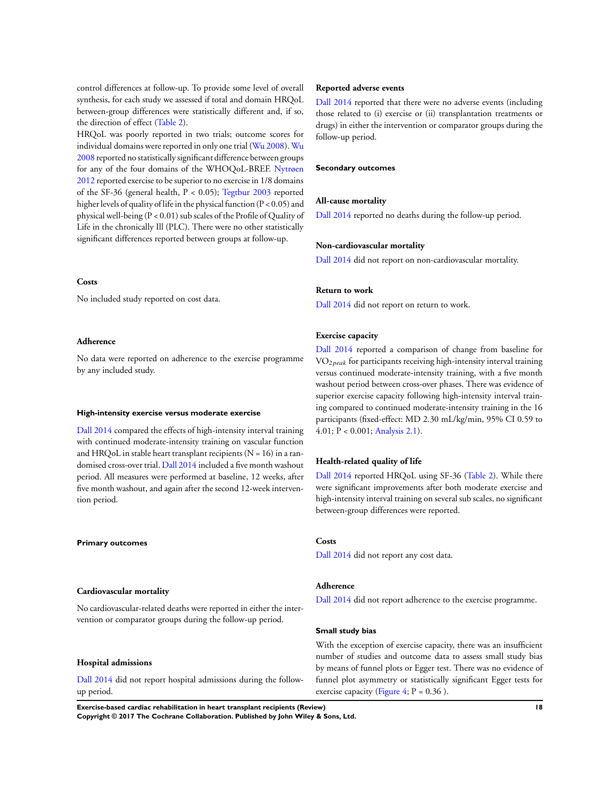control differences at follow-up. To provide some level of overall synthesis, for each study we assessed if total and domain HRQoL between-group differences were statistically different and, if so, the direction of effect ([Table 2\)](#page-61-0).

HRQoL was poorly reported in two trials; outcome scores for individual domains were reported in only one trial [\(Wu 2008](#page-25-0)). [Wu](#page-25-0) [2008](#page-25-0) reported no statistically significant difference between groups for any of the four domains of the WHOQoL-BREF. [Nytrøen](#page-25-0) [2012](#page-25-0) reported exercise to be superior to no exercise in 1/8 domains of the SF-36 (general health, P < 0.05); [Tegtbur 2003](#page-25-0) reported higher levels of quality of life in the physical function (P < 0.05) and physical well-being (P < 0.01) sub scales of the Profile of Quality of Life in the chronically Ill (PLC). There were no other statistically significant differences reported between groups at follow-up.

#### **Costs**

No included study reported on cost data.

#### **Adherence**

No data were reported on adherence to the exercise programme by any included study.

#### **High-intensity exercise versus moderate exercise**

[Dall 2014](#page-25-0) compared the effects of high-intensity interval training with continued moderate-intensity training on vascular function and HRQoL in stable heart transplant recipients ( $N = 16$ ) in a randomised cross-over trial. [Dall 2014](#page-25-0) included a five month washout period. All measures were performed at baseline, 12 weeks, after five month washout, and again after the second 12-week intervention period.

#### **Primary outcomes**

#### **Cardiovascular mortality**

No cardiovascular-related deaths were reported in either the intervention or comparator groups during the follow-up period.

#### **Hospital admissions**

[Dall 2014](#page-25-0) did not report hospital admissions during the followup period.

were significant improvements after both moderate exercise and high-intensity interval training on several sub scales, no significant between-group differences were reported.

#### **Costs**

[Dall 2014](#page-25-0) did not report any cost data.

#### **Adherence**

[Dall 2014](#page-25-0) did not report adherence to the exercise programme.

#### **Small study bias**

With the exception of exercise capacity, there was an insufficient number of studies and outcome data to assess small study bias by means of funnel plots or Egger test. There was no evidence of funnel plot asymmetry or statistically significant Egger tests for exercise capacity ([Figure 4;](#page-20-0)  $P = 0.36$ ).

**Exercise-based cardiac rehabilitation in heart transplant recipients (Review) 18**

**Copyright © 2017 The Cochrane Collaboration. Published by John Wiley & Sons, Ltd.**

### **Reported adverse events**

[Dall 2014](#page-25-0) reported that there were no adverse events (including those related to (i) exercise or (ii) transplantation treatments or drugs) in either the intervention or comparator groups during the follow-up period.

#### **Secondary outcomes**

#### **All-cause mortality**

[Dall 2014](#page-25-0) reported no deaths during the follow-up period.

#### **Non-cardiovascular mortality**

[Dall 2014](#page-25-0) did not report on non-cardiovascular mortality.

#### **Return to work**

[Dall 2014](#page-25-0) did not report on return to work.

#### **Exercise capacity**

[Dall 2014](#page-25-0) reported a comparison of change from baseline for VO2peak for participants receiving high-intensity interval training versus continued moderate-intensity training, with a five month washout period between cross-over phases. There was evidence of superior exercise capacity following high-intensity interval training compared to continued moderate-intensity training in the 16 participants (fixed-effect: MD 2.30 mL/kg/min, 95% CI 0.59 to 4.01; P < 0.001; [Analysis 2.1\)](#page-59-0).

#### **Health-related quality of life**

[Dall 2014](#page-25-0) reported HRQoL using SF-36 [\(Table 2](#page-61-0)). While there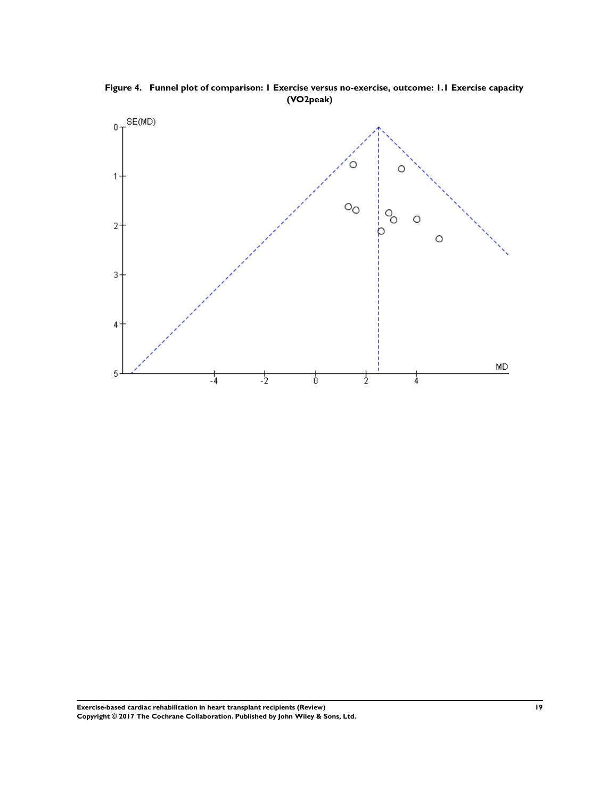<span id="page-20-0"></span>**Figure 4. Funnel plot of comparison: 1 Exercise versus no-exercise, outcome: 1.1 Exercise capacity (VO2peak)**



**Exercise-based cardiac rehabilitation in heart transplant recipients (Review) 19 Copyright © 2017 The Cochrane Collaboration. Published by John Wiley & Sons, Ltd.**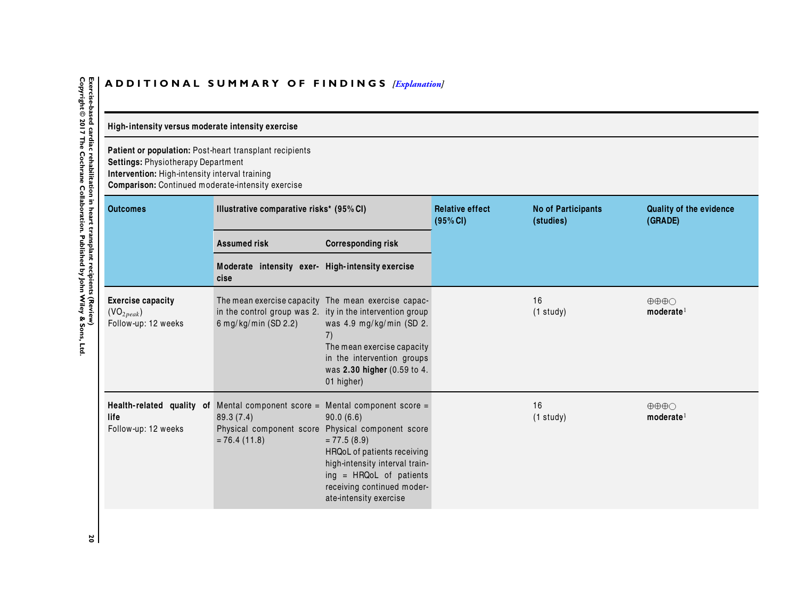| <b>A D D I T I O N</b>                                                                           |
|--------------------------------------------------------------------------------------------------|
| <b>High-intensity vers</b>                                                                       |
| Patient or populatio<br>Settings: Physiothe<br>Intervention: High-i<br><b>Comparison: Contir</b> |
| Outcomes                                                                                         |
| <b>Exercise capacity</b><br>$(\mathsf{VO}_{2\mathit{peak}})$<br>Follow-up: 12 week               |

<span id="page-21-0"></span>Exercise-based cardiac rehabilitation in heart transplant recipients (Review)<br>Copyright © 2017 The Cochrane Collaboration. Published by John Wiley & Sons, Ltd. **Copyright © 2017 The Cochrane Collaboration. Published by John Wiley & Sons, Ltd.**

# ADDITIONAL SUMMARY OF FINDINGS *[\[Explanation\]](http://www.thecochranelibrary.com/view/0/SummaryFindings.html)*

# **High-intensity versus moderate intensity exercise**

**Post-heart transplant recipients** 

erapy Department

High-intensity interval training

| <b>Comparison:</b> Continued moderate-intensity exercise                 |                                                                                                                                               |                                                                                                                                                                                                                                                             |                                    |                                        |                                                      |
|--------------------------------------------------------------------------|-----------------------------------------------------------------------------------------------------------------------------------------------|-------------------------------------------------------------------------------------------------------------------------------------------------------------------------------------------------------------------------------------------------------------|------------------------------------|----------------------------------------|------------------------------------------------------|
| <b>Outcomes</b>                                                          | Illustrative comparative risks* (95% CI)                                                                                                      |                                                                                                                                                                                                                                                             | <b>Relative effect</b><br>(95% CI) | <b>No of Participants</b><br>(studies) | <b>Quality of the evidence</b><br>(GRADE)            |
|                                                                          | <b>Assumed risk</b>                                                                                                                           | <b>Corresponding risk</b>                                                                                                                                                                                                                                   |                                    |                                        |                                                      |
|                                                                          | Moderate intensity exer- High-intensity exercise<br>cise                                                                                      |                                                                                                                                                                                                                                                             |                                    |                                        |                                                      |
| <b>Exercise capacity</b><br>$(VO_{2\text{peak}})$<br>Follow-up: 12 weeks | 6 mg/kg/min (SD 2.2)                                                                                                                          | The mean exercise capacity The mean exercise capac-<br>in the control group was 2. ity in the intervention group<br>was 4.9 mg/kg/min (SD 2.<br>7)<br>The mean exercise capacity<br>in the intervention groups<br>was 2.30 higher (0.59 to 4.<br>01 higher) |                                    | 16<br>$(1$ study)                      | $\oplus \oplus \oplus \cap$<br>moderate <sup>1</sup> |
| life<br>Follow-up: 12 weeks                                              | <b>Health-related quality of Mental component score = Mental component score =</b><br>89.3(7.4)<br>Physical component score<br>$= 76.4(11.8)$ | 90.0(6.6)<br>Physical component score<br>$= 77.5(8.9)$<br>HRQoL of patients receiving<br>high-intensity interval train-<br>ing = HRQoL of patients<br>receiving continued moder-<br>ate-intensity exercise                                                  |                                    | 16<br>$(1$ study)                      | $\oplus \oplus \oplus \cap$<br>moderate $1$          |

**20 Exercise-based cardiac rehabilitation in heart transplant recipients (Review)**  $50$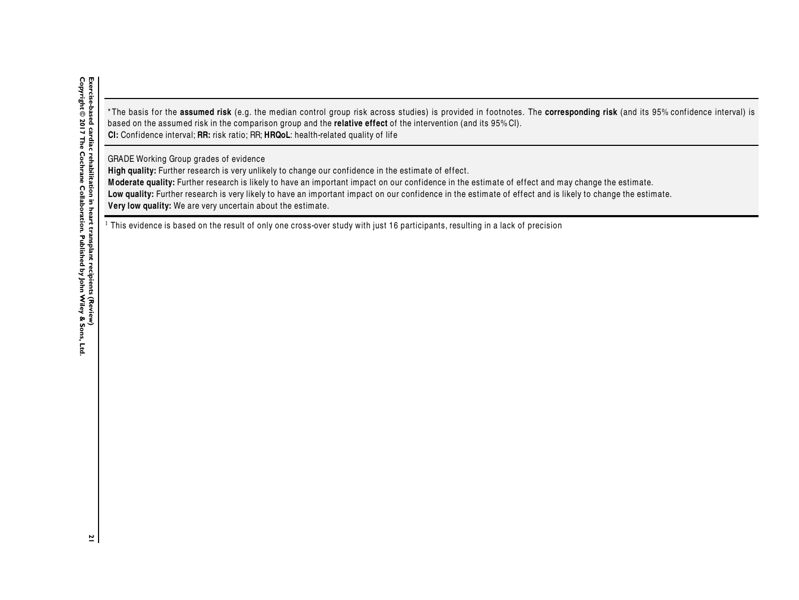\* The basis for the **assumed risk** (e.g. the median control group risk across studies) is provided in footnotes. The **corresponding risk** (and its 95% conf idence interval) is based on the assumed risk in the comparison group and the **relative effect** of the intervention (and its 95% CI). **CI:** Conf idence interval; **RR:** risk ratio; RR; **HRQoL**: health-related quality of life

GRADE Working Group grades of evidence

High quality: Further research is very unlikely to change our confidence in the estimate of effect.

**Moderate quality:** Further research is likely to have an important impact on our confidence in the estimate of effect and may change the estimate.

Low quality: Further research is very likely to have an important impact on our confidence in the estimate of effect and is likely to change the estimate.

**Very low quality:** We are very uncertain about the estimate.

 $^{\rm 1}$  This evidence is based on the result of only one cross-over study with just 16 participants, resulting in a lack of precision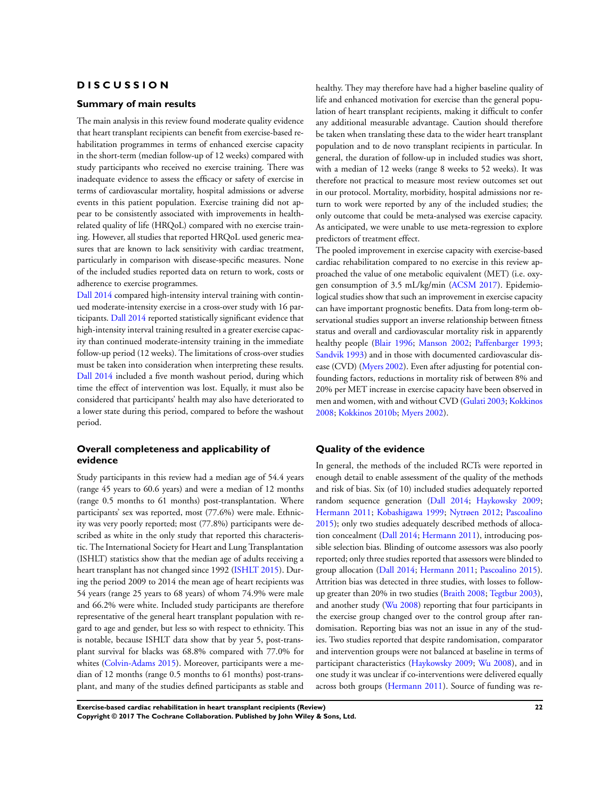# **D I S C U S S I O N**

### **Summary of main results**

The main analysis in this review found moderate quality evidence that heart transplant recipients can benefit from exercise-based rehabilitation programmes in terms of enhanced exercise capacity in the short-term (median follow-up of 12 weeks) compared with study participants who received no exercise training. There was inadequate evidence to assess the efficacy or safety of exercise in terms of cardiovascular mortality, hospital admissions or adverse events in this patient population. Exercise training did not appear to be consistently associated with improvements in healthrelated quality of life (HRQoL) compared with no exercise training. However, all studies that reported HRQoL used generic measures that are known to lack sensitivity with cardiac treatment, particularly in comparison with disease-specific measures. None of the included studies reported data on return to work, costs or adherence to exercise programmes.

[Dall 2014](#page-25-0) compared high-intensity interval training with continued moderate-intensity exercise in a cross-over study with 16 participants. [Dall 2014](#page-25-0) reported statistically significant evidence that high-intensity interval training resulted in a greater exercise capacity than continued moderate-intensity training in the immediate follow-up period (12 weeks). The limitations of cross-over studies must be taken into consideration when interpreting these results. [Dall 2014](#page-25-0) included a five month washout period, during which time the effect of intervention was lost. Equally, it must also be considered that participants' health may also have deteriorated to a lower state during this period, compared to before the washout period.

# **Overall completeness and applicability of evidence**

Study participants in this review had a median age of 54.4 years (range 45 years to 60.6 years) and were a median of 12 months (range 0.5 months to 61 months) post-transplantation. Where participants' sex was reported, most (77.6%) were male. Ethnicity was very poorly reported; most (77.8%) participants were described as white in the only study that reported this characteristic. The International Society for Heart and Lung Transplantation (ISHLT) statistics show that the median age of adults receiving a heart transplant has not changed since 1992 [\(ISHLT 2015\)](#page-25-0). During the period 2009 to 2014 the mean age of heart recipients was 54 years (range 25 years to 68 years) of whom 74.9% were male and 66.2% were white. Included study participants are therefore representative of the general heart transplant population with regard to age and gender, but less so with respect to ethnicity. This is notable, because ISHLT data show that by year 5, post-transplant survival for blacks was 68.8% compared with 77.0% for whites ([Colvin-Adams 2015\)](#page-25-0). Moreover, participants were a median of 12 months (range 0.5 months to 61 months) post-transplant, and many of the studies defined participants as stable and healthy. They may therefore have had a higher baseline quality of life and enhanced motivation for exercise than the general population of heart transplant recipients, making it difficult to confer any additional measurable advantage. Caution should therefore be taken when translating these data to the wider heart transplant population and to de novo transplant recipients in particular. In general, the duration of follow-up in included studies was short, with a median of 12 weeks (range 8 weeks to 52 weeks). It was therefore not practical to measure most review outcomes set out in our protocol. Mortality, morbidity, hospital admissions nor return to work were reported by any of the included studies; the only outcome that could be meta-analysed was exercise capacity. As anticipated, we were unable to use meta-regression to explore predictors of treatment effect.

The pooled improvement in exercise capacity with exercise-based cardiac rehabilitation compared to no exercise in this review approached the value of one metabolic equivalent (MET) (i.e. oxygen consumption of 3.5 mL/kg/min ([ACSM 2017](#page-25-0)). Epidemiological studies show that such an improvement in exercise capacity can have important prognostic benefits. Data from long-term observational studies support an inverse relationship between fitness status and overall and cardiovascular mortality risk in apparently healthy people [\(Blair 1996](#page-25-0); [Manson 2002](#page-25-0); [Paffenbarger 1993;](#page-25-0) [Sandvik 1993](#page-25-0)) and in those with documented cardiovascular dis-ease (CVD) ([Myers 2002](#page-25-0)). Even after adjusting for potential confounding factors, reductions in mortality risk of between 8% and 20% per MET increase in exercise capacity have been observed in men and women, with and without CVD [\(Gulati 2003](#page-25-0); [Kokkinos](#page-25-0) [2008](#page-25-0); [Kokkinos 2010b;](#page-25-0) [Myers 2002\)](#page-25-0).

### **Quality of the evidence**

In general, the methods of the included RCTs were reported in enough detail to enable assessment of the quality of the methods and risk of bias. Six (of 10) included studies adequately reported random sequence generation ([Dall 2014;](#page-25-0) [Haykowsky 2009;](#page-25-0) [Hermann 2011](#page-25-0); [Kobashigawa 1999;](#page-25-0) [Nytrøen 2012](#page-25-0); [Pascoalino](#page-25-0) [2015](#page-25-0)); only two studies adequately described methods of allocation concealment ([Dall 2014](#page-25-0); [Hermann 2011\)](#page-25-0), introducing possible selection bias. Blinding of outcome assessors was also poorly reported; only three studies reported that assessors were blinded to group allocation ([Dall 2014;](#page-25-0) [Hermann 2011](#page-25-0); [Pascoalino 2015](#page-25-0)). Attrition bias was detected in three studies, with losses to followup greater than 20% in two studies ([Braith 2008](#page-25-0); [Tegtbur 2003](#page-25-0)), and another study ([Wu 2008\)](#page-25-0) reporting that four participants in the exercise group changed over to the control group after randomisation. Reporting bias was not an issue in any of the studies. Two studies reported that despite randomisation, comparator and intervention groups were not balanced at baseline in terms of participant characteristics ([Haykowsky 2009](#page-25-0); [Wu 2008](#page-25-0)), and in one study it was unclear if co-interventions were delivered equally across both groups ([Hermann 2011](#page-25-0)). Source of funding was re-

**Exercise-based cardiac rehabilitation in heart transplant recipients (Review) 22 Copyright © 2017 The Cochrane Collaboration. Published by John Wiley & Sons, Ltd.**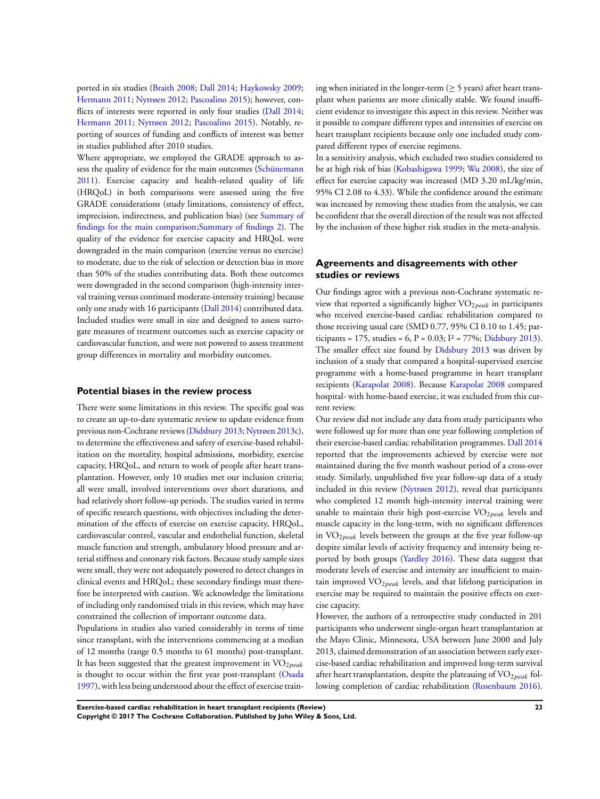ported in six studies [\(Braith 2008](#page-25-0); [Dall 2014](#page-25-0); [Haykowsky 2009;](#page-25-0) [Hermann 2011](#page-25-0); [Nytrøen 2012](#page-25-0); [Pascoalino 2015](#page-25-0)); however, con-flicts of interests were reported in only four studies ([Dall 2014;](#page-25-0) [Hermann 2011](#page-25-0); [Nytrøen 2012](#page-25-0); [Pascoalino 2015](#page-25-0)). Notably, reporting of sources of funding and conflicts of interest was better in studies published after 2010 studies.

Where appropriate, we employed the GRADE approach to as-sess the quality of evidence for the main outcomes [\(Schünemann](#page-25-0) [2011](#page-25-0)). Exercise capacity and health-related quality of life (HRQoL) in both comparisons were assessed using the five GRADE considerations (study limitations, consistency of effect, imprecision, indirectness, and publication bias) (see [Summary of](#page-5-0) [findings for the main comparison](#page-5-0)[;Summary of findings 2](#page-21-0)). The quality of the evidence for exercise capacity and HRQoL were downgraded in the main comparison (exercise versus no exercise) to moderate, due to the risk of selection or detection bias in more than 50% of the studies contributing data. Both these outcomes were downgraded in the second comparison (high-intensity interval training versus continued moderate-intensity training) because only one study with 16 participants [\(Dall 2014](#page-25-0)) contributed data. Included studies were small in size and designed to assess surrogate measures of treatment outcomes such as exercise capacity or cardiovascular function, and were not powered to assess treatment group differences in mortality and morbidity outcomes.

#### **Potential biases in the review process**

There were some limitations in this review. The specific goal was to create an up-to-date systematic review to update evidence from previous non-Cochrane reviews ([Didsbury 2013](#page-25-0); [Nytrøen 2013c](#page-25-0)), to determine the effectiveness and safety of exercise-based rehabilitation on the mortality, hospital admissions, morbidity, exercise capacity, HRQoL, and return to work of people after heart transplantation. However, only 10 studies met our inclusion criteria; all were small, involved interventions over short durations, and had relatively short follow-up periods. The studies varied in terms of specific research questions, with objectives including the determination of the effects of exercise on exercise capacity, HRQoL, cardiovascular control, vascular and endothelial function, skeletal muscle function and strength, ambulatory blood pressure and arterial stiffness and coronary risk factors. Because study sample sizes were small, they were not adequately powered to detect changes in clinical events and HRQoL; these secondary findings must therefore be interpreted with caution. We acknowledge the limitations of including only randomised trials in this review, which may have constrained the collection of important outcome data.

Populations in studies also varied considerably in terms of time since transplant, with the interventions commencing at a median of 12 months (range 0.5 months to 61 months) post-transplant. It has been suggested that the greatest improvement in  $VO_{2\textit{peak}}$ is thought to occur within the first year post-transplant [\(Osada](#page-25-0) [1997](#page-25-0)), with less being understood about the effect of exercise training when initiated in the longer-term ( $\geq$  5 years) after heart transplant when patients are more clinically stable. We found insufficient evidence to investigate this aspect in this review. Neither was it possible to compare different types and intensities of exercise on heart transplant recipients because only one included study compared different types of exercise regimens.

In a sensitivity analysis, which excluded two studies considered to be at high risk of bias ([Kobashigawa 1999;](#page-25-0) [Wu 2008](#page-25-0)), the size of effect for exercise capacity was increased (MD 3.20 mL/kg/min, 95% CI 2.08 to 4.33). While the confidence around the estimate was increased by removing these studies from the analysis, we can be confident that the overall direction of the result was not affected by the inclusion of these higher risk studies in the meta-analysis.

# **Agreements and disagreements with other studies or reviews**

Our findings agree with a previous non-Cochrane systematic review that reported a significantly higher  $VO_{2\it peak}$  in participants who received exercise-based cardiac rehabilitation compared to those receiving usual care (SMD 0.77, 95% CI 0.10 to 1.45; par-ticipants = 175, studies = 6, P = 0.03; I<sup>2</sup> = 77%; [Didsbury 2013](#page-25-0)). The smaller effect size found by [Didsbury 2013](#page-25-0) was driven by inclusion of a study that compared a hospital-supervised exercise programme with a home-based programme in heart transplant recipients [\(Karapolat 2008](#page-25-0)). Because [Karapolat 2008](#page-25-0) compared hospital- with home-based exercise, it was excluded from this current review.

Our review did not include any data from study participants who were followed up for more than one year following completion of their exercise-based cardiac rehabilitation programmes. [Dall 2014](#page-25-0) reported that the improvements achieved by exercise were not maintained during the five month washout period of a cross-over study. Similarly, unpublished five year follow-up data of a study included in this review ([Nytrøen 2012\)](#page-25-0), reveal that participants who completed 12 month high-intensity interval training were unable to maintain their high post-exercise  $VO_{2\it peak}$  levels and muscle capacity in the long-term, with no significant differences in VO2peak levels between the groups at the five year follow-up despite similar levels of activity frequency and intensity being reported by both groups ([Yardley 2016](#page-25-0)). These data suggest that moderate levels of exercise and intensity are insufficient to maintain improved  $\text{VO}_{2\text{peak}}$  levels, and that lifelong participation in exercise may be required to maintain the positive effects on exercise capacity.

However, the authors of a retrospective study conducted in 201 participants who underwent single-organ heart transplantation at the Mayo Clinic, Minnesota, USA between June 2000 and July 2013, claimed demonstration of an association between early exercise-based cardiac rehabilitation and improved long-term survival after heart transplantation, despite the plateauing of  $\rm VO_{2\it peak}$  following completion of cardiac rehabilitation [\(Rosenbaum 2016](#page-25-0)).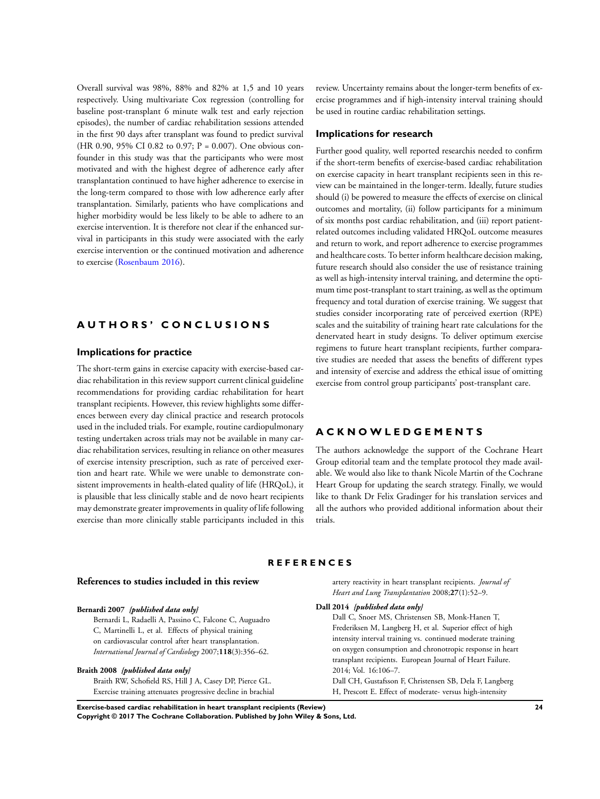<span id="page-25-0"></span>Overall survival was 98%, 88% and 82% at 1,5 and 10 years respectively. Using multivariate Cox regression (controlling for baseline post-transplant 6 minute walk test and early rejection episodes), the number of cardiac rehabilitation sessions attended in the first 90 days after transplant was found to predict survival (HR 0.90, 95% CI 0.82 to 0.97; P = 0.007). One obvious confounder in this study was that the participants who were most motivated and with the highest degree of adherence early after transplantation continued to have higher adherence to exercise in the long-term compared to those with low adherence early after transplantation. Similarly, patients who have complications and higher morbidity would be less likely to be able to adhere to an exercise intervention. It is therefore not clear if the enhanced survival in participants in this study were associated with the early exercise intervention or the continued motivation and adherence to exercise (Rosenbaum 2016).

# **A U T H O R S ' C O N C L U S I O N S**

### **Implications for practice**

The short-term gains in exercise capacity with exercise-based cardiac rehabilitation in this review support current clinical guideline recommendations for providing cardiac rehabilitation for heart transplant recipients. However, this review highlights some differences between every day clinical practice and research protocols used in the included trials. For example, routine cardiopulmonary testing undertaken across trials may not be available in many cardiac rehabilitation services, resulting in reliance on other measures of exercise intensity prescription, such as rate of perceived exertion and heart rate. While we were unable to demonstrate consistent improvements in health-elated quality of life (HRQoL), it is plausible that less clinically stable and de novo heart recipients may demonstrate greater improvements in quality of life following exercise than more clinically stable participants included in this

review. Uncertainty remains about the longer-term benefits of exercise programmes and if high-intensity interval training should be used in routine cardiac rehabilitation settings.

### **Implications for research**

Further good quality, well reported researchis needed to confirm if the short-term benefits of exercise-based cardiac rehabilitation on exercise capacity in heart transplant recipients seen in this review can be maintained in the longer-term. Ideally, future studies should (i) be powered to measure the effects of exercise on clinical outcomes and mortality, (ii) follow participants for a minimum of six months post cardiac rehabilitation, and (iii) report patientrelated outcomes including validated HRQoL outcome measures and return to work, and report adherence to exercise programmes and healthcare costs. To better inform healthcare decision making, future research should also consider the use of resistance training as well as high-intensity interval training, and determine the optimum time post-transplant to start training, as well as the optimum frequency and total duration of exercise training. We suggest that studies consider incorporating rate of perceived exertion (RPE) scales and the suitability of training heart rate calculations for the denervated heart in study designs. To deliver optimum exercise regimens to future heart transplant recipients, further comparative studies are needed that assess the benefits of different types and intensity of exercise and address the ethical issue of omitting exercise from control group participants' post-transplant care.

# **A C K N O W L E D G E M E N T S**

The authors acknowledge the support of the Cochrane Heart Group editorial team and the template protocol they made available. We would also like to thank Nicole Martin of the Cochrane Heart Group for updating the search strategy. Finally, we would like to thank Dr Felix Gradinger for his translation services and all the authors who provided additional information about their trials.

#### **R E F E R E N C E S**

# **References to studies included in this review**

#### **Bernardi 2007** *{published data only}*

Bernardi L, Radaelli A, Passino C, Falcone C, Auguadro C, Martinelli L, et al. Effects of physical training on cardiovascular control after heart transplantation. *International Journal of Cardiology* 2007;**118**(3):356–62.

#### **Braith 2008** *{published data only}*

Braith RW, Schofield RS, Hill J A, Casey DP, Pierce GL. Exercise training attenuates progressive decline in brachial artery reactivity in heart transplant recipients. *Journal of Heart and Lung Transplantation* 2008;**27**(1):52–9.

### **Dall 2014** *{published data only}*

Dall C, Snoer MS, Christensen SB, Monk-Hanen T, Frederiksen M, Langberg H, et al. Superior effect of high intensity interval training vs. continued moderate training on oxygen consumption and chronotropic response in heart transplant recipients. European Journal of Heart Failure. 2014; Vol. 16:106–7.

Dall CH, Gustafsson F, Christensen SB, Dela F, Langberg H, Prescott E. Effect of moderate- versus high-intensity

**Exercise-based cardiac rehabilitation in heart transplant recipients (Review) 24 Copyright © 2017 The Cochrane Collaboration. Published by John Wiley & Sons, Ltd.**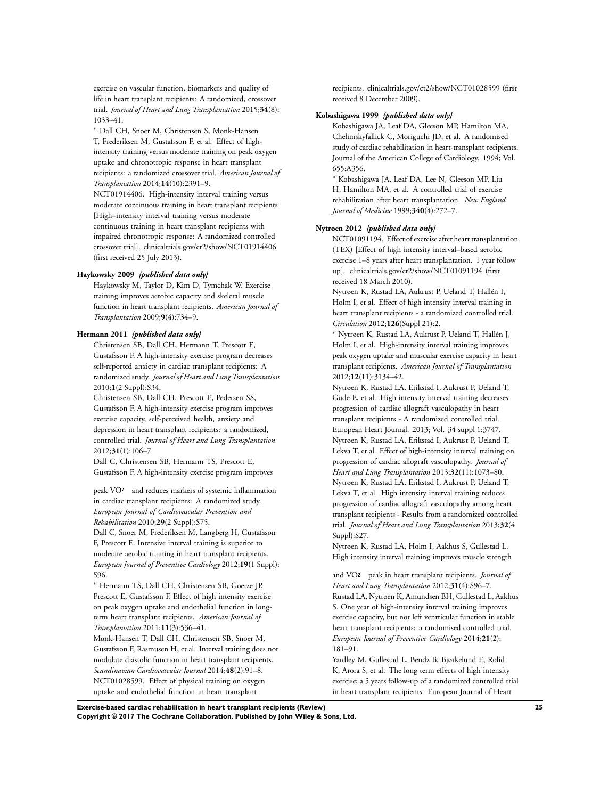exercise on vascular function, biomarkers and quality of life in heart transplant recipients: A randomized, crossover trial. *Journal of Heart and Lung Transplantation* 2015;**34**(8): 1033–41.

<sup>∗</sup> Dall CH, Snoer M, Christensen S, Monk-Hansen T, Frederiksen M, Gustafsson F, et al. Effect of highintensity training versus moderate training on peak oxygen uptake and chronotropic response in heart transplant recipients: a randomized crossover trial. *American Journal of Transplantation* 2014;**14**(10):2391–9.

NCT01914406. High-intensity interval training versus moderate continuous training in heart transplant recipients [High–intensity interval training versus moderate continuous training in heart transplant recipients with impaired chronotropic response: A randomized controlled crossover trial]. clinicaltrials.gov/ct2/show/NCT01914406 (first received 25 July 2013).

#### **Haykowsky 2009** *{published data only}*

Haykowsky M, Taylor D, Kim D, Tymchak W. Exercise training improves aerobic capacity and skeletal muscle function in heart transplant recipients. *American Journal of Transplantation* 2009;**9**(4):734–9.

# **Hermann 2011** *{published data only}*

Christensen SB, Dall CH, Hermann T, Prescott E, Gustafsson F. A high-intensity exercise program decreases self-reported anxiety in cardiac transplant recipients: A randomized study. *Journal of Heart and Lung Transplantation* 2010;**1**(2 Suppl):S34.

Christensen SB, Dall CH, Prescott E, Pedersen SS, Gustafsson F. A high-intensity exercise program improves exercise capacity, self-perceived health, anxiety and depression in heart transplant recipients: a randomized, controlled trial. *Journal of Heart and Lung Transplantation* 2012;**31**(1):106–7.

Dall C, Christensen SB, Hermann TS, Prescott E, Gustafsson F. A high-intensity exercise program improves

peak VO<sup>2</sup> and reduces markers of systemic inflammation in cardiac transplant recipients: A randomized study. *European Journal of Cardiovascular Prevention and Rehabilitation* 2010;**29**(2 Suppl):S75.

Dall C, Snoer M, Frederiksen M, Langberg H, Gustafsson F, Prescott E. Intensive interval training is superior to moderate aerobic training in heart transplant recipients. *European Journal of Preventive Cardiology* 2012;**19**(1 Suppl): S96.

<sup>∗</sup> Hermann TS, Dall CH, Christensen SB, Goetze JP, Prescott E, Gustafsson F. Effect of high intensity exercise on peak oxygen uptake and endothelial function in longterm heart transplant recipients. *American Journal of Transplantation* 2011;**11**(3):536–41.

Monk-Hansen T, Dall CH, Christensen SB, Snoer M, Gustafsson F, Rasmusen H, et al. Interval training does not modulate diastolic function in heart transplant recipients. *Scandinavian Cardiovascular Journal* 2014;**48**(2):91–8. NCT01028599. Effect of physical training on oxygen uptake and endothelial function in heart transplant

recipients. clinicaltrials.gov/ct2/show/NCT01028599 (first received 8 December 2009).

### **Kobashigawa 1999** *{published data only}*

Kobashigawa JA, Leaf DA, Gleeson MP, Hamilton MA, Chelimskyfallick C, Moriguchi JD, et al. A randomised study of cardiac rehabilitation in heart-transplant recipients. Journal of the American College of Cardiology. 1994; Vol. 655:A356.

<sup>∗</sup> Kobashigawa JA, Leaf DA, Lee N, Gleeson MP, Liu H, Hamilton MA, et al. A controlled trial of exercise rehabilitation after heart transplantation. *New England Journal of Medicine* 1999;**340**(4):272–7.

#### **Nytrøen 2012** *{published data only}*

NCT01091194. Effect of exercise after heart transplantation (TEX) [Effect of high intensity interval–based aerobic exercise 1–8 years after heart transplantation. 1 year follow up]. clinicaltrials.gov/ct2/show/NCT01091194 (first received 18 March 2010).

Nytrøen K, Rustad LA, Aukrust P, Ueland T, Hallén I, Holm I, et al. Effect of high intensity interval training in heart transplant recipients - a randomized controlled trial. *Circulation* 2012;**126**(Suppl 21):2.

<sup>∗</sup> Nytrøen K, Rustad LA, Aukrust P, Ueland T, Hallén J, Holm I, et al. High-intensity interval training improves peak oxygen uptake and muscular exercise capacity in heart transplant recipients. *American Journal of Transplantation* 2012;**12**(11):3134–42.

Nytrøen K, Rustad LA, Erikstad I, Aukrust P, Ueland T, Gude E, et al. High intensity interval training decreases progression of cardiac allograft vasculopathy in heart transplant recipients - A randomized controlled trial. European Heart Journal. 2013; Vol. 34 suppl 1:3747. Nytrøen K, Rustad LA, Erikstad I, Aukrust P, Ueland T, Lekva T, et al. Effect of high-intensity interval training on progression of cardiac allograft vasculopathy. *Journal of Heart and Lung Transplantation* 2013;**32**(11):1073–80. Nytrøen K, Rustad LA, Erikstad I, Aukrust P, Ueland T, Lekva T, et al. High intensity interval training reduces progression of cardiac allograft vasculopathy among heart transplant recipients - Results from a randomized controlled trial. *Journal of Heart and Lung Transplantation* 2013;**32**(4 Suppl):S27.

Nytrøen K, Rustad LA, Holm I, Aakhus S, Gullestad L. High intensity interval training improves muscle strength

and VO<sup>2</sup> peak in heart transplant recipients. *Journal of Heart and Lung Transplantation* 2012;**31**(4):S96–7. Rustad LA, Nytrøen K, Amundsen BH, Gullestad L, Aakhus S. One year of high-intensity interval training improves exercise capacity, but not left ventricular function in stable heart transplant recipients: a randomised controlled trial. *European Journal of Preventive Cardiology* 2014;**21**(2): 181–91.

Yardley M, Gullestad L, Bendz B, Bjørkelund E, Rolid K, Arora S, et al. The long term effects of high intensity exercise; a 5 years follow-up of a randomized controlled trial in heart transplant recipients. European Journal of Heart

**Exercise-based cardiac rehabilitation in heart transplant recipients (Review) 25 Copyright © 2017 The Cochrane Collaboration. Published by John Wiley & Sons, Ltd.**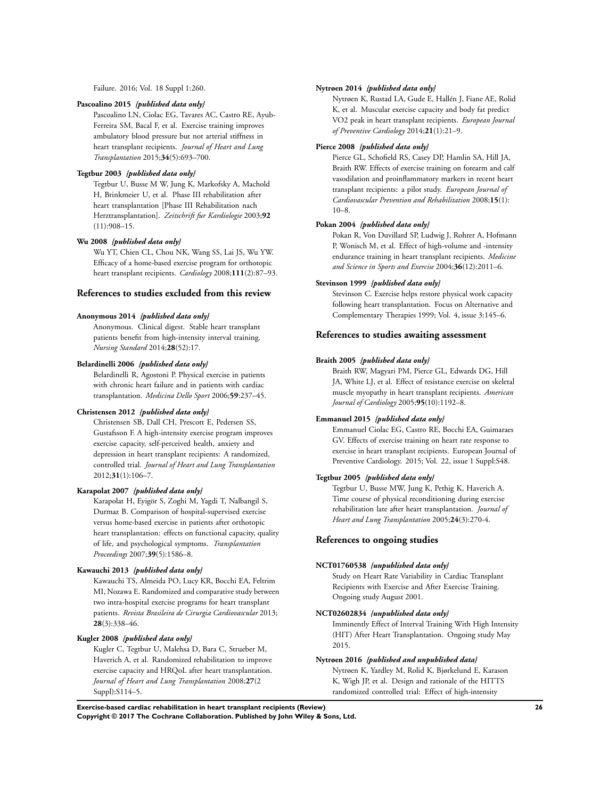Failure. 2016; Vol. 18 Suppl 1:260.

#### **Pascoalino 2015** *{published data only}*

Pascoalino LN, Ciolac EG, Tavares AC, Castro RE, Ayub-Ferreira SM, Bacal F, et al. Exercise training improves ambulatory blood pressure but not arterial stiffness in heart transplant recipients. *Journal of Heart and Lung Transplantation* 2015;**34**(5):693–700.

### **Tegtbur 2003** *{published data only}*

Tegtbur U, Busse M W, Jung K, Markofsky A, Machold H, Brinkmeier U, et al. Phase III rehabilitation after heart transplantation [Phase III Rehabilitation nach Herztransplantation]. *Zeitschrift fur Kardiologie* 2003;**92** (11):908–15.

#### **Wu 2008** *{published data only}*

Wu YT, Chien CL, Chou NK, Wang SS, Lai JS, Wu YW. Efficacy of a home-based exercise program for orthotopic heart transplant recipients. *Cardiology* 2008;**111**(2):87–93.

#### **References to studies excluded from this review**

#### **Anonymous 2014** *{published data only}*

Anonymous. Clinical digest. Stable heart transplant patients benefit from high-intensity interval training. *Nursing Standard* 2014;**28**(52):17.

### **Belardinelli 2006** *{published data only}*

Belardinelli R, Agostoni P. Physical exercise in patients with chronic heart failure and in patients with cardiac transplantation. *Medicina Dello Sport* 2006;**59**:237–45.

#### **Christensen 2012** *{published data only}*

Christensen SB, Dall CH, Prescott E, Pedersen SS, Gustafsson F. A high-intensity exercise program improves exercise capacity, self-perceived health, anxiety and depression in heart transplant recipients: A randomized, controlled trial. *Journal of Heart and Lung Transplantation* 2012;**31**(1):106–7.

#### **Karapolat 2007** *{published data only}*

Karapolat H, Eyigör S, Zoghi M, Yagdi T, Nalbangil S, Durmaz B. Comparison of hospital-supervised exercise versus home-based exercise in patients after orthotopic heart transplantation: effects on functional capacity, quality of life, and psychological symptoms. *Transplantation Proceedings* 2007;**39**(5):1586–8.

#### **Kawauchi 2013** *{published data only}*

Kawauchi TS, Almeida PO, Lucy KR, Bocchi EA, Feltrim MI, Nozawa E. Randomized and comparative study between two intra-hospital exercise programs for heart transplant patients. *Revista Brasileira de Cirurgia Cardiovascular* 2013; **28**(3):338–46.

#### **Kugler 2008** *{published data only}*

Kugler C, Tegtbur U, Malehsa D, Bara C, Strueber M, Haverich A, et al. Randomized rehabilitation to improve exercise capacity and HRQoL after heart transplantation. *Journal of Heart and Lung Transplantation* 2008;**27**(2 Suppl):S114–5.

#### **Nytrøen 2014** *{published data only}*

Nytrøen K, Rustad LA, Gude E, Hallén J, Fiane AE, Rolid K, et al. Muscular exercise capacity and body fat predict VO2 peak in heart transplant recipients. *European Journal of Preventive Cardiology* 2014;**21**(1):21–9.

#### **Pierce 2008** *{published data only}*

Pierce GL, Schofield RS, Casey DP, Hamlin SA, Hill JA, Braith RW. Effects of exercise training on forearm and calf vasodilation and proinflammatory markers in recent heart transplant recipients: a pilot study. *European Journal of Cardiovascular Prevention and Rehabilitation* 2008;**15**(1): 10–8.

#### **Pokan 2004** *{published data only}*

Pokan R, Von Duvillard SP, Ludwig J, Rohrer A, Hofmann P, Wonisch M, et al. Effect of high-volume and -intensity endurance training in heart transplant recipients. *Medicine and Science in Sports and Exercise* 2004;**36**(12):2011–6.

#### **Stevinson 1999** *{published data only}*

Stevinson C. Exercise helps restore physical work capacity following heart transplantation. Focus on Alternative and Complementary Therapies 1999; Vol. 4, issue 3:145–6.

#### **References to studies awaiting assessment**

#### **Braith 2005** *{published data only}*

Braith RW, Magyari PM, Pierce GL, Edwards DG, Hill JA, White LJ, et al. Effect of resistance exercise on skeletal muscle myopathy in heart transplant recipients. *American Journal of Cardiology* 2005;**95**(10):1192–8.

#### **Emmanuel 2015** *{published data only}*

Emmanuel Ciolac EG, Castro RE, Bocchi EA, Guimaraes GV. Effects of exercise training on heart rate response to exercise in heart transplant recipients. European Journal of Preventive Cardiology. 2015; Vol. 22, issue 1 Suppl:S48.

### **Tegtbur 2005** *{published data only}*

Tegtbur U, Busse MW, Jung K, Pethig K, Haverich A. Time course of physical reconditioning during exercise rehabilitation late after heart transplantation. *Journal of Heart and Lung Transplantation* 2005;**24**(3):270-4.

#### **References to ongoing studies**

#### **NCT01760538** *{unpublished data only}*

Study on Heart Rate Variability in Cardiac Transplant Recipients with Exercise and After Exercise Training. Ongoing study August 2001.

#### **NCT02602834** *{unpublished data only}*

Imminently Effect of Interval Training With High Intensity (HIT) After Heart Transplantation. Ongoing study May 2015.

#### **Nytrøen 2016** *{published and unpublished data}*

Nytrøen K, Yardley M, Rolid K, Bjørkelund E, Karason K, Wigh JP, et al. Design and rationale of the HITTS randomized controlled trial: Effect of high-intensity

**Exercise-based cardiac rehabilitation in heart transplant recipients (Review) 26 Copyright © 2017 The Cochrane Collaboration. Published by John Wiley & Sons, Ltd.**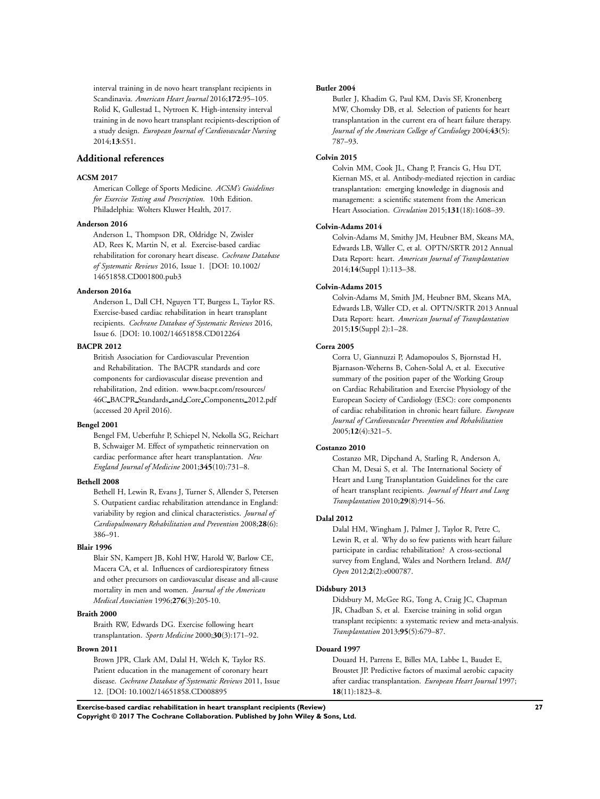interval training in de novo heart transplant recipients in Scandinavia. *American Heart Journal* 2016;**172**:95–105. Rolid K, Gullestad L, Nytroen K. High-intensity interval training in de novo heart transplant recipients-description of a study design. *European Journal of Cardiovascular Nursing* 2014;**13**:S51.

### **Additional references**

#### **ACSM 2017**

American College of Sports Medicine. *ACSM's Guidelines for Exercise Testing and Prescription*. 10th Edition. Philadelphia: Wolters Kluwer Health, 2017.

### **Anderson 2016**

Anderson L, Thompson DR, Oldridge N, Zwisler AD, Rees K, Martin N, et al. Exercise-based cardiac rehabilitation for coronary heart disease. *Cochrane Database of Systematic Reviews* 2016, Issue 1. [DOI: 10.1002/ 14651858.CD001800.pub3

#### **Anderson 2016a**

Anderson L, Dall CH, Nguyen TT, Burgess L, Taylor RS. Exercise-based cardiac rehabilitation in heart transplant recipients. *Cochrane Database of Systematic Reviews* 2016, Issue 6. [DOI: 10.1002/14651858.CD012264

#### **BACPR 2012**

British Association for Cardiovascular Prevention and Rehabilitation. The BACPR standards and core components for cardiovascular disease prevention and rehabilitation, 2nd edition. www.bacpr.com/resources/ 46C BACPR Standards and Core Components 2012.pdf (accessed 20 April 2016).

#### **Bengel 2001**

Bengel FM, Ueberfuhr P, Schiepel N, Nekolla SG, Reichart B, Schwaiger M. Effect of sympathetic reinnervation on cardiac performance after heart transplantation. *New England Journal of Medicine* 2001;**345**(10):731–8.

### **Bethell 2008**

Bethell H, Lewin R, Evans J, Turner S, Allender S, Petersen S. Outpatient cardiac rehabilitation attendance in England: variability by region and clinical characteristics. *Journal of Cardiopulmonary Rehabilitation and Prevention* 2008;**28**(6): 386–91.

#### **Blair 1996**

Blair SN, Kampert JB, Kohl HW, Harold W, Barlow CE, Macera CA, et al. Influences of cardiorespiratory fitness and other precursors on cardiovascular disease and all-cause mortality in men and women. *Journal of the American Medical Association* 1996;**276**(3):205-10.

#### **Braith 2000**

Braith RW, Edwards DG. Exercise following heart transplantation. *Sports Medicine* 2000;**30**(3):171–92.

#### **Brown 2011**

Brown JPR, Clark AM, Dalal H, Welch K, Taylor RS. Patient education in the management of coronary heart disease. *Cochrane Database of Systematic Reviews* 2011, Issue 12. [DOI: 10.1002/14651858.CD008895

#### **Butler 2004**

Butler J, Khadim G, Paul KM, Davis SF, Kronenberg MW, Chomsky DB, et al. Selection of patients for heart transplantation in the current era of heart failure therapy. *Journal of the American College of Cardiology* 2004;**43**(5): 787–93.

#### **Colvin 2015**

Colvin MM, Cook JL, Chang P, Francis G, Hsu DT, Kiernan MS, et al. Antibody-mediated rejection in cardiac transplantation: emerging knowledge in diagnosis and management: a scientific statement from the American Heart Association. *Circulation* 2015;**131**(18):1608–39.

#### **Colvin-Adams 2014**

Colvin-Adams M, Smithy JM, Heubner BM, Skeans MA, Edwards LB, Waller C, et al. OPTN/SRTR 2012 Annual Data Report: heart. *American Journal of Transplantation* 2014;**14**(Suppl 1):113–38.

#### **Colvin-Adams 2015**

Colvin-Adams M, Smith JM, Heubner BM, Skeans MA, Edwards LB, Waller CD, et al. OPTN/SRTR 2013 Annual Data Report: heart. *American Journal of Transplantation* 2015;**15**(Suppl 2):1–28.

#### **Corra 2005**

Corra U, Giannuzzi P, Adamopoulos S, Bjornstad H, Bjarnason-Weherns B, Cohen-Solal A, et al. Executive summary of the position paper of the Working Group on Cardiac Rehabilitation and Exercise Physiology of the European Society of Cardiology (ESC): core components of cardiac rehabilitation in chronic heart failure. *European Journal of Cardiovascular Prevention and Rehabilitation* 2005;**12**(4):321–5.

### **Costanzo 2010**

Costanzo MR, Dipchand A, Starling R, Anderson A, Chan M, Desai S, et al. The International Society of Heart and Lung Transplantation Guidelines for the care of heart transplant recipients. *Journal of Heart and Lung Transplantation* 2010;**29**(8):914–56.

#### **Dalal 2012**

Dalal HM, Wingham J, Palmer J, Taylor R, Petre C, Lewin R, et al. Why do so few patients with heart failure participate in cardiac rehabilitation? A cross-sectional survey from England, Wales and Northern Ireland. *BMJ Open* 2012;**2**(2):e000787.

#### **Didsbury 2013**

Didsbury M, McGee RG, Tong A, Craig JC, Chapman JR, Chadban S, et al. Exercise training in solid organ transplant recipients: a systematic review and meta-analysis. *Transplantation* 2013;**95**(5):679–87.

#### **Douard 1997**

Douard H, Parrens E, Billes MA, Labbe L, Baudet E, Broustet JP. Predictive factors of maximal aerobic capacity after cardiac transplantation. *European Heart Journal* 1997; **18**(11):1823–8.

**Exercise-based cardiac rehabilitation in heart transplant recipients (Review) 27 Copyright © 2017 The Cochrane Collaboration. Published by John Wiley & Sons, Ltd.**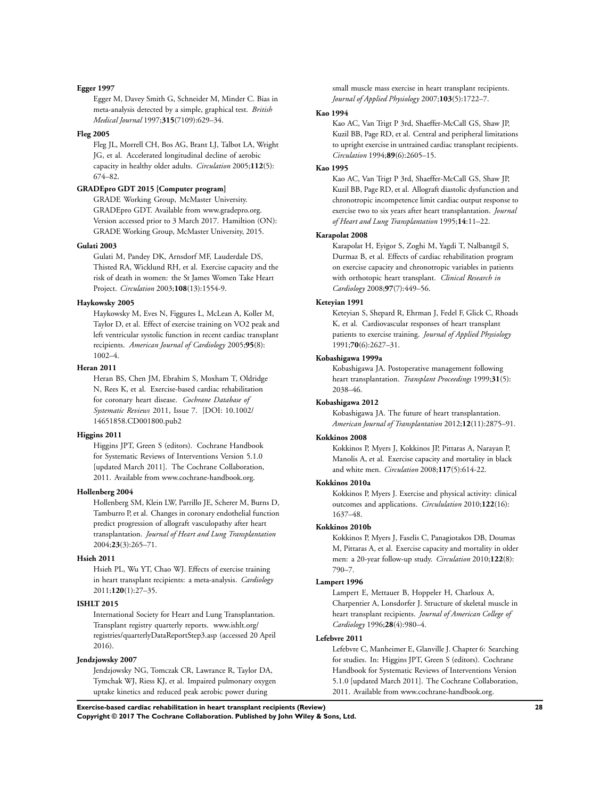#### **Egger 1997**

Egger M, Davey Smith G, Schneider M, Minder C. Bias in meta-analysis detected by a simple, graphical test. *British Medical Journal* 1997;**315**(7109):629–34.

#### **Fleg 2005**

Fleg JL, Morrell CH, Bos AG, Brant LJ, Talbot LA, Wright JG, et al. Accelerated longitudinal decline of aerobic capacity in healthy older adults. *Circulation* 2005;**112**(5): 674–82.

### **GRADEpro GDT 2015 [Computer program]**

GRADE Working Group, McMaster University. GRADEpro GDT. Available from www.gradepro.org. Version accessed prior to 3 March 2017. Hamiltion (ON): GRADE Working Group, McMaster University, 2015.

#### **Gulati 2003**

Gulati M, Pandey DK, Arnsdorf MF, Lauderdale DS, Thisted RA, Wicklund RH, et al. Exercise capacity and the risk of death in women: the St James Women Take Heart Project. *Circulation* 2003;**108**(13):1554-9.

### **Haykowsky 2005**

Haykowsky M, Eves N, Figgures L, McLean A, Koller M, Taylor D, et al. Effect of exercise training on VO2 peak and left ventricular systolic function in recent cardiac transplant recipients. *American Journal of Cardiology* 2005;**95**(8): 1002–4.

#### **Heran 2011**

Heran BS, Chen JM, Ebrahim S, Moxham T, Oldridge N, Rees K, et al. Exercise-based cardiac rehabilitation for coronary heart disease. *Cochrane Database of Systematic Reviews* 2011, Issue 7. [DOI: 10.1002/ 14651858.CD001800.pub2

#### **Higgins 2011**

Higgins JPT, Green S (editors). Cochrane Handbook for Systematic Reviews of Interventions Version 5.1.0 [updated March 2011]. The Cochrane Collaboration, 2011. Available from www.cochrane-handbook.org.

#### **Hollenberg 2004**

Hollenberg SM, Klein LW, Parrillo JE, Scherer M, Burns D, Tamburro P, et al. Changes in coronary endothelial function predict progression of allograft vasculopathy after heart transplantation. *Journal of Heart and Lung Transplantation* 2004;**23**(3):265–71.

#### **Hsieh 2011**

Hsieh PL, Wu YT, Chao WJ. Effects of exercise training in heart transplant recipients: a meta-analysis. *Cardiology* 2011;**120**(1):27–35.

# **ISHLT 2015**

International Society for Heart and Lung Transplantation. Transplant registry quarterly reports. www.ishlt.org/ registries/quarterlyDataReportStep3.asp (accessed 20 April 2016).

#### **Jendzjowsky 2007**

Jendzjowsky NG, Tomczak CR, Lawrance R, Taylor DA, Tymchak WJ, Riess KJ, et al. Impaired pulmonary oxygen uptake kinetics and reduced peak aerobic power during

small muscle mass exercise in heart transplant recipients. *Journal of Applied Physiology* 2007;**103**(5):1722–7.

#### **Kao 1994**

Kao AC, Van Trigt P 3rd, Shaeffer-McCall GS, Shaw JP, Kuzil BB, Page RD, et al. Central and peripheral limitations to upright exercise in untrained cardiac transplant recipients. *Circulation* 1994;**89**(6):2605–15.

#### **Kao 1995**

Kao AC, Van Trigt P 3rd, Shaeffer-McCall GS, Shaw JP, Kuzil BB, Page RD, et al. Allograft diastolic dysfunction and chronotropic incompetence limit cardiac output response to exercise two to six years after heart transplantation. *Journal of Heart and Lung Transplantation* 1995;**14**:11–22.

#### **Karapolat 2008**

Karapolat H, Eyigor S, Zoghi M, Yagdi T, Nalbantgil S, Durmaz B, et al. Effects of cardiac rehabilitation program on exercise capacity and chronotropic variables in patients with orthotopic heart transplant. *Clinical Research in Cardiology* 2008;**97**(7):449–56.

#### **Keteyian 1991**

Keteyian S, Shepard R, Ehrman J, Fedel F, Glick C, Rhoads K, et al. Cardiovascular responses of heart transplant patients to exercise training. *Journal of Applied Physiology* 1991;**70**(6):2627–31.

#### **Kobashigawa 1999a**

Kobashigawa JA. Postoperative management following heart transplantation. *Transplant Proceedings* 1999;**31**(5): 2038–46.

#### **Kobashigawa 2012**

Kobashigawa JA. The future of heart transplantation. *American Journal of Transplantation* 2012;**12**(11):2875–91.

### **Kokkinos 2008**

Kokkinos P, Myers J, Kokkinos JP, Pittaras A, Narayan P, Manolis A, et al. Exercise capacity and mortality in black and white men. *Circulation* 2008;**117**(5):614-22.

#### **Kokkinos 2010a**

Kokkinos P, Myers J. Exercise and physical activity: clinical outcomes and applications. *Circululation* 2010;**122**(16): 1637–48.

#### **Kokkinos 2010b**

Kokkinos P, Myers J, Faselis C, Panagiotakos DB, Doumas M, Pittaras A, et al. Exercise capacity and mortality in older men: a 20-year follow-up study. *Circulation* 2010;**122**(8): 790–7.

#### **Lampert 1996**

Lampert E, Mettauer B, Hoppeler H, Charloux A, Charpentier A, Lonsdorfer J. Structure of skeletal muscle in heart transplant recipients. *Journal of American College of Cardiology* 1996;**28**(4):980–4.

#### **Lefebvre 2011**

Lefebvre C, Manheimer E, Glanville J. Chapter 6: Searching for studies. In: Higgins JPT, Green S (editors). Cochrane Handbook for Systematic Reviews of Interventions Version 5.1.0 [updated March 2011]. The Cochrane Collaboration, 2011. Available from www.cochrane-handbook.org.

**Exercise-based cardiac rehabilitation in heart transplant recipients (Review) 28**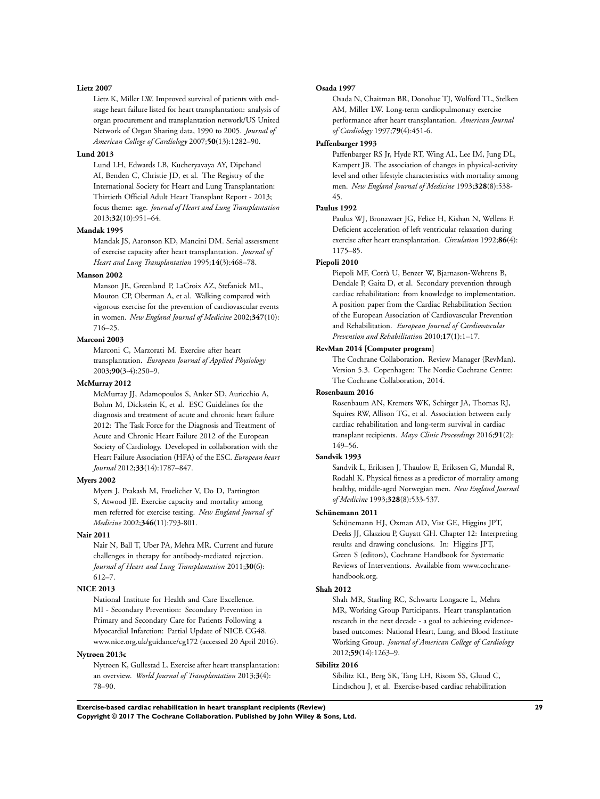#### **Lietz 2007**

Lietz K, Miller LW. Improved survival of patients with endstage heart failure listed for heart transplantation: analysis of organ procurement and transplantation network/US United Network of Organ Sharing data, 1990 to 2005. *Journal of American College of Cardiology* 2007;**50**(13):1282–90.

#### **Lund 2013**

Lund LH, Edwards LB, Kucheryavaya AY, Dipchand AI, Benden C, Christie JD, et al. The Registry of the International Society for Heart and Lung Transplantation: Thirtieth Official Adult Heart Transplant Report - 2013; focus theme: age. *Journal of Heart and Lung Transplantation* 2013;**32**(10):951–64.

#### **Mandak 1995**

Mandak JS, Aaronson KD, Mancini DM. Serial assessment of exercise capacity after heart transplantation. *Journal of Heart and Lung Transplantation* 1995;**14**(3):468–78.

#### **Manson 2002**

Manson JE, Greenland P, LaCroix AZ, Stefanick ML, Mouton CP, Oberman A, et al. Walking compared with vigorous exercise for the prevention of cardiovascular events in women. *New England Journal of Medicine* 2002;**347**(10): 716–25.

#### **Marconi 2003**

Marconi C, Marzorati M. Exercise after heart transplantation. *European Journal of Applied Physiology* 2003;**90**(3-4):250–9.

#### **McMurray 2012**

McMurray JJ, Adamopoulos S, Anker SD, Auricchio A, Bohm M, Dickstein K, et al. ESC Guidelines for the diagnosis and treatment of acute and chronic heart failure 2012: The Task Force for the Diagnosis and Treatment of Acute and Chronic Heart Failure 2012 of the European Society of Cardiology. Developed in collaboration with the Heart Failure Association (HFA) of the ESC. *European heart Journal* 2012;**33**(14):1787–847.

### **Myers 2002**

Myers J, Prakash M, Froelicher V, Do D, Partington S, Atwood JE. Exercise capacity and mortality among men referred for exercise testing. *New England Journal of Medicine* 2002;**346**(11):793-801.

#### **Nair 2011**

Nair N, Ball T, Uber PA, Mehra MR. Current and future challenges in therapy for antibody-mediated rejection. *Journal of Heart and Lung Transplantation* 2011;**30**(6): 612–7.

#### **NICE 2013**

National Institute for Health and Care Excellence. MI - Secondary Prevention: Secondary Prevention in Primary and Secondary Care for Patients Following a Myocardial Infarction: Partial Update of NICE CG48. www.nice.org.uk/guidance/cg172 (accessed 20 April 2016).

### **Nytrøen 2013c**

Nytrøen K, Gullestad L. Exercise after heart transplantation: an overview. *World Journal of Transplantation* 2013;**3**(4): 78–90.

#### **Osada 1997**

Osada N, Chaitman BR, Donohue TJ, Wolford TL, Stelken AM, Miller LW. Long-term cardiopulmonary exercise performance after heart transplantation. *American Journal of Cardiology* 1997;**79**(4):451-6.

### **Paffenbarger 1993**

Paffenbarger RS Jr, Hyde RT, Wing AL, Lee IM, Jung DL, Kampert JB. The association of changes in physical-activity level and other lifestyle characteristics with mortality among men. *New England Journal of Medicine* 1993;**328**(8):538- 45.

#### **Paulus 1992**

Paulus WJ, Bronzwaer JG, Felice H, Kishan N, Wellens F. Deficient acceleration of left ventricular relaxation during exercise after heart transplantation. *Circulation* 1992;**86**(4): 1175–85.

#### **Piepoli 2010**

Piepoli MF, Corrà U, Benzer W, Bjarnason-Wehrens B, Dendale P, Gaita D, et al. Secondary prevention through cardiac rehabilitation: from knowledge to implementation. A position paper from the Cardiac Rehabilitation Section of the European Association of Cardiovascular Prevention and Rehabilitation. *European Journal of Cardiovascular Prevention and Rehabilitation* 2010;**17**(1):1–17.

#### **RevMan 2014 [Computer program]**

The Cochrane Collaboration. Review Manager (RevMan). Version 5.3. Copenhagen: The Nordic Cochrane Centre: The Cochrane Collaboration, 2014.

#### **Rosenbaum 2016**

Rosenbaum AN, Kremers WK, Schirger JA, Thomas RJ, Squires RW, Allison TG, et al. Association between early cardiac rehabilitation and long-term survival in cardiac transplant recipients. *Mayo Clinic Proceedings* 2016;**91**(2): 149–56.

#### **Sandvik 1993**

Sandvik L, Erikssen J, Thaulow E, Erikssen G, Mundal R, Rodahl K. Physical fitness as a predictor of mortality among healthy, middle-aged Norwegian men. *New England Journal of Medicine* 1993;**328**(8):533-537.

#### **Schünemann 2011**

Schünemann HJ, Oxman AD, Vist GE, Higgins JPT, Deeks JJ, Glasziou P, Guyatt GH. Chapter 12: Interpreting results and drawing conclusions. In: Higgins JPT, Green S (editors), Cochrane Handbook for Systematic Reviews of Interventions. Available from www.cochranehandbook.org.

#### **Shah 2012**

Shah MR, Starling RC, Schwartz Longacre L, Mehra MR, Working Group Participants. Heart transplantation research in the next decade - a goal to achieving evidencebased outcomes: National Heart, Lung, and Blood Institute Working Group. *Journal of American College of Cardiology* 2012;**59**(14):1263–9.

#### **Sibilitz 2016**

Sibilitz KL, Berg SK, Tang LH, Risom SS, Gluud C, Lindschou J, et al. Exercise-based cardiac rehabilitation

**Exercise-based cardiac rehabilitation in heart transplant recipients (Review) 29 Copyright © 2017 The Cochrane Collaboration. Published by John Wiley & Sons, Ltd.**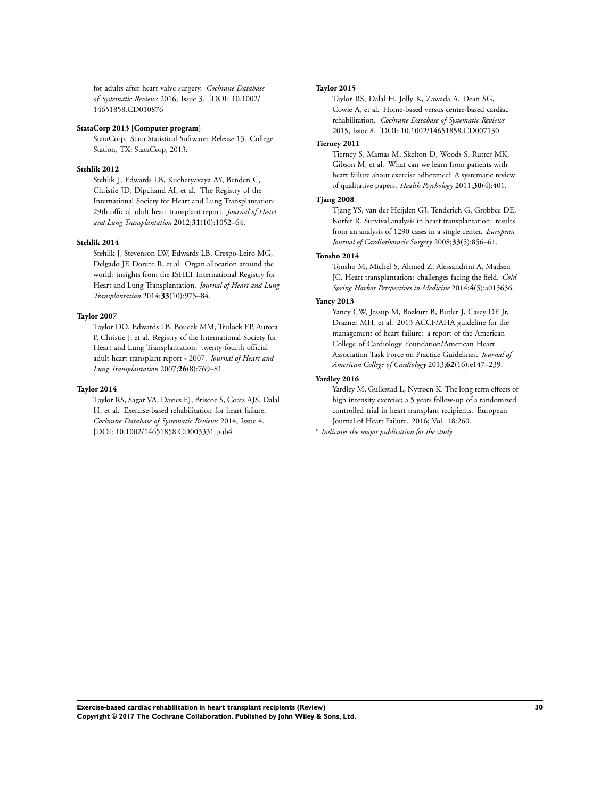for adults after heart valve surgery. *Cochrane Database of Systematic Reviews* 2016, Issue 3. [DOI: 10.1002/ 14651858.CD010876

### **StataCorp 2013 [Computer program]**

StataCorp. Stata Statistical Software: Release 13. College Station, TX: StataCorp, 2013.

#### **Stehlik 2012**

Stehlik J, Edwards LB, Kucheryavaya AY, Benden C, Christie JD, Dipchand AI, et al. The Registry of the International Society for Heart and Lung Transplantation: 29th official adult heart transplant report. *Journal of Heart and Lung Transplantation* 2012;**31**(10):1052–64.

#### **Stehlik 2014**

Stehlik J, Stevenson LW, Edwards LB, Crespo-Leiro MG, Delgado JF, Dorent R, et al. Organ allocation around the world: insights from the ISHLT International Registry for Heart and Lung Transplantation. *Journal of Heart and Lung Transplantation* 2014;**33**(10):975–84.

#### **Taylor 2007**

Taylor DO, Edwards LB, Boucek MM, Trulock EP, Aurora P, Christie J, et al. Registry of the International Society for Heart and Lung Transplantation: twenty-fourth official adult heart transplant report - 2007. *Journal of Heart and Lung Transplantation* 2007;**26**(8):769–81.

#### **Taylor 2014**

Taylor RS, Sagar VA, Davies EJ, Briscoe S, Coats AJS, Dalal H, et al. Exercise-based rehabilitation for heart failure. *Cochrane Database of Systematic Reviews* 2014, Issue 4. [DOI: 10.1002/14651858.CD003331.pub4

#### **Taylor 2015**

Taylor RS, Dalal H, Jolly K, Zawada A, Dean SG, Cowie A, et al. Home-based versus centre-based cardiac rehabilitation. *Cochrane Database of Systematic Reviews* 2015, Issue 8. [DOI: 10.1002/14651858.CD007130

#### **Tierney 2011**

Tierney S, Mamas M, Skelton D, Woods S, Rutter MK, Gibson M, et al. What can we learn from patients with heart failure about exercise adherence? A systematic review of qualitative papers. *Health Psychology* 2011;**30**(4):401.

#### **Tjang 2008**

Tjang YS, van der Heijden GJ, Tenderich G, Grobbee DE, Korfer R. Survival analysis in heart transplantation: results from an analysis of 1290 cases in a single center. *European Journal of Cardiothoracic Surgery* 2008;**33**(5):856–61.

#### **Tonsho 2014**

Tonsho M, Michel S, Ahmed Z, Alessandrini A, Madsen JC. Heart transplantation: challenges facing the field. *Cold Spring Harbor Perspectives in Medicine* 2014;**4**(5):a015636.

#### **Yancy 2013**

Yancy CW, Jessup M, Bozkurt B, Butler J, Casey DE Jr, Drazner MH, et al. 2013 ACCF/AHA guideline for the management of heart failure: a report of the American College of Cardiology Foundation/American Heart Association Task Force on Practice Guidelines. *Journal of American College of Cardiology* 2013;**62**(16):e147–239.

#### **Yardley 2016**

Yardley M, Gullestad L, Nytrøen K. The long term effects of high intensity exercise; a 5 years follow-up of a randomized controlled trial in heart transplant recipients. European Journal of Heart Failure. 2016; Vol. 18:260.

∗ *Indicates the major publication for the study*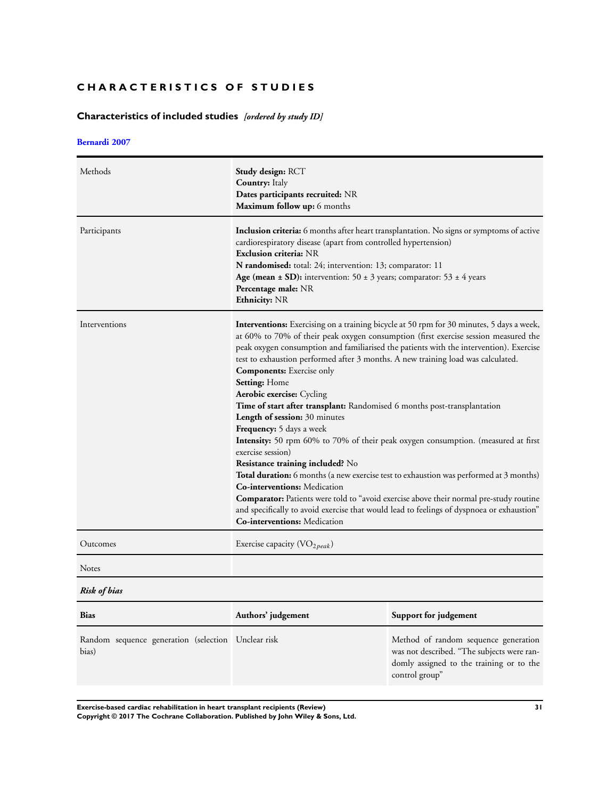# <span id="page-32-0"></span>**CHARACTERISTICS OF STUDIES**

# **Characteristics of included studies** *[ordered by study ID]*

# **[Bernardi 2007](#page-25-0)**

| Methods                                                     | <b>Study design: RCT</b><br>Country: Italy<br>Dates participants recruited: NR<br>Maximum follow up: 6 months                                                                                                                                                                                                                                                                                                                                                                                                                                                                                                                                                                                                                                                                                                                                                                                                                                                                                                                                                                |                                                                                                                                |  |
|-------------------------------------------------------------|------------------------------------------------------------------------------------------------------------------------------------------------------------------------------------------------------------------------------------------------------------------------------------------------------------------------------------------------------------------------------------------------------------------------------------------------------------------------------------------------------------------------------------------------------------------------------------------------------------------------------------------------------------------------------------------------------------------------------------------------------------------------------------------------------------------------------------------------------------------------------------------------------------------------------------------------------------------------------------------------------------------------------------------------------------------------------|--------------------------------------------------------------------------------------------------------------------------------|--|
| Participants                                                | <b>Inclusion criteria:</b> 6 months after heart transplantation. No signs or symptoms of active<br>cardiorespiratory disease (apart from controlled hypertension)<br><b>Exclusion criteria: NR</b><br>N randomised: total: 24; intervention: 13; comparator: 11<br><b>Age (mean ± SD):</b> intervention: 50 ± 3 years; comparator: 53 ± 4 years<br>Percentage male: NR<br>Ethnicity: NR                                                                                                                                                                                                                                                                                                                                                                                                                                                                                                                                                                                                                                                                                      |                                                                                                                                |  |
| Interventions                                               | <b>Interventions:</b> Exercising on a training bicycle at 50 rpm for 30 minutes, 5 days a week,<br>at 60% to 70% of their peak oxygen consumption (first exercise session measured the<br>peak oxygen consumption and familiarised the patients with the intervention). Exercise<br>test to exhaustion performed after 3 months. A new training load was calculated.<br><b>Components:</b> Exercise only<br><b>Setting:</b> Home<br>Aerobic exercise: Cycling<br>Time of start after transplant: Randomised 6 months post-transplantation<br>Length of session: 30 minutes<br>Frequency: 5 days a week<br>Intensity: 50 rpm 60% to 70% of their peak oxygen consumption. (measured at first<br>exercise session)<br>Resistance training included? No<br>Total duration: 6 months (a new exercise test to exhaustion was performed at 3 months)<br><b>Co-interventions:</b> Medication<br>Comparator: Patients were told to "avoid exercise above their normal pre-study routine<br>and specifically to avoid exercise that would lead to feelings of dyspnoea or exhaustion" |                                                                                                                                |  |
| Outcomes                                                    | Exercise capacity $(\text{VO}_{2\text{peak}})$                                                                                                                                                                                                                                                                                                                                                                                                                                                                                                                                                                                                                                                                                                                                                                                                                                                                                                                                                                                                                               |                                                                                                                                |  |
| Notes                                                       |                                                                                                                                                                                                                                                                                                                                                                                                                                                                                                                                                                                                                                                                                                                                                                                                                                                                                                                                                                                                                                                                              |                                                                                                                                |  |
| <b>Risk of bias</b>                                         |                                                                                                                                                                                                                                                                                                                                                                                                                                                                                                                                                                                                                                                                                                                                                                                                                                                                                                                                                                                                                                                                              |                                                                                                                                |  |
| <b>Bias</b>                                                 | Authors' judgement                                                                                                                                                                                                                                                                                                                                                                                                                                                                                                                                                                                                                                                                                                                                                                                                                                                                                                                                                                                                                                                           | Support for judgement                                                                                                          |  |
| Random sequence generation (selection Unclear risk<br>bias) |                                                                                                                                                                                                                                                                                                                                                                                                                                                                                                                                                                                                                                                                                                                                                                                                                                                                                                                                                                                                                                                                              | Method of random sequence generation<br>was not described. "The subjects were ran-<br>domly assigned to the training or to the |  |

**Exercise-based cardiac rehabilitation in heart transplant recipients (Review) 31**

**Copyright © 2017 The Cochrane Collaboration. Published by John Wiley & Sons, Ltd.**

control group"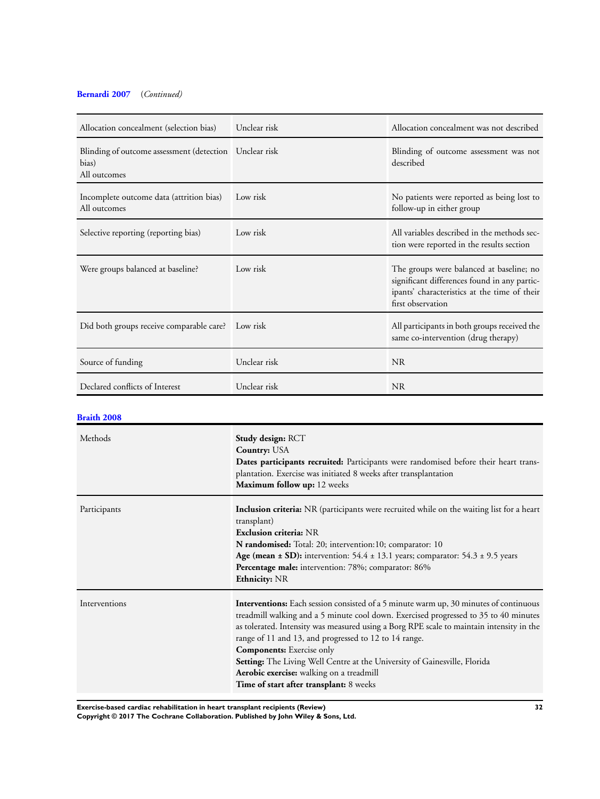# **[Bernardi 2007](#page-25-0)** (*Continued)*

| Allocation concealment (selection bias)                                           | Unclear risk | Allocation concealment was not described                                                                                                                      |
|-----------------------------------------------------------------------------------|--------------|---------------------------------------------------------------------------------------------------------------------------------------------------------------|
| Blinding of outcome assessment (detection   Unclear risk<br>bias)<br>All outcomes |              | Blinding of outcome assessment was not<br>described                                                                                                           |
| Incomplete outcome data (attrition bias)<br>All outcomes                          | Low risk     | No patients were reported as being lost to<br>follow-up in either group                                                                                       |
| Selective reporting (reporting bias)                                              | Low risk     | All variables described in the methods sec-<br>tion were reported in the results section                                                                      |
| Were groups balanced at baseline?                                                 | Low risk     | The groups were balanced at baseline; no<br>significant differences found in any partic-<br>ipants' characteristics at the time of their<br>first observation |
| Did both groups receive comparable care? Low risk                                 |              | All participants in both groups received the<br>same co-intervention (drug therapy)                                                                           |
| Source of funding                                                                 | Unclear risk | <b>NR</b>                                                                                                                                                     |
| Declared conflicts of Interest                                                    | Unclear risk | <b>NR</b>                                                                                                                                                     |

# **[Braith 2008](#page-25-0)**

| Methods       | Study design: RCT<br><b>Country: USA</b><br><b>Dates participants recruited:</b> Participants were randomised before their heart trans-<br>plantation. Exercise was initiated 8 weeks after transplantation<br>Maximum follow up: 12 weeks                                                                                                                                                                                                                                                                                                        |
|---------------|---------------------------------------------------------------------------------------------------------------------------------------------------------------------------------------------------------------------------------------------------------------------------------------------------------------------------------------------------------------------------------------------------------------------------------------------------------------------------------------------------------------------------------------------------|
| Participants  | <b>Inclusion criteria:</b> NR (participants were recruited while on the waiting list for a heart<br>transplant)<br><b>Exclusion criteria: NR</b><br>N randomised: Total: 20; intervention:10; comparator: 10<br>Age (mean $\pm$ SD): intervention: 54.4 $\pm$ 13.1 years; comparator: 54.3 $\pm$ 9.5 years<br>Percentage male: intervention: 78%; comparator: 86%<br><b>Ethnicity: NR</b>                                                                                                                                                         |
| Interventions | <b>Interventions:</b> Each session consisted of a 5 minute warm up, 30 minutes of continuous<br>treadmill walking and a 5 minute cool down. Exercised progressed to 35 to 40 minutes<br>as tolerated. Intensity was measured using a Borg RPE scale to maintain intensity in the<br>range of 11 and 13, and progressed to 12 to 14 range.<br><b>Components:</b> Exercise only<br>Setting: The Living Well Centre at the University of Gainesville, Florida<br>Aerobic exercise: walking on a treadmill<br>Time of start after transplant: 8 weeks |

**Exercise-based cardiac rehabilitation in heart transplant recipients (Review) 32**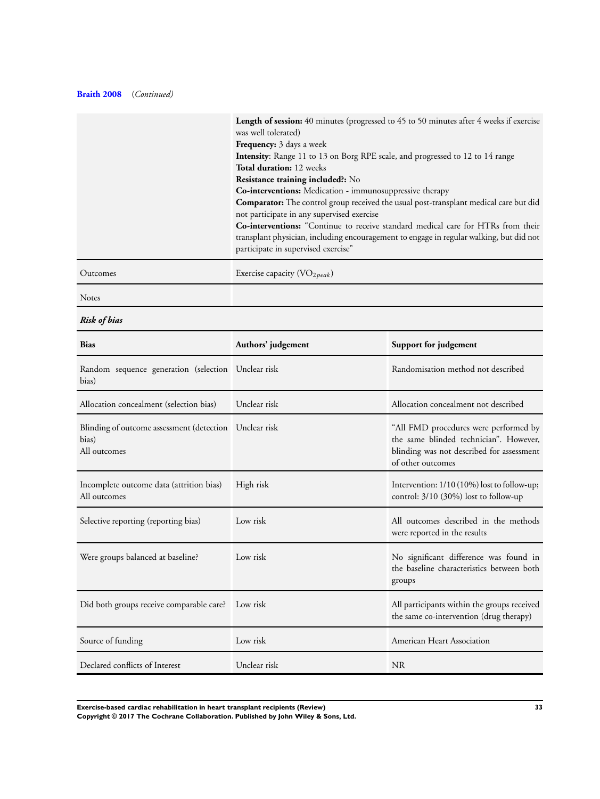# **[Braith 2008](#page-25-0)** (*Continued)*

|                                                                                 | <b>Length of session:</b> 40 minutes (progressed to 45 to 50 minutes after 4 weeks if exercise<br>was well tolerated)<br>Frequency: 3 days a week<br>Intensity: Range 11 to 13 on Borg RPE scale, and progressed to 12 to 14 range<br>Total duration: 12 weeks<br>Resistance training included?: No<br>Co-interventions: Medication - immunosuppressive therapy<br>Comparator: The control group received the usual post-transplant medical care but did<br>not participate in any supervised exercise<br>Co-interventions: "Continue to receive standard medical care for HTRs from their<br>transplant physician, including encouragement to engage in regular walking, but did not<br>participate in supervised exercise" |                                                                                                                                                   |  |  |  |
|---------------------------------------------------------------------------------|------------------------------------------------------------------------------------------------------------------------------------------------------------------------------------------------------------------------------------------------------------------------------------------------------------------------------------------------------------------------------------------------------------------------------------------------------------------------------------------------------------------------------------------------------------------------------------------------------------------------------------------------------------------------------------------------------------------------------|---------------------------------------------------------------------------------------------------------------------------------------------------|--|--|--|
| Outcomes                                                                        | Exercise capacity (VO <sub>2peak</sub> )                                                                                                                                                                                                                                                                                                                                                                                                                                                                                                                                                                                                                                                                                     |                                                                                                                                                   |  |  |  |
| Notes                                                                           |                                                                                                                                                                                                                                                                                                                                                                                                                                                                                                                                                                                                                                                                                                                              |                                                                                                                                                   |  |  |  |
| <b>Risk of bias</b>                                                             |                                                                                                                                                                                                                                                                                                                                                                                                                                                                                                                                                                                                                                                                                                                              |                                                                                                                                                   |  |  |  |
| <b>Bias</b>                                                                     | Authors' judgement                                                                                                                                                                                                                                                                                                                                                                                                                                                                                                                                                                                                                                                                                                           | Support for judgement                                                                                                                             |  |  |  |
| Random sequence generation (selection Unclear risk<br>bias)                     |                                                                                                                                                                                                                                                                                                                                                                                                                                                                                                                                                                                                                                                                                                                              | Randomisation method not described                                                                                                                |  |  |  |
| Allocation concealment (selection bias)                                         | Unclear risk                                                                                                                                                                                                                                                                                                                                                                                                                                                                                                                                                                                                                                                                                                                 | Allocation concealment not described                                                                                                              |  |  |  |
| Blinding of outcome assessment (detection Unclear risk<br>bias)<br>All outcomes |                                                                                                                                                                                                                                                                                                                                                                                                                                                                                                                                                                                                                                                                                                                              | "All FMD procedures were performed by<br>the same blinded technician". However,<br>blinding was not described for assessment<br>of other outcomes |  |  |  |
| Incomplete outcome data (attrition bias)<br>All outcomes                        | High risk                                                                                                                                                                                                                                                                                                                                                                                                                                                                                                                                                                                                                                                                                                                    | Intervention: 1/10 (10%) lost to follow-up;<br>control: 3/10 (30%) lost to follow-up                                                              |  |  |  |
| Selective reporting (reporting bias)                                            | Low risk                                                                                                                                                                                                                                                                                                                                                                                                                                                                                                                                                                                                                                                                                                                     | All outcomes described in the methods<br>were reported in the results                                                                             |  |  |  |
| Were groups balanced at baseline?                                               | Low risk                                                                                                                                                                                                                                                                                                                                                                                                                                                                                                                                                                                                                                                                                                                     | No significant difference was found in<br>the baseline characteristics between both<br>groups                                                     |  |  |  |
| Did both groups receive comparable care? Low risk                               |                                                                                                                                                                                                                                                                                                                                                                                                                                                                                                                                                                                                                                                                                                                              | All participants within the groups received<br>the same co-intervention (drug therapy)                                                            |  |  |  |
| Source of funding                                                               | Low risk                                                                                                                                                                                                                                                                                                                                                                                                                                                                                                                                                                                                                                                                                                                     | American Heart Association                                                                                                                        |  |  |  |
| Declared conflicts of Interest                                                  | Unclear risk                                                                                                                                                                                                                                                                                                                                                                                                                                                                                                                                                                                                                                                                                                                 | <b>NR</b>                                                                                                                                         |  |  |  |

**Exercise-based cardiac rehabilitation in heart transplant recipients (Review) 33**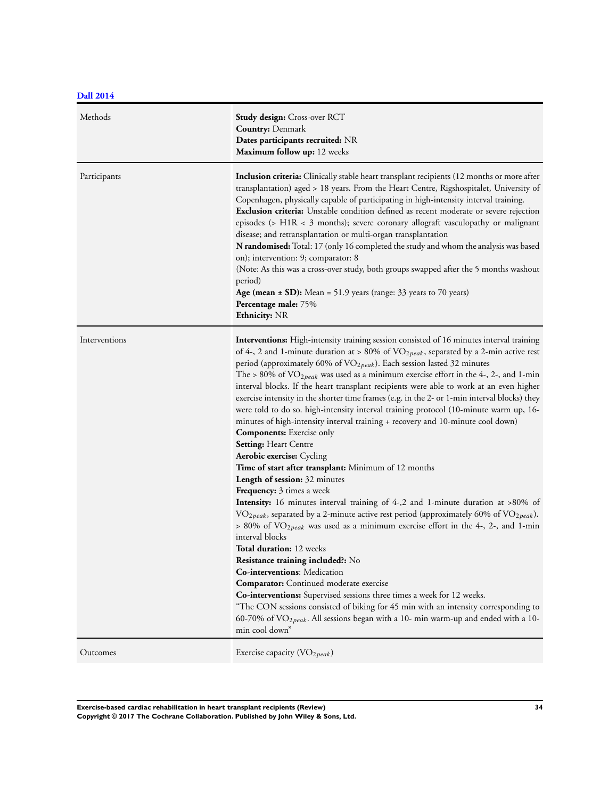| .<br>٦ | . . |
|--------|-----|
|        |     |

| Methods       | Study design: Cross-over RCT<br><b>Country: Denmark</b><br>Dates participants recruited: NR<br>Maximum follow up: 12 weeks                                                                                                                                                                                                                                                                                                                                                                                                                                                                                                                                                                                                                                                                                                                                                                                                                                                                                                                                                                                                                                                                                                                                                                                                                                    |
|---------------|---------------------------------------------------------------------------------------------------------------------------------------------------------------------------------------------------------------------------------------------------------------------------------------------------------------------------------------------------------------------------------------------------------------------------------------------------------------------------------------------------------------------------------------------------------------------------------------------------------------------------------------------------------------------------------------------------------------------------------------------------------------------------------------------------------------------------------------------------------------------------------------------------------------------------------------------------------------------------------------------------------------------------------------------------------------------------------------------------------------------------------------------------------------------------------------------------------------------------------------------------------------------------------------------------------------------------------------------------------------|
| Participants  | Inclusion criteria: Clinically stable heart transplant recipients (12 months or more after<br>transplantation) aged > 18 years. From the Heart Centre, Rigshospitalet, University of<br>Copenhagen, physically capable of participating in high-intensity interval training.<br>Exclusion criteria: Unstable condition defined as recent moderate or severe rejection<br>episodes ( $> H1R < 3$ months); severe coronary allograft vasculopathy or malignant<br>disease; and retransplantation or multi-organ transplantation<br>N randomised: Total: 17 (only 16 completed the study and whom the analysis was based<br>on); intervention: 9; comparator: 8<br>(Note: As this was a cross-over study, both groups swapped after the 5 months washout<br>period)<br>Age (mean $\pm$ SD): Mean = 51.9 years (range: 33 years to 70 years)<br>Percentage male: 75%<br>Ethnicity: NR                                                                                                                                                                                                                                                                                                                                                                                                                                                                             |
| Interventions | Interventions: High-intensity training session consisted of 16 minutes interval training<br>of 4-, 2 and 1-minute duration at > 80% of $\text{VO}_{2\text{peak}}$ , separated by a 2-min active rest<br>period (approximately 60% of $\text{VO}_{2\text{peak}}$ ). Each session lasted 32 minutes<br>The > 80% of $\text{VO}_{2\text{peak}}$ was used as a minimum exercise effort in the 4-, 2-, and 1-min<br>interval blocks. If the heart transplant recipients were able to work at an even higher<br>exercise intensity in the shorter time frames (e.g. in the 2- or 1-min interval blocks) they<br>were told to do so. high-intensity interval training protocol (10-minute warm up, 16-<br>minutes of high-intensity interval training + recovery and 10-minute cool down)<br><b>Components:</b> Exercise only<br><b>Setting: Heart Centre</b><br><b>Aerobic exercise:</b> Cycling<br>Time of start after transplant: Minimum of 12 months<br>Length of session: 32 minutes<br><b>Frequency:</b> 3 times a week<br>Intensity: 16 minutes interval training of 4-,2 and 1-minute duration at >80% of<br>$\rm VO_{2\textit{peak}}$ , separated by a 2-minute active rest period (approximately 60% of $\rm VO_{2\textit{peak}}$ ).<br>$> 80\%$ of VO <sub>2peak</sub> was used as a minimum exercise effort in the 4-, 2-, and 1-min<br>interval blocks |
|               | <b>Total duration:</b> 12 weeks<br>Resistance training included?: No<br><b>Co-interventions:</b> Medication<br><b>Comparator:</b> Continued moderate exercise<br>Co-interventions: Supervised sessions three times a week for 12 weeks.<br>"The CON sessions consisted of biking for 45 min with an intensity corresponding to                                                                                                                                                                                                                                                                                                                                                                                                                                                                                                                                                                                                                                                                                                                                                                                                                                                                                                                                                                                                                                |
| Outcomes      | 60-70% of $\text{VO}_{2\text{peak}}$ . All sessions began with a 10- min warm-up and ended with a 10-<br>min cool down"<br>Exercise capacity (VO <sub>2peak</sub> )                                                                                                                                                                                                                                                                                                                                                                                                                                                                                                                                                                                                                                                                                                                                                                                                                                                                                                                                                                                                                                                                                                                                                                                           |

**Exercise-based cardiac rehabilitation in heart transplant recipients (Review) 34 Copyright © 2017 The Cochrane Collaboration. Published by John Wiley & Sons, Ltd.**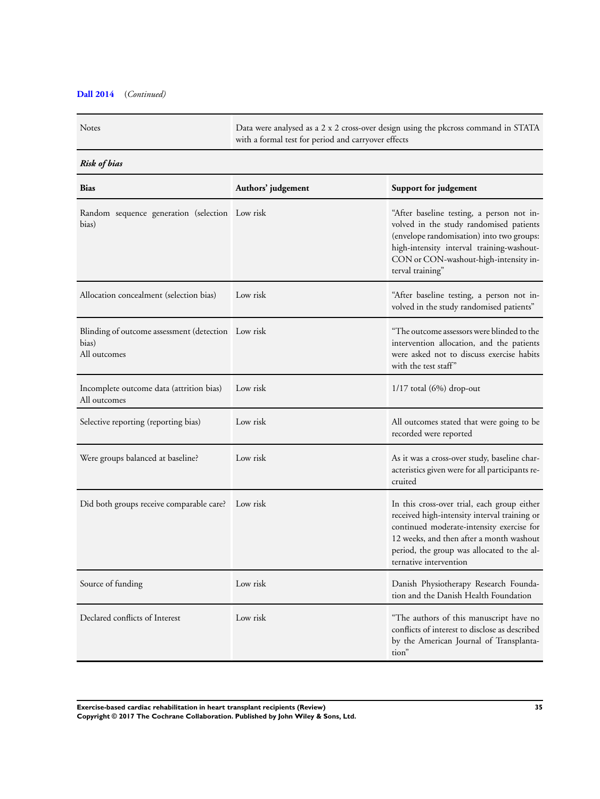# **[Dall 2014](#page-25-0)** (*Continued)*

| Notes | Data were analysed as a 2 x 2 cross-over design using the pkcross command in STATA |
|-------|------------------------------------------------------------------------------------|
|       | with a formal test for period and carryover effects                                |

# *Risk of bias*

| <b>Bias</b>                                                                 | Authors' judgement | Support for judgement                                                                                                                                                                                                                                        |
|-----------------------------------------------------------------------------|--------------------|--------------------------------------------------------------------------------------------------------------------------------------------------------------------------------------------------------------------------------------------------------------|
| Random sequence generation (selection Low risk<br>bias)                     |                    | "After baseline testing, a person not in-<br>volved in the study randomised patients<br>(envelope randomisation) into two groups:<br>high-intensity interval training-washout-<br>CON or CON-washout-high-intensity in-<br>terval training"                  |
| Allocation concealment (selection bias)                                     | Low risk           | "After baseline testing, a person not in-<br>volved in the study randomised patients"                                                                                                                                                                        |
| Blinding of outcome assessment (detection Low risk<br>bias)<br>All outcomes |                    | "The outcome assessors were blinded to the<br>intervention allocation, and the patients<br>were asked not to discuss exercise habits<br>with the test staff"                                                                                                 |
| Incomplete outcome data (attrition bias)<br>All outcomes                    | Low risk           | $1/17$ total $(6%)$ drop-out                                                                                                                                                                                                                                 |
| Selective reporting (reporting bias)                                        | Low risk           | All outcomes stated that were going to be<br>recorded were reported                                                                                                                                                                                          |
| Were groups balanced at baseline?                                           | Low risk           | As it was a cross-over study, baseline char-<br>acteristics given were for all participants re-<br>cruited                                                                                                                                                   |
| Did both groups receive comparable care?                                    | Low risk           | In this cross-over trial, each group either<br>received high-intensity interval training or<br>continued moderate-intensity exercise for<br>12 weeks, and then after a month washout<br>period, the group was allocated to the al-<br>ternative intervention |
| Source of funding                                                           | Low risk           | Danish Physiotherapy Research Founda-<br>tion and the Danish Health Foundation                                                                                                                                                                               |
| Declared conflicts of Interest                                              | Low risk           | "The authors of this manuscript have no<br>conflicts of interest to disclose as described<br>by the American Journal of Transplanta-<br>tion"                                                                                                                |

**Exercise-based cardiac rehabilitation in heart transplant recipients (Review) 35 Copyright © 2017 The Cochrane Collaboration. Published by John Wiley & Sons, Ltd.**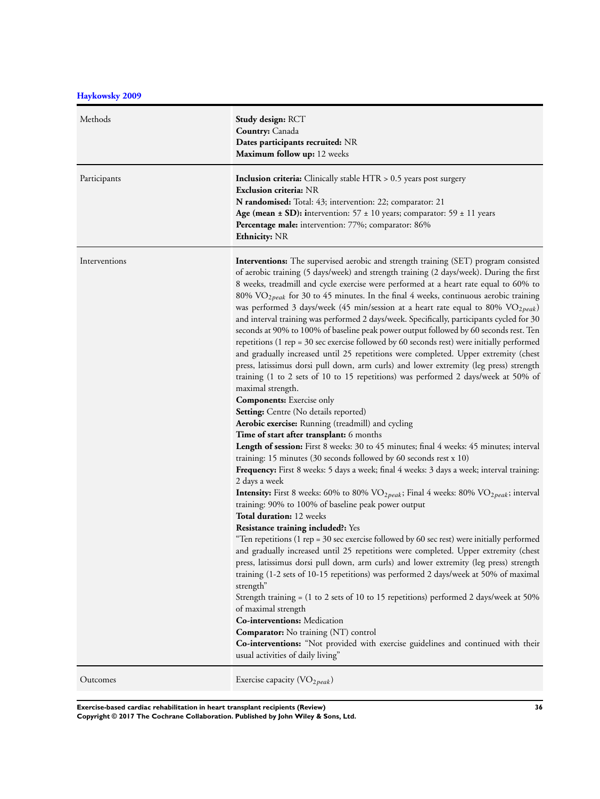**[Haykowsky 2009](#page-25-0)**

| Methods       | Study design: RCT<br>Country: Canada<br>Dates participants recruited: NR<br>Maximum follow up: 12 weeks                                                                                                                                                                                                                                                                                                                                                                                                                                                                                                                                                                                                                                                                                                                                                                                                                                                                                                                                                                                                                                                                                                                                                                                                                                                                                                                                                                                                                                                                                                                                                                                                                                                                                                                                                                                                                                                                                                                                                                                                                                                                                                                                                                                                                                                                                                                                                                                               |
|---------------|-------------------------------------------------------------------------------------------------------------------------------------------------------------------------------------------------------------------------------------------------------------------------------------------------------------------------------------------------------------------------------------------------------------------------------------------------------------------------------------------------------------------------------------------------------------------------------------------------------------------------------------------------------------------------------------------------------------------------------------------------------------------------------------------------------------------------------------------------------------------------------------------------------------------------------------------------------------------------------------------------------------------------------------------------------------------------------------------------------------------------------------------------------------------------------------------------------------------------------------------------------------------------------------------------------------------------------------------------------------------------------------------------------------------------------------------------------------------------------------------------------------------------------------------------------------------------------------------------------------------------------------------------------------------------------------------------------------------------------------------------------------------------------------------------------------------------------------------------------------------------------------------------------------------------------------------------------------------------------------------------------------------------------------------------------------------------------------------------------------------------------------------------------------------------------------------------------------------------------------------------------------------------------------------------------------------------------------------------------------------------------------------------------------------------------------------------------------------------------------------------------|
| Participants  | <b>Inclusion criteria:</b> Clinically stable $HTR > 0.5$ years post surgery<br><b>Exclusion criteria:</b> NR<br>N randomised: Total: 43; intervention: 22; comparator: 21<br>Age (mean $\pm$ SD): intervention: 57 $\pm$ 10 years; comparator: 59 $\pm$ 11 years<br><b>Percentage male:</b> intervention: 77%; comparator: 86%<br>Ethnicity: NR                                                                                                                                                                                                                                                                                                                                                                                                                                                                                                                                                                                                                                                                                                                                                                                                                                                                                                                                                                                                                                                                                                                                                                                                                                                                                                                                                                                                                                                                                                                                                                                                                                                                                                                                                                                                                                                                                                                                                                                                                                                                                                                                                       |
| Interventions | Interventions: The supervised aerobic and strength training (SET) program consisted<br>of aerobic training (5 days/week) and strength training (2 days/week). During the first<br>8 weeks, treadmill and cycle exercise were performed at a heart rate equal to 60% to<br>80% $\text{VO}_{2\text{peak}}$ for 30 to 45 minutes. In the final 4 weeks, continuous aerobic training<br>was performed 3 days/week (45 min/session at a heart rate equal to 80% $\text{VO}_{2\text{peak}}$ )<br>and interval training was performed 2 days/week. Specifically, participants cycled for 30<br>seconds at 90% to 100% of baseline peak power output followed by 60 seconds rest. Ten<br>repetitions (1 rep = 30 sec exercise followed by 60 seconds rest) were initially performed<br>and gradually increased until 25 repetitions were completed. Upper extremity (chest<br>press, latissimus dorsi pull down, arm curls) and lower extremity (leg press) strength<br>training (1 to 2 sets of 10 to 15 repetitions) was performed 2 days/week at 50% of<br>maximal strength.<br><b>Components:</b> Exercise only<br>Setting: Centre (No details reported)<br>Aerobic exercise: Running (treadmill) and cycling<br>Time of start after transplant: 6 months<br>Length of session: First 8 weeks: 30 to 45 minutes; final 4 weeks: 45 minutes; interval<br>training: 15 minutes (30 seconds followed by 60 seconds rest x 10)<br>Frequency: First 8 weeks: 5 days a week; final 4 weeks: 3 days a week; interval training:<br>2 days a week<br><b>Intensity:</b> First 8 weeks: 60% to 80% VO <sub>2peak</sub> ; Final 4 weeks: 80% VO <sub>2peak</sub> ; interval<br>training: 90% to 100% of baseline peak power output<br>Total duration: 12 weeks<br>Resistance training included?: Yes<br>"Ten repetitions (1 rep = $30$ sec exercise followed by 60 sec rest) were initially performed<br>and gradually increased until 25 repetitions were completed. Upper extremity (chest<br>press, latissimus dorsi pull down, arm curls) and lower extremity (leg press) strength<br>training (1-2 sets of 10-15 repetitions) was performed 2 days/week at 50% of maximal<br>strength"<br>Strength training = (1 to 2 sets of 10 to 15 repetitions) performed 2 days/week at 50%<br>of maximal strength<br>Co-interventions: Medication<br><b>Comparator:</b> No training (NT) control<br>Co-interventions: "Not provided with exercise guidelines and continued with their<br>usual activities of daily living" |
| Outcomes      | Exercise capacity (VO <sub>2peak</sub> )                                                                                                                                                                                                                                                                                                                                                                                                                                                                                                                                                                                                                                                                                                                                                                                                                                                                                                                                                                                                                                                                                                                                                                                                                                                                                                                                                                                                                                                                                                                                                                                                                                                                                                                                                                                                                                                                                                                                                                                                                                                                                                                                                                                                                                                                                                                                                                                                                                                              |

**Exercise-based cardiac rehabilitation in heart transplant recipients (Review) 36**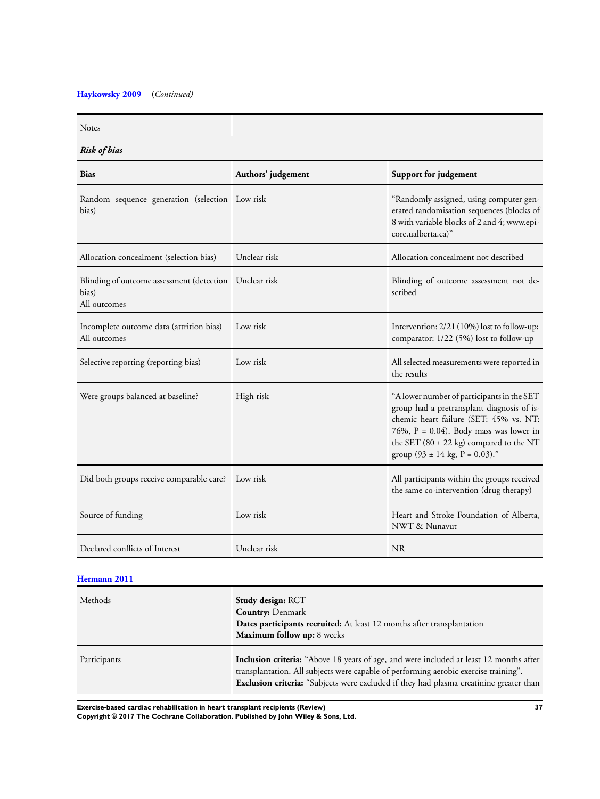# **[Haykowsky 2009](#page-25-0)** (*Continued)*

### Notes

# *Risk of bias*

| <b>Bias</b>                                                                     | Authors' judgement | Support for judgement                                                                                                                                                                                                                                                         |
|---------------------------------------------------------------------------------|--------------------|-------------------------------------------------------------------------------------------------------------------------------------------------------------------------------------------------------------------------------------------------------------------------------|
| Random sequence generation (selection Low risk<br>bias)                         |                    | "Randomly assigned, using computer gen-<br>erated randomisation sequences (blocks of<br>8 with variable blocks of 2 and 4; www.epi-<br>core.ualberta.ca)"                                                                                                                     |
| Allocation concealment (selection bias)                                         | Unclear risk       | Allocation concealment not described                                                                                                                                                                                                                                          |
| Blinding of outcome assessment (detection Unclear risk<br>bias)<br>All outcomes |                    | Blinding of outcome assessment not de-<br>scribed                                                                                                                                                                                                                             |
| Incomplete outcome data (attrition bias)<br>All outcomes                        | Low risk           | Intervention: 2/21 (10%) lost to follow-up;<br>comparator: 1/22 (5%) lost to follow-up                                                                                                                                                                                        |
| Selective reporting (reporting bias)                                            | Low risk           | All selected measurements were reported in<br>the results                                                                                                                                                                                                                     |
| Were groups balanced at baseline?                                               | High risk          | "A lower number of participants in the SET<br>group had a pretransplant diagnosis of is-<br>chemic heart failure (SET: 45% vs. NT:<br>76%, $P = 0.04$ ). Body mass was lower in<br>the SET (80 $\pm$ 22 kg) compared to the NT<br>group $(93 \pm 14 \text{ kg}, P = 0.03)$ ." |
| Did both groups receive comparable care?                                        | Low risk           | All participants within the groups received<br>the same co-intervention (drug therapy)                                                                                                                                                                                        |
| Source of funding                                                               | Low risk           | Heart and Stroke Foundation of Alberta,<br>NWT & Nunavut                                                                                                                                                                                                                      |
| Declared conflicts of Interest                                                  | Unclear risk       | <b>NR</b>                                                                                                                                                                                                                                                                     |

# **[Hermann 2011](#page-25-0)**

| Methods      | <b>Study design: RCT</b><br><b>Country: Denmark</b><br>Dates participants recruited: At least 12 months after transplantation<br><b>Maximum follow up: 8 weeks</b>                                                                                                       |
|--------------|--------------------------------------------------------------------------------------------------------------------------------------------------------------------------------------------------------------------------------------------------------------------------|
| Participants | Inclusion criteria: "Above 18 years of age, and were included at least 12 months after<br>transplantation. All subjects were capable of performing aerobic exercise training".<br>Exclusion criteria: "Subjects were excluded if they had plasma creatinine greater than |

**Exercise-based cardiac rehabilitation in heart transplant recipients (Review) 37**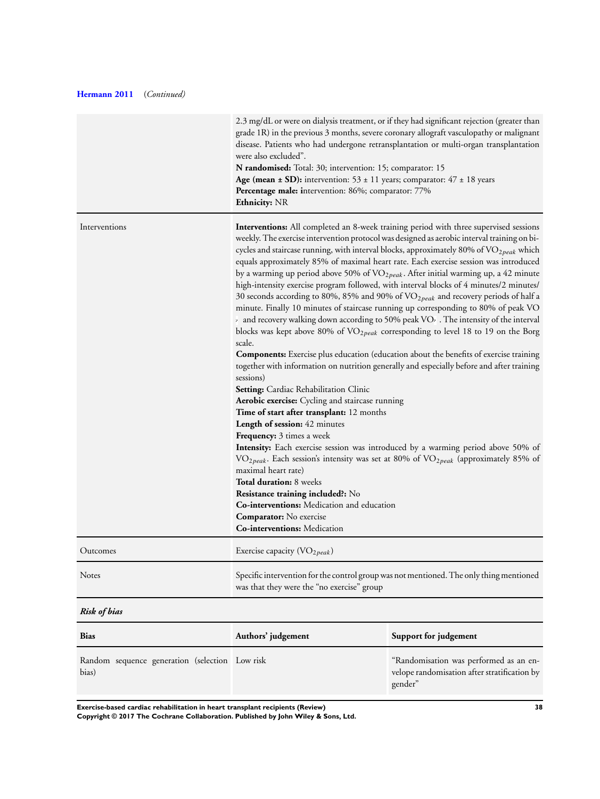# **[Hermann 2011](#page-25-0)** (*Continued)*

|               | 2.3 mg/dL or were on dialysis treatment, or if they had significant rejection (greater than<br>grade 1R) in the previous 3 months, severe coronary allograft vasculopathy or malignant<br>disease. Patients who had undergone retransplantation or multi-organ transplantation<br>were also excluded".<br>N randomised: Total: 30; intervention: 15; comparator: 15<br>Age (mean $\pm$ SD): intervention: 53 $\pm$ 11 years; comparator: 47 $\pm$ 18 years<br><b>Percentage male:</b> intervention: 86%; comparator: 77%<br><b>Ethnicity: NR</b>                                                                                                                                                                                                                                                                                                                                                                                                                                                                                                                                                                                                                                                                                                                                                                                                                                                                                                                                                                                                                                                                                                                                                                                                                                                                                 |
|---------------|----------------------------------------------------------------------------------------------------------------------------------------------------------------------------------------------------------------------------------------------------------------------------------------------------------------------------------------------------------------------------------------------------------------------------------------------------------------------------------------------------------------------------------------------------------------------------------------------------------------------------------------------------------------------------------------------------------------------------------------------------------------------------------------------------------------------------------------------------------------------------------------------------------------------------------------------------------------------------------------------------------------------------------------------------------------------------------------------------------------------------------------------------------------------------------------------------------------------------------------------------------------------------------------------------------------------------------------------------------------------------------------------------------------------------------------------------------------------------------------------------------------------------------------------------------------------------------------------------------------------------------------------------------------------------------------------------------------------------------------------------------------------------------------------------------------------------------|
| Interventions | Interventions: All completed an 8-week training period with three supervised sessions<br>weekly. The exercise intervention protocol was designed as aerobic interval training on bi-<br>cycles and staircase running, with interval blocks, approximately 80% of VO <sub>2peak</sub> which<br>equals approximately 85% of maximal heart rate. Each exercise session was introduced<br>by a warming up period above 50% of $\text{VO}_{2\text{peak}}$ . After initial warming up, a 42 minute<br>high-intensity exercise program followed, with interval blocks of 4 minutes/2 minutes/<br>30 seconds according to 80%, 85% and 90% of $\rm VO_{2\it peak}$ and recovery periods of half a<br>minute. Finally 10 minutes of staircase running up corresponding to 80% of peak VO<br>and recovery walking down according to 50% peak VOa. The intensity of the interval<br>blocks was kept above 80% of $\text{VO}_{2\text{peak}}$ corresponding to level 18 to 19 on the Borg<br>scale.<br><b>Components:</b> Exercise plus education (education about the benefits of exercise training<br>together with information on nutrition generally and especially before and after training<br>sessions)<br><b>Setting:</b> Cardiac Rehabilitation Clinic<br>Aerobic exercise: Cycling and staircase running<br>Time of start after transplant: 12 months<br>Length of session: 42 minutes<br>Frequency: 3 times a week<br>Intensity: Each exercise session was introduced by a warming period above 50% of<br>VO <sub>2peak</sub> . Each session's intensity was set at 80% of VO <sub>2peak</sub> (approximately 85% of<br>maximal heart rate)<br>Total duration: 8 weeks<br><b>Resistance training included?:</b> No<br>Co-interventions: Medication and education<br><b>Comparator:</b> No exercise<br>Co-interventions: Medication |
| Outcomes      | Exercise capacity $(\text{VO}_{2\text{peak}})$                                                                                                                                                                                                                                                                                                                                                                                                                                                                                                                                                                                                                                                                                                                                                                                                                                                                                                                                                                                                                                                                                                                                                                                                                                                                                                                                                                                                                                                                                                                                                                                                                                                                                                                                                                                   |
| Notes         | Specific intervention for the control group was not mentioned. The only thing mentioned<br>was that they were the "no exercise" group                                                                                                                                                                                                                                                                                                                                                                                                                                                                                                                                                                                                                                                                                                                                                                                                                                                                                                                                                                                                                                                                                                                                                                                                                                                                                                                                                                                                                                                                                                                                                                                                                                                                                            |

# *Risk of bias*

| <b>Bias</b>                                             | Authors' judgement | Support for judgement                                                                             |
|---------------------------------------------------------|--------------------|---------------------------------------------------------------------------------------------------|
| Random sequence generation (selection Low risk<br>bias) |                    | "Randomisation was performed as an en-<br>velope randomisation after stratification by<br>gender" |

**Exercise-based cardiac rehabilitation in heart transplant recipients (Review) 38**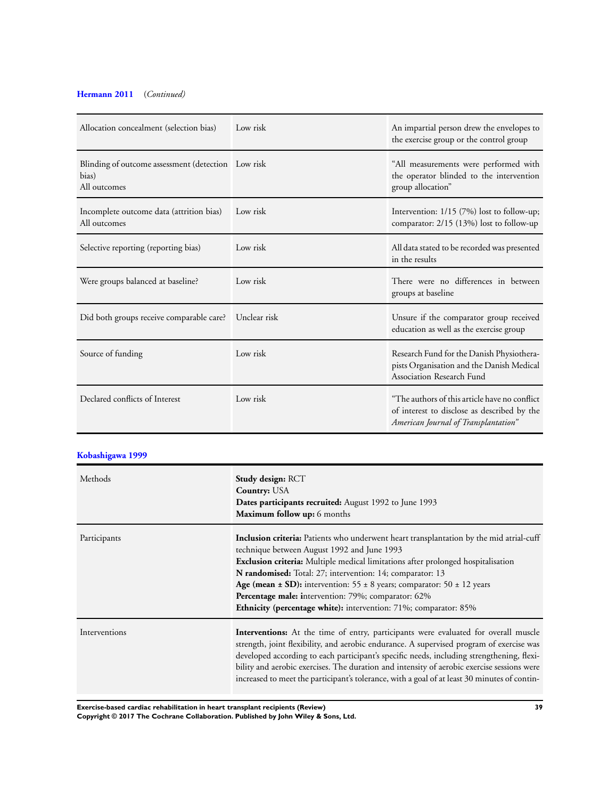# **[Hermann 2011](#page-25-0)** (*Continued)*

| Allocation concealment (selection bias)                                     | Low risk     | An impartial person drew the envelopes to<br>the exercise group or the control group                                                  |
|-----------------------------------------------------------------------------|--------------|---------------------------------------------------------------------------------------------------------------------------------------|
| Blinding of outcome assessment (detection Low risk<br>bias)<br>All outcomes |              | "All measurements were performed with<br>the operator blinded to the intervention<br>group allocation"                                |
| Incomplete outcome data (attrition bias)<br>All outcomes                    | Low risk     | Intervention: $1/15$ (7%) lost to follow-up;<br>comparator: 2/15 (13%) lost to follow-up                                              |
| Selective reporting (reporting bias)                                        | Low risk     | All data stated to be recorded was presented<br>in the results                                                                        |
| Were groups balanced at baseline?                                           | Low risk     | There were no differences in between<br>groups at baseline                                                                            |
| Did both groups receive comparable care?                                    | Unclear risk | Unsure if the comparator group received<br>education as well as the exercise group                                                    |
| Source of funding                                                           | Low risk     | Research Fund for the Danish Physiothera-<br>pists Organisation and the Danish Medical<br>Association Research Fund                   |
| Declared conflicts of Interest                                              | Low risk     | "The authors of this article have no conflict"<br>of interest to disclose as described by the<br>American Journal of Transplantation" |

# **[Kobashigawa 1999](#page-25-0)**

| Methods       | <b>Study design: RCT</b><br><b>Country: USA</b><br><b>Dates participants recruited:</b> August 1992 to June 1993<br>Maximum follow up: 6 months                                                                                                                                                                                                                                                                                                                                                                 |
|---------------|-----------------------------------------------------------------------------------------------------------------------------------------------------------------------------------------------------------------------------------------------------------------------------------------------------------------------------------------------------------------------------------------------------------------------------------------------------------------------------------------------------------------|
| Participants  | Inclusion criteria: Patients who underwent heart transplantation by the mid atrial-cuff<br>technique between August 1992 and June 1993<br>Exclusion criteria: Multiple medical limitations after prolonged hospitalisation<br>N randomised: Total: 27; intervention: 14; comparator: 13<br>Age (mean $\pm$ SD): intervention: 55 $\pm$ 8 years; comparator: 50 $\pm$ 12 years<br>Percentage male: intervention: 79%; comparator: 62%<br><b>Ethnicity (percentage white):</b> intervention: 71%; comparator: 85% |
| Interventions | Interventions: At the time of entry, participants were evaluated for overall muscle<br>strength, joint flexibility, and aerobic endurance. A supervised program of exercise was<br>developed according to each participant's specific needs, including strengthening, flexi-<br>bility and aerobic exercises. The duration and intensity of aerobic exercise sessions were<br>increased to meet the participant's tolerance, with a goal of at least 30 minutes of contin-                                      |

**Exercise-based cardiac rehabilitation in heart transplant recipients (Review) 39**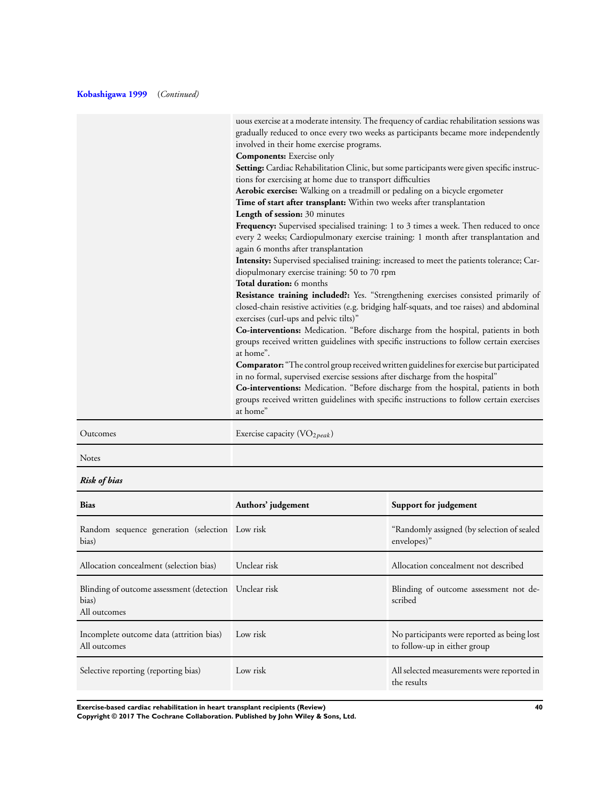# **[Kobashigawa 1999](#page-25-0)** (*Continued)*

|          | uous exercise at a moderate intensity. The frequency of cardiac rehabilitation sessions was |  |  |
|----------|---------------------------------------------------------------------------------------------|--|--|
|          | gradually reduced to once every two weeks as participants became more independently         |  |  |
|          | involved in their home exercise programs.                                                   |  |  |
|          | <b>Components:</b> Exercise only                                                            |  |  |
|          | Setting: Cardiac Rehabilitation Clinic, but some participants were given specific instruc-  |  |  |
|          | tions for exercising at home due to transport difficulties                                  |  |  |
|          | Aerobic exercise: Walking on a treadmill or pedaling on a bicycle ergometer                 |  |  |
|          | Time of start after transplant: Within two weeks after transplantation                      |  |  |
|          | Length of session: 30 minutes                                                               |  |  |
|          | Frequency: Supervised specialised training: 1 to 3 times a week. Then reduced to once       |  |  |
|          | every 2 weeks; Cardiopulmonary exercise training: 1 month after transplantation and         |  |  |
|          | again 6 months after transplantation                                                        |  |  |
|          | Intensity: Supervised specialised training: increased to meet the patients tolerance; Car-  |  |  |
|          | diopulmonary exercise training: 50 to 70 rpm                                                |  |  |
|          | Total duration: 6 months                                                                    |  |  |
|          | <b>Resistance training included?:</b> Yes. "Strengthening exercises consisted primarily of  |  |  |
|          | closed-chain resistive activities (e.g. bridging half-squats, and toe raises) and abdominal |  |  |
|          | exercises (curl-ups and pelvic tilts)"                                                      |  |  |
|          | Co-interventions: Medication. "Before discharge from the hospital, patients in both         |  |  |
|          | groups received written guidelines with specific instructions to follow certain exercises   |  |  |
|          | at home".                                                                                   |  |  |
|          | Comparator: "The control group received written guidelines for exercise but participated    |  |  |
|          | in no formal, supervised exercise sessions after discharge from the hospital"               |  |  |
|          | Co-interventions: Medication. "Before discharge from the hospital, patients in both         |  |  |
|          | groups received written guidelines with specific instructions to follow certain exercises   |  |  |
|          | at home"                                                                                    |  |  |
| Outcomes | Exercise capacity $(\rm VO_{2\textit{peak}})$                                               |  |  |

Notes

# *Risk of bias*

| <b>Bias</b>                                                                     | Authors' judgement | Support for judgement                                                       |
|---------------------------------------------------------------------------------|--------------------|-----------------------------------------------------------------------------|
| Random sequence generation (selection Low risk)<br>bias)                        |                    | "Randomly assigned (by selection of sealed<br>envelopes)"                   |
| Allocation concealment (selection bias)                                         | Unclear risk       | Allocation concealment not described                                        |
| Blinding of outcome assessment (detection Unclear risk<br>bias)<br>All outcomes |                    | Blinding of outcome assessment not de-<br>scribed                           |
| Incomplete outcome data (attrition bias)<br>All outcomes                        | Low risk           | No participants were reported as being lost<br>to follow-up in either group |
| Selective reporting (reporting bias)                                            | Low risk           | All selected measurements were reported in<br>the results                   |

**Exercise-based cardiac rehabilitation in heart transplant recipients (Review) 40**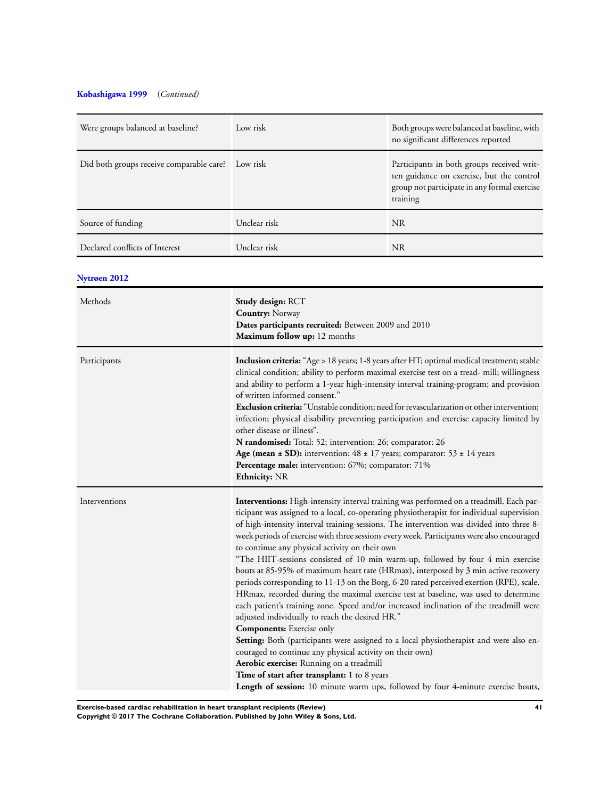# **[Kobashigawa 1999](#page-25-0)** (*Continued)*

| Were groups balanced at baseline?                 | Low risk     | Both groups were balanced at baseline, with<br>no significant differences reported                                                                  |
|---------------------------------------------------|--------------|-----------------------------------------------------------------------------------------------------------------------------------------------------|
| Did both groups receive comparable care? Low risk |              | Participants in both groups received writ-<br>ten guidance on exercise, but the control<br>group not participate in any formal exercise<br>training |
| Source of funding                                 | Unclear risk | NR                                                                                                                                                  |
| Declared conflicts of Interest                    | Unclear risk | NR                                                                                                                                                  |

**[Nytrøen 2012](#page-25-0)**

| Methods       | Study design: RCT<br><b>Country: Norway</b><br>Dates participants recruited: Between 2009 and 2010<br>Maximum follow up: 12 months                                                                                                                                                                                                                                                                                                                                                                                                                                                                                                                                                                                                                                                                                                                                                                                                                                                                                                                                                                                                                                                                                                                                                                                 |
|---------------|--------------------------------------------------------------------------------------------------------------------------------------------------------------------------------------------------------------------------------------------------------------------------------------------------------------------------------------------------------------------------------------------------------------------------------------------------------------------------------------------------------------------------------------------------------------------------------------------------------------------------------------------------------------------------------------------------------------------------------------------------------------------------------------------------------------------------------------------------------------------------------------------------------------------------------------------------------------------------------------------------------------------------------------------------------------------------------------------------------------------------------------------------------------------------------------------------------------------------------------------------------------------------------------------------------------------|
| Participants  | Inclusion criteria: "Age > 18 years; 1-8 years after HT; optimal medical treatment; stable<br>clinical condition; ability to perform maximal exercise test on a tread- mill; willingness<br>and ability to perform a 1-year high-intensity interval training-program; and provision<br>of written informed consent."<br>Exclusion criteria: "Unstable condition; need for revascularization or other intervention;<br>infection; physical disability preventing participation and exercise capacity limited by<br>other disease or illness".<br>N randomised: Total: 52; intervention: 26; comparator: 26<br>Age (mean $\pm$ SD): intervention: 48 $\pm$ 17 years; comparator: 53 $\pm$ 14 years<br>Percentage male: intervention: 67%; comparator: 71%<br><b>Ethnicity: NR</b>                                                                                                                                                                                                                                                                                                                                                                                                                                                                                                                                    |
| Interventions | Interventions: High-intensity interval training was performed on a treadmill. Each par-<br>ticipant was assigned to a local, co-operating physiotherapist for individual supervision<br>of high-intensity interval training-sessions. The intervention was divided into three 8-<br>week periods of exercise with three sessions every week. Participants were also encouraged<br>to continue any physical activity on their own<br>"The HIIT-sessions consisted of 10 min warm-up, followed by four 4 min exercise<br>bouts at 85-95% of maximum heart rate (HRmax), interposed by 3 min active recovery<br>periods corresponding to 11-13 on the Borg, 6-20 rated perceived exertion (RPE), scale.<br>HRmax, recorded during the maximal exercise test at baseline, was used to determine<br>each patient's training zone. Speed and/or increased inclination of the treadmill were<br>adjusted individually to reach the desired HR."<br><b>Components:</b> Exercise only<br>Setting: Both (participants were assigned to a local physiotherapist and were also en-<br>couraged to continue any physical activity on their own)<br>Aerobic exercise: Running on a treadmill<br>Time of start after transplant: 1 to 8 years<br>Length of session: 10 minute warm ups, followed by four 4-minute exercise bouts, |

**Exercise-based cardiac rehabilitation in heart transplant recipients (Review) 41**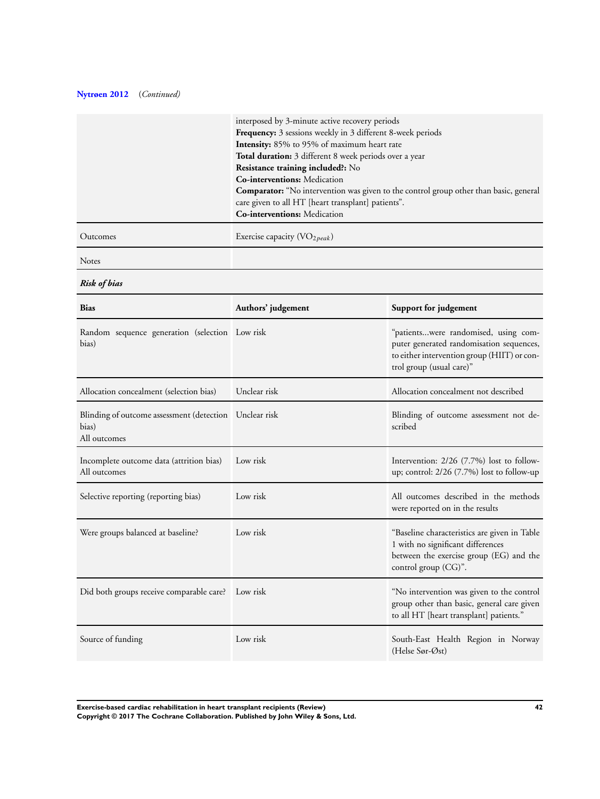# **[Nytrøen 2012](#page-25-0)** (*Continued)*

|          | interposed by 3-minute active recovery periods                                               |
|----------|----------------------------------------------------------------------------------------------|
|          | Frequency: 3 sessions weekly in 3 different 8-week periods                                   |
|          | Intensity: 85% to 95% of maximum heart rate                                                  |
|          | <b>Total duration:</b> 3 different 8 week periods over a year                                |
|          | Resistance training included?: No                                                            |
|          | <b>Co-interventions:</b> Medication                                                          |
|          | <b>Comparator:</b> "No intervention was given to the control group other than basic, general |
|          | care given to all HT [heart transplant] patients".                                           |
|          | Co-interventions: Medication                                                                 |
| Outcomes | Exercise capacity (VO <sub>2peak</sub> )                                                     |

Notes

*Risk of bias*

| <b>Bias</b>                                                                     | Authors' judgement | Support for judgement                                                                                                                                       |
|---------------------------------------------------------------------------------|--------------------|-------------------------------------------------------------------------------------------------------------------------------------------------------------|
| Random sequence generation (selection Low risk<br>bias)                         |                    | "patientswere randomised, using com-<br>puter generated randomisation sequences,<br>to either intervention group (HIIT) or con-<br>trol group (usual care)" |
| Allocation concealment (selection bias)                                         | Unclear risk       | Allocation concealment not described                                                                                                                        |
| Blinding of outcome assessment (detection Unclear risk<br>bias)<br>All outcomes |                    | Blinding of outcome assessment not de-<br>scribed                                                                                                           |
| Incomplete outcome data (attrition bias)<br>All outcomes                        | Low risk           | Intervention: 2/26 (7.7%) lost to follow-<br>up; control: $2/26$ (7.7%) lost to follow-up                                                                   |
| Selective reporting (reporting bias)                                            | Low risk           | All outcomes described in the methods<br>were reported on in the results                                                                                    |
| Were groups balanced at baseline?                                               | Low risk           | "Baseline characteristics are given in Table<br>1 with no significant differences<br>between the exercise group (EG) and the<br>control group (CG)".        |
| Did both groups receive comparable care?                                        | Low risk           | "No intervention was given to the control<br>group other than basic, general care given<br>to all HT [heart transplant] patients."                          |
| Source of funding                                                               | Low risk           | South-East Health Region in Norway<br>(Helse Sør-Øst)                                                                                                       |

**Exercise-based cardiac rehabilitation in heart transplant recipients (Review) 42 Copyright © 2017 The Cochrane Collaboration. Published by John Wiley & Sons, Ltd.**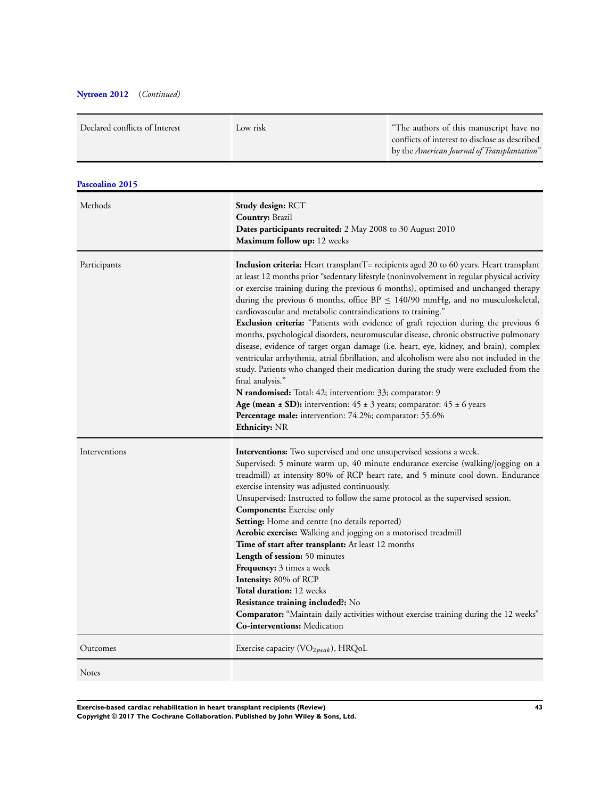# **[Nytrøen 2012](#page-25-0)** (*Continued)*

| Declared conflicts of Interest | Low risk                                                                                                                                                                                                                                                                                                                                                                                                                                                                                                                                                                                                             | "The authors of this manuscript have no<br>conflicts of interest to disclose as described<br>by the American Journal of Transplantation"                                                                                                                                                                                                                                                                                                                                                                                                                                                                                                                                                                                                                                                                                            |  |
|--------------------------------|----------------------------------------------------------------------------------------------------------------------------------------------------------------------------------------------------------------------------------------------------------------------------------------------------------------------------------------------------------------------------------------------------------------------------------------------------------------------------------------------------------------------------------------------------------------------------------------------------------------------|-------------------------------------------------------------------------------------------------------------------------------------------------------------------------------------------------------------------------------------------------------------------------------------------------------------------------------------------------------------------------------------------------------------------------------------------------------------------------------------------------------------------------------------------------------------------------------------------------------------------------------------------------------------------------------------------------------------------------------------------------------------------------------------------------------------------------------------|--|
| Pascoalino 2015                |                                                                                                                                                                                                                                                                                                                                                                                                                                                                                                                                                                                                                      |                                                                                                                                                                                                                                                                                                                                                                                                                                                                                                                                                                                                                                                                                                                                                                                                                                     |  |
| Methods                        | Study design: RCT<br>Country: Brazil<br>Maximum follow up: 12 weeks                                                                                                                                                                                                                                                                                                                                                                                                                                                                                                                                                  | Dates participants recruited: 2 May 2008 to 30 August 2010                                                                                                                                                                                                                                                                                                                                                                                                                                                                                                                                                                                                                                                                                                                                                                          |  |
| Participants                   | cardiovascular and metabolic contraindications to training."<br>final analysis."<br>N randomised: Total: 42; intervention: 33; comparator: 9<br>Age (mean $\pm$ SD): intervention: 45 $\pm$ 3 years; comparator: 45 $\pm$ 6 years<br>Percentage male: intervention: 74.2%; comparator: 55.6%<br><b>Ethnicity: NR</b>                                                                                                                                                                                                                                                                                                 | Inclusion criteria: Heart transplantT= recipients aged 20 to 60 years. Heart transplant<br>at least 12 months prior "sedentary lifestyle (noninvolvement in regular physical activity<br>or exercise training during the previous 6 months), optimised and unchanged therapy<br>during the previous 6 months, office $BP \leq 140/90$ mmHg, and no musculoskeletal,<br>Exclusion criteria: "Patients with evidence of graft rejection during the previous 6<br>months, psychological disorders, neuromuscular disease, chronic obstructive pulmonary<br>disease, evidence of target organ damage (i.e. heart, eye, kidney, and brain), complex<br>ventricular arrhythmia, atrial fibrillation, and alcoholism were also not included in the<br>study. Patients who changed their medication during the study were excluded from the |  |
| Interventions                  | Interventions: Two supervised and one unsupervised sessions a week.<br>exercise intensity was adjusted continuously.<br>Unsupervised: Instructed to follow the same protocol as the supervised session.<br><b>Components:</b> Exercise only<br><b>Setting:</b> Home and centre (no details reported)<br>Aerobic exercise: Walking and jogging on a motorised treadmill<br>Time of start after transplant: At least 12 months<br>Length of session: 50 minutes<br>Frequency: 3 times a week<br>Intensity: 80% of RCP<br>Total duration: 12 weeks<br>Resistance training included?: No<br>Co-interventions: Medication | Supervised: 5 minute warm up, 40 minute endurance exercise (walking/jogging on a<br>treadmill) at intensity 80% of RCP heart rate, and 5 minute cool down. Endurance<br><b>Comparator:</b> "Maintain daily activities without exercise training during the 12 weeks"                                                                                                                                                                                                                                                                                                                                                                                                                                                                                                                                                                |  |
| Outcomes                       | Exercise capacity (VO <sub>2peak</sub> ), HRQoL                                                                                                                                                                                                                                                                                                                                                                                                                                                                                                                                                                      |                                                                                                                                                                                                                                                                                                                                                                                                                                                                                                                                                                                                                                                                                                                                                                                                                                     |  |
| Notes                          |                                                                                                                                                                                                                                                                                                                                                                                                                                                                                                                                                                                                                      |                                                                                                                                                                                                                                                                                                                                                                                                                                                                                                                                                                                                                                                                                                                                                                                                                                     |  |

**Exercise-based cardiac rehabilitation in heart transplant recipients (Review) 43 Copyright © 2017 The Cochrane Collaboration. Published by John Wiley & Sons, Ltd.**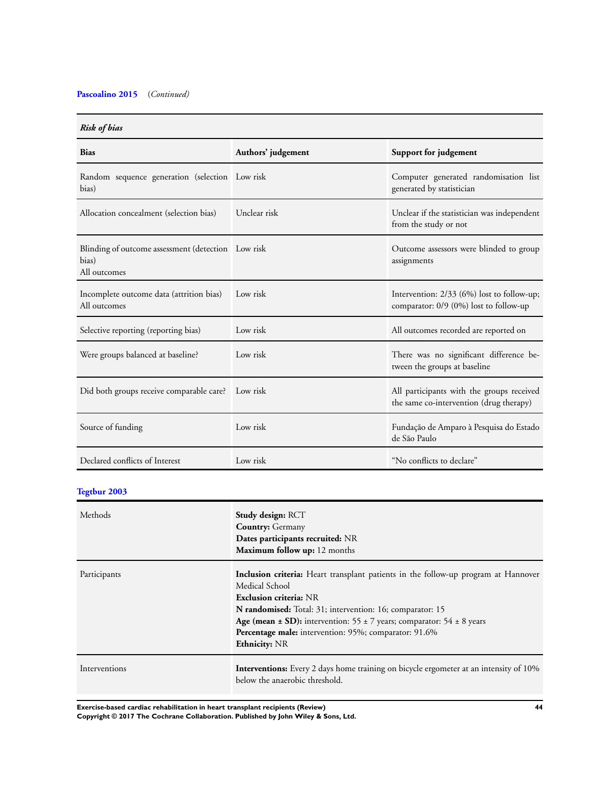# **[Pascoalino 2015](#page-25-0)** (*Continued)*

# *Risk of bias*

| <b>Bias</b>                                                                 | Authors' judgement | Support for judgement                                                                  |
|-----------------------------------------------------------------------------|--------------------|----------------------------------------------------------------------------------------|
| Random sequence generation (selection Low risk<br>bias)                     |                    | Computer generated randomisation list<br>generated by statistician                     |
| Allocation concealment (selection bias)                                     | Unclear risk       | Unclear if the statistician was independent<br>from the study or not                   |
| Blinding of outcome assessment (detection Low risk<br>bias)<br>All outcomes |                    | Outcome assessors were blinded to group<br>assignments                                 |
| Incomplete outcome data (attrition bias)<br>All outcomes                    | Low risk           | Intervention: $2/33$ (6%) lost to follow-up;<br>comparator: 0/9 (0%) lost to follow-up |
| Selective reporting (reporting bias)                                        | Low risk           | All outcomes recorded are reported on                                                  |
| Were groups balanced at baseline?                                           | Low risk           | There was no significant difference be-<br>tween the groups at baseline                |
| Did both groups receive comparable care?                                    | Low risk           | All participants with the groups received<br>the same co-intervention (drug therapy)   |
| Source of funding                                                           | Low risk           | Fundação de Amparo à Pesquisa do Estado<br>de São Paulo                                |
| Declared conflicts of Interest                                              | Low risk           | "No conflicts to declare"                                                              |

# **[Tegtbur 2003](#page-25-0)**

| Methods       | Study design: RCT<br><b>Country: Germany</b><br>Dates participants recruited: NR<br>Maximum follow up: 12 months                                                                                                                                                                                                                                                           |
|---------------|----------------------------------------------------------------------------------------------------------------------------------------------------------------------------------------------------------------------------------------------------------------------------------------------------------------------------------------------------------------------------|
| Participants  | Inclusion criteria: Heart transplant patients in the follow-up program at Hannover<br>Medical School<br><b>Exclusion criteria:</b> NR<br>N randomised: Total: 31; intervention: 16; comparator: 15<br><b>Age (mean ± SD):</b> intervention: 55 ± 7 years; comparator: 54 ± 8 years<br><b>Percentage male:</b> intervention: 95%; comparator: 91.6%<br><b>Ethnicity: NR</b> |
| Interventions | <b>Interventions:</b> Every 2 days home training on bicycle ergometer at an intensity of 10%<br>below the anaerobic threshold.                                                                                                                                                                                                                                             |

**Exercise-based cardiac rehabilitation in heart transplant recipients (Review) 44**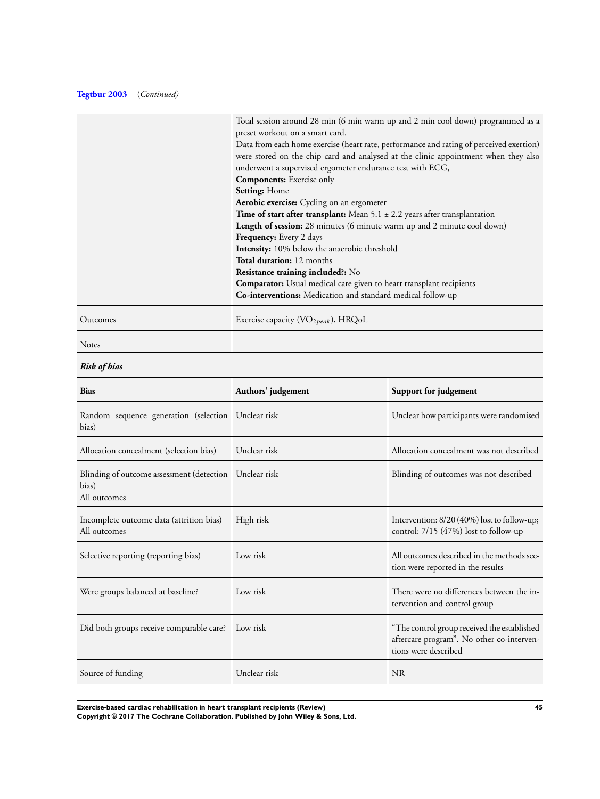# **[Tegtbur 2003](#page-25-0)** (*Continued)*

| Total session around 28 min (6 min warm up and 2 min cool down) programmed as a         |
|-----------------------------------------------------------------------------------------|
| preset workout on a smart card.                                                         |
| Data from each home exercise (heart rate, performance and rating of perceived exertion) |
| were stored on the chip card and analysed at the clinic appointment when they also      |
| underwent a supervised ergometer endurance test with ECG,                               |
| <b>Components:</b> Exercise only                                                        |
| <b>Setting:</b> Home                                                                    |
| <b>Aerobic exercise:</b> Cycling on an ergometer                                        |
| Time of start after transplant: Mean $5.1 \pm 2.2$ years after transplantation          |
| <b>Length of session:</b> 28 minutes (6 minute warm up and 2 minute cool down)          |
| <b>Frequency:</b> Every 2 days                                                          |
| <b>Intensity:</b> 10% below the anaerobic threshold                                     |
| <b>Total duration:</b> 12 months                                                        |
| <b>Resistance training included:</b> No                                                 |
| Comparator: Usual medical care given to heart transplant recipients                     |
| Co-interventions: Medication and standard medical follow-up                             |
|                                                                                         |

 $\text{Outcomes} \qquad \qquad \text{Exercise capacity (VO}_{2\textit{peak}}), \text{HRQoL}$ 

Notes

| <b>Risk of bias</b> |  |
|---------------------|--|
|                     |  |

| <b>Bias</b>                                                                     | Authors' judgement | Support for judgement                                                                                            |
|---------------------------------------------------------------------------------|--------------------|------------------------------------------------------------------------------------------------------------------|
| Random sequence generation (selection Unclear risk<br>bias)                     |                    | Unclear how participants were randomised                                                                         |
| Allocation concealment (selection bias)                                         | Unclear risk       | Allocation concealment was not described                                                                         |
| Blinding of outcome assessment (detection Unclear risk<br>bias)<br>All outcomes |                    | Blinding of outcomes was not described                                                                           |
| Incomplete outcome data (attrition bias)<br>All outcomes                        | High risk          | Intervention: 8/20 (40%) lost to follow-up;<br>control: 7/15 (47%) lost to follow-up                             |
| Selective reporting (reporting bias)                                            | Low risk           | All outcomes described in the methods sec-<br>tion were reported in the results                                  |
| Were groups balanced at baseline?                                               | Low risk           | There were no differences between the in-<br>tervention and control group                                        |
| Did both groups receive comparable care?                                        | Low risk           | "The control group received the established<br>aftercare program". No other co-interven-<br>tions were described |
| Source of funding                                                               | Unclear risk       | <b>NR</b>                                                                                                        |

**Exercise-based cardiac rehabilitation in heart transplant recipients (Review) 45**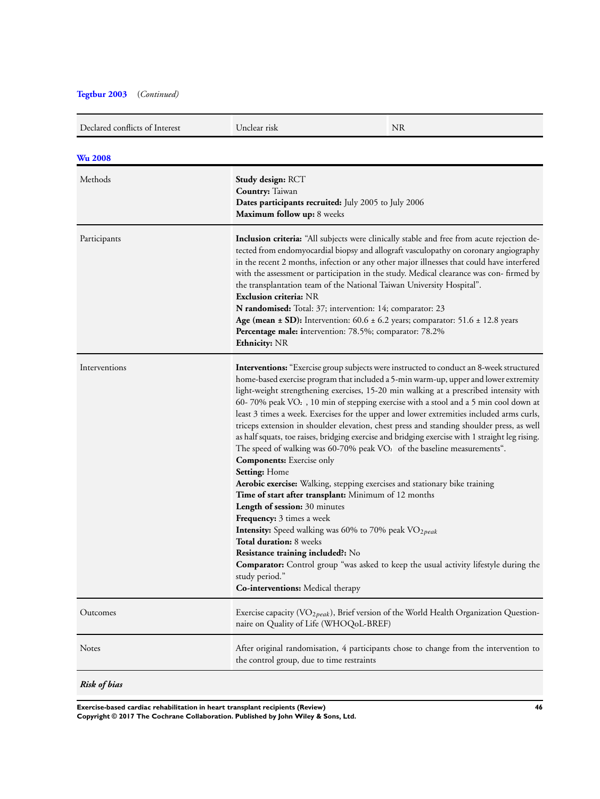# **[Tegtbur 2003](#page-25-0)** (*Continued)*

| Declared conflicts of Interest | Unclear risk                                                                                                                                                                                                                                                                                                                                                                                                                                              | <b>NR</b>                                                                                                                                                                                                                                                                                                                                                                                                                                                                                                                                                                                                                                                                |
|--------------------------------|-----------------------------------------------------------------------------------------------------------------------------------------------------------------------------------------------------------------------------------------------------------------------------------------------------------------------------------------------------------------------------------------------------------------------------------------------------------|--------------------------------------------------------------------------------------------------------------------------------------------------------------------------------------------------------------------------------------------------------------------------------------------------------------------------------------------------------------------------------------------------------------------------------------------------------------------------------------------------------------------------------------------------------------------------------------------------------------------------------------------------------------------------|
| <b>Wu 2008</b>                 |                                                                                                                                                                                                                                                                                                                                                                                                                                                           |                                                                                                                                                                                                                                                                                                                                                                                                                                                                                                                                                                                                                                                                          |
| Methods                        | Study design: RCT<br>Country: Taiwan<br>Dates participants recruited: July 2005 to July 2006<br>Maximum follow up: 8 weeks                                                                                                                                                                                                                                                                                                                                |                                                                                                                                                                                                                                                                                                                                                                                                                                                                                                                                                                                                                                                                          |
| Participants                   | the transplantation team of the National Taiwan University Hospital".<br><b>Exclusion criteria: NR</b><br>N randomised: Total: 37; intervention: 14; comparator: 23<br>Age (mean $\pm$ SD): Intervention: 60.6 $\pm$ 6.2 years; comparator: 51.6 $\pm$ 12.8 years<br><b>Percentage male:</b> intervention: 78.5%; comparator: 78.2%<br>Ethnicity: NR                                                                                                      | Inclusion criteria: "All subjects were clinically stable and free from acute rejection de-<br>tected from endomyocardial biopsy and allograft vasculopathy on coronary angiography<br>in the recent 2 months, infection or any other major illnesses that could have interfered<br>with the assessment or participation in the study. Medical clearance was con- firmed by                                                                                                                                                                                                                                                                                               |
| Interventions                  | The speed of walking was 60-70% peak VO <sub>2</sub> of the baseline measurements".<br><b>Components:</b> Exercise only<br>Setting: Home<br>Aerobic exercise: Walking, stepping exercises and stationary bike training<br>Time of start after transplant: Minimum of 12 months<br>Length of session: 30 minutes<br><b>Frequency:</b> 3 times a week<br><b>Intensity:</b> Speed walking was 60% to 70% peak $VO_{2\text{peak}}$<br>Total duration: 8 weeks | Interventions: "Exercise group subjects were instructed to conduct an 8-week structured<br>home-based exercise program that included a 5-min warm-up, upper and lower extremity<br>light-weight strengthening exercises, 15-20 min walking at a prescribed intensity with<br>60-70% peak VO <sub>2</sub> , 10 min of stepping exercise with a stool and a 5 min cool down at<br>least 3 times a week. Exercises for the upper and lower extremities included arms curls,<br>triceps extension in shoulder elevation, chest press and standing shoulder press, as well<br>as half squats, toe raises, bridging exercise and bridging exercise with 1 straight leg rising. |
|                                | <b>Resistance training included?:</b> No<br>study period."<br>Co-interventions: Medical therapy                                                                                                                                                                                                                                                                                                                                                           | Comparator: Control group "was asked to keep the usual activity lifestyle during the                                                                                                                                                                                                                                                                                                                                                                                                                                                                                                                                                                                     |
| Outcomes                       | naire on Quality of Life (WHOQoL-BREF)                                                                                                                                                                                                                                                                                                                                                                                                                    | Exercise capacity ( $\text{VO}_{2\text{peak}}$ ), Brief version of the World Health Organization Question-                                                                                                                                                                                                                                                                                                                                                                                                                                                                                                                                                               |
| Notes                          | the control group, due to time restraints                                                                                                                                                                                                                                                                                                                                                                                                                 | After original randomisation, 4 participants chose to change from the intervention to                                                                                                                                                                                                                                                                                                                                                                                                                                                                                                                                                                                    |
| <b>Risk of bias</b>            |                                                                                                                                                                                                                                                                                                                                                                                                                                                           |                                                                                                                                                                                                                                                                                                                                                                                                                                                                                                                                                                                                                                                                          |

**Exercise-based cardiac rehabilitation in heart transplant recipients (Review) 46**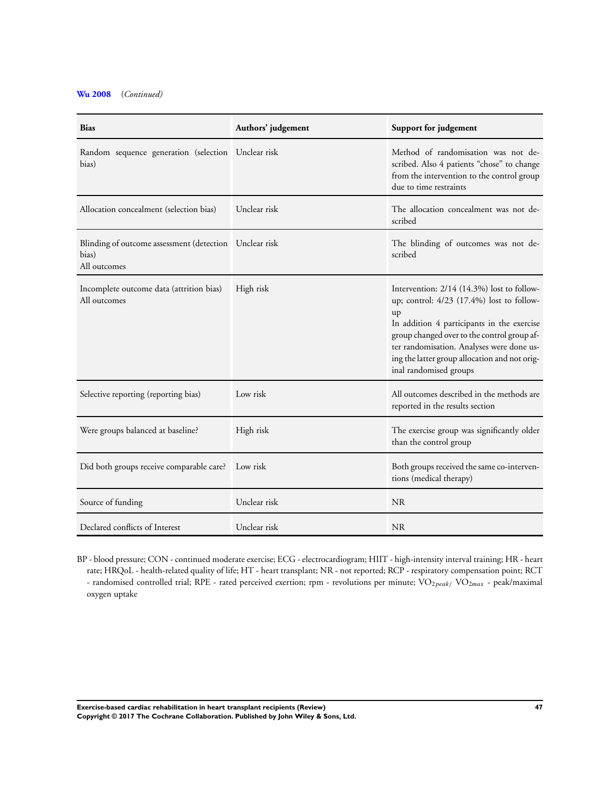# **[Wu 2008](#page-25-0)** (*Continued)*

| <b>Bias</b>                                                                     | Authors' judgement | Support for judgement                                                                                                                                                                                                                                                                                              |
|---------------------------------------------------------------------------------|--------------------|--------------------------------------------------------------------------------------------------------------------------------------------------------------------------------------------------------------------------------------------------------------------------------------------------------------------|
| Random sequence generation (selection Unclear risk<br>bias)                     |                    | Method of randomisation was not de-<br>scribed. Also 4 patients "chose" to change<br>from the intervention to the control group<br>due to time restraints                                                                                                                                                          |
| Allocation concealment (selection bias)                                         | Unclear risk       | The allocation concealment was not de-<br>scribed                                                                                                                                                                                                                                                                  |
| Blinding of outcome assessment (detection Unclear risk<br>bias)<br>All outcomes |                    | The blinding of outcomes was not de-<br>scribed                                                                                                                                                                                                                                                                    |
| Incomplete outcome data (attrition bias)<br>All outcomes                        | High risk          | Intervention: 2/14 (14.3%) lost to follow-<br>up; control: 4/23 (17.4%) lost to follow-<br>up<br>In addition 4 participants in the exercise<br>group changed over to the control group af-<br>ter randomisation. Analyses were done us-<br>ing the latter group allocation and not orig-<br>inal randomised groups |
| Selective reporting (reporting bias)                                            | Low risk           | All outcomes described in the methods are<br>reported in the results section                                                                                                                                                                                                                                       |
| Were groups balanced at baseline?                                               | High risk          | The exercise group was significantly older<br>than the control group                                                                                                                                                                                                                                               |
| Did both groups receive comparable care?                                        | Low risk           | Both groups received the same co-interven-<br>tions (medical therapy)                                                                                                                                                                                                                                              |
| Source of funding                                                               | Unclear risk       | <b>NR</b>                                                                                                                                                                                                                                                                                                          |
| Declared conflicts of Interest                                                  | Unclear risk       | <b>NR</b>                                                                                                                                                                                                                                                                                                          |

BP - blood pressure; CON - continued moderate exercise; ECG - electrocardiogram; HIIT - high-intensity interval training; HR - heart rate; HRQoL - health-related quality of life; HT - heart transplant; NR - not reported; RCP - respiratory compensation point; RCT - randomised controlled trial; RPE - rated perceived exertion; rpm - revolutions per minute; VO<sub>2peak/</sub> VO<sub>2max</sub> - peak/maximal oxygen uptake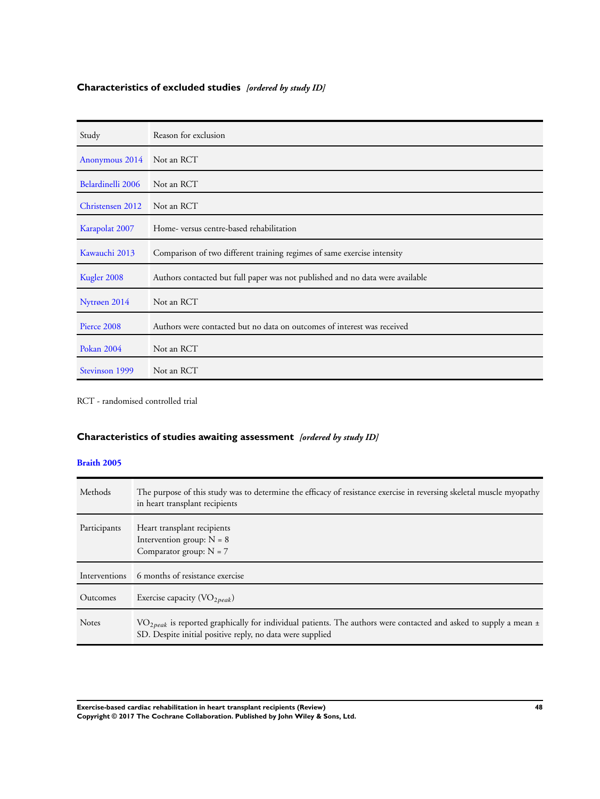# <span id="page-49-0"></span>**Characteristics of excluded studies** *[ordered by study ID]*

| Study             | Reason for exclusion                                                          |
|-------------------|-------------------------------------------------------------------------------|
| Anonymous 2014    | Not an RCT                                                                    |
| Belardinelli 2006 | Not an RCT                                                                    |
| Christensen 2012  | Not an RCT                                                                    |
| Karapolat 2007    | Home- versus centre-based rehabilitation                                      |
| Kawauchi 2013     | Comparison of two different training regimes of same exercise intensity       |
| Kugler 2008       | Authors contacted but full paper was not published and no data were available |
| Nytrøen 2014      | Not an RCT                                                                    |
| Pierce 2008       | Authors were contacted but no data on outcomes of interest was received       |
| <b>Pokan 2004</b> | Not an RCT                                                                    |
| Stevinson 1999    | Not an RCT                                                                    |

RCT - randomised controlled trial

# **Characteristics of studies awaiting assessment** *[ordered by study ID]*

### **[Braith 2005](#page-25-0)**

| Methods       | The purpose of this study was to determine the efficacy of resistance exercise in reversing skeletal muscle myopathy<br>in heart transplant recipients                              |
|---------------|-------------------------------------------------------------------------------------------------------------------------------------------------------------------------------------|
| Participants  | Heart transplant recipients<br>Intervention group: $N = 8$<br>Comparator group: $N = 7$                                                                                             |
| Interventions | 6 months of resistance exercise                                                                                                                                                     |
| Outcomes      | Exercise capacity $(\rm VO_{2\,peak})$                                                                                                                                              |
| <b>Notes</b>  | $VO2peak$ is reported graphically for individual patients. The authors were contacted and asked to supply a mean $\pm$<br>SD. Despite initial positive reply, no data were supplied |

**Exercise-based cardiac rehabilitation in heart transplant recipients (Review) 48 Copyright © 2017 The Cochrane Collaboration. Published by John Wiley & Sons, Ltd.**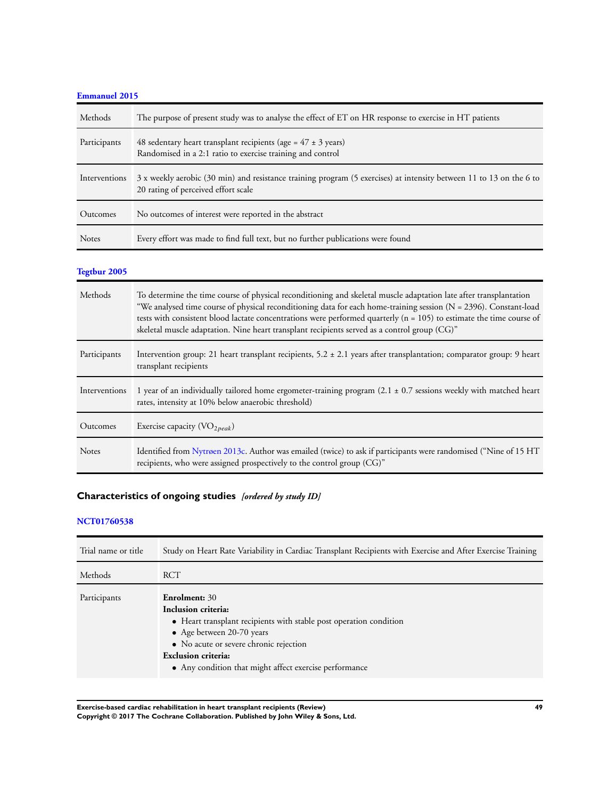<span id="page-50-0"></span>

| <b>Emmanuel 2015</b> |                                                                                                                                                            |
|----------------------|------------------------------------------------------------------------------------------------------------------------------------------------------------|
| Methods              | The purpose of present study was to analyse the effect of ET on HR response to exercise in HT patients                                                     |
| Participants         | 48 sedentary heart transplant recipients (age = $47 \pm 3$ years)<br>Randomised in a 2:1 ratio to exercise training and control                            |
| Interventions        | 3 x weekly aerobic (30 min) and resistance training program (5 exercises) at intensity between 11 to 13 on the 6 to<br>20 rating of perceived effort scale |
| Outcomes             | No outcomes of interest were reported in the abstract                                                                                                      |
| <b>Notes</b>         | Every effort was made to find full text, but no further publications were found                                                                            |

# **[Tegtbur 2005](#page-25-0)**

| Methods       | To determine the time course of physical reconditioning and skeletal muscle adaptation late after transplantation<br>"We analysed time course of physical reconditioning data for each home-training session ( $N = 2396$ ). Constant-load<br>tests with consistent blood lactate concentrations were performed quarterly $(n = 105)$ to estimate the time course of<br>skeletal muscle adaptation. Nine heart transplant recipients served as a control group (CG)" |
|---------------|----------------------------------------------------------------------------------------------------------------------------------------------------------------------------------------------------------------------------------------------------------------------------------------------------------------------------------------------------------------------------------------------------------------------------------------------------------------------|
| Participants  | Intervention group: 21 heart transplant recipients, $5.2 \pm 2.1$ years after transplantation; comparator group: 9 heart<br>transplant recipients                                                                                                                                                                                                                                                                                                                    |
| Interventions | 1 year of an individually tailored home ergometer-training program $(2.1 \pm 0.7)$ sessions weekly with matched heart<br>rates, intensity at 10% below anaerobic threshold)                                                                                                                                                                                                                                                                                          |
| Outcomes      | Exercise capacity (VO <sub>2peak</sub> )                                                                                                                                                                                                                                                                                                                                                                                                                             |
| <b>Notes</b>  | Identified from Nytrøen 2013c. Author was emailed (twice) to ask if participants were randomised ("Nine of 15 HT<br>recipients, who were assigned prospectively to the control group (CG)"                                                                                                                                                                                                                                                                           |

# **Characteristics of ongoing studies** *[ordered by study ID]*

# **[NCT01760538](#page-25-0)**

| Trial name or title | Study on Heart Rate Variability in Cardiac Transplant Recipients with Exercise and After Exercise Training                                                                                                                                                                       |
|---------------------|----------------------------------------------------------------------------------------------------------------------------------------------------------------------------------------------------------------------------------------------------------------------------------|
| Methods             | <b>RCT</b>                                                                                                                                                                                                                                                                       |
| Participants        | <b>Enrolment: 30</b><br>Inclusion criteria:<br>• Heart transplant recipients with stable post operation condition<br>• Age between 20-70 years<br>• No acute or severe chronic rejection<br><b>Exclusion criteria:</b><br>• Any condition that might affect exercise performance |

**Exercise-based cardiac rehabilitation in heart transplant recipients (Review) 49 Copyright © 2017 The Cochrane Collaboration. Published by John Wiley & Sons, Ltd.**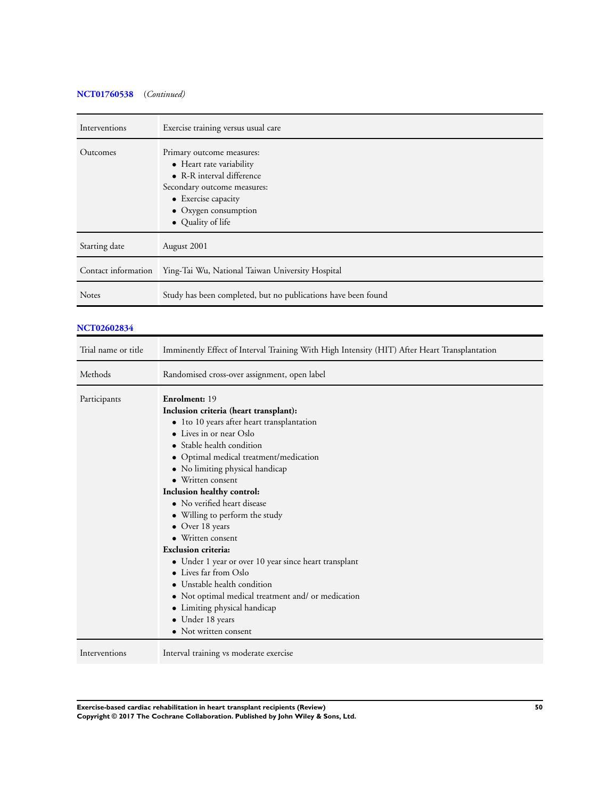# **[NCT01760538](#page-25-0)** (*Continued)*

| Interventions       | Exercise training versus usual care                                                                                                                                                   |
|---------------------|---------------------------------------------------------------------------------------------------------------------------------------------------------------------------------------|
| Outcomes            | Primary outcome measures:<br>• Heart rate variability<br>• R-R interval difference<br>Secondary outcome measures:<br>• Exercise capacity<br>• Oxygen consumption<br>• Quality of life |
| Starting date       | August 2001                                                                                                                                                                           |
| Contact information | Ying-Tai Wu, National Taiwan University Hospital                                                                                                                                      |
| Notes               | Study has been completed, but no publications have been found                                                                                                                         |

# **[NCT02602834](#page-25-0)**

| Trial name or title | Imminently Effect of Interval Training With High Intensity (HIT) After Heart Transplantation                                                                                                                                                                                                                                                                                                                                                                                                                                                                                                                                                                                                                            |
|---------------------|-------------------------------------------------------------------------------------------------------------------------------------------------------------------------------------------------------------------------------------------------------------------------------------------------------------------------------------------------------------------------------------------------------------------------------------------------------------------------------------------------------------------------------------------------------------------------------------------------------------------------------------------------------------------------------------------------------------------------|
| Methods             | Randomised cross-over assignment, open label                                                                                                                                                                                                                                                                                                                                                                                                                                                                                                                                                                                                                                                                            |
| Participants        | <b>Enrolment: 19</b><br>Inclusion criteria (heart transplant):<br>· 1to 10 years after heart transplantation<br>$\bullet$ Lives in or near Oslo<br>• Stable health condition<br>• Optimal medical treatment/medication<br>• No limiting physical handicap<br>• Written consent<br>Inclusion healthy control:<br>• No verified heart disease<br>• Willing to perform the study<br>$\bullet$ Over 18 years<br>• Written consent<br><b>Exclusion criteria:</b><br>• Under 1 year or over 10 year since heart transplant<br>$\bullet$ Lives far from Oslo<br>• Unstable health condition<br>• Not optimal medical treatment and/ or medication<br>• Limiting physical handicap<br>• Under 18 years<br>• Not written consent |

Interventions Interval training vs moderate exercise

**Exercise-based cardiac rehabilitation in heart transplant recipients (Review) 50 Copyright © 2017 The Cochrane Collaboration. Published by John Wiley & Sons, Ltd.**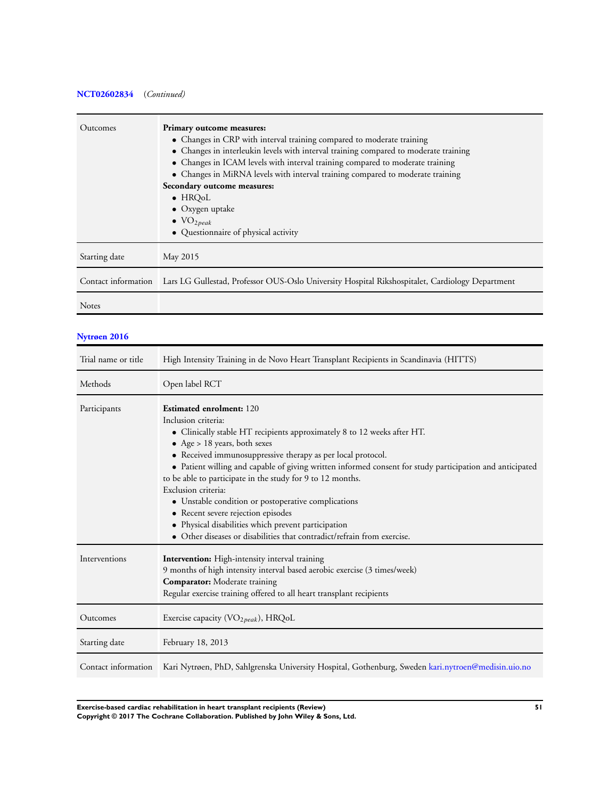# **[NCT02602834](#page-25-0)** (*Continued)*

| Outcomes      | Primary outcome measures:<br>• Changes in CRP with interval training compared to moderate training<br>• Changes in interleukin levels with interval training compared to moderate training<br>• Changes in ICAM levels with interval training compared to moderate training<br>• Changes in MiRNA levels with interval training compared to moderate training<br>Secondary outcome measures:<br>$\bullet$ HRQ <sub>o</sub> L<br>$\bullet$ Oxygen uptake<br>$\bullet$ VO <sub>2peak</sub><br>• Questionnaire of physical activity |
|---------------|----------------------------------------------------------------------------------------------------------------------------------------------------------------------------------------------------------------------------------------------------------------------------------------------------------------------------------------------------------------------------------------------------------------------------------------------------------------------------------------------------------------------------------|
| Starting date | May 2015                                                                                                                                                                                                                                                                                                                                                                                                                                                                                                                         |
|               | Contact information Lars LG Gullestad, Professor OUS-Oslo University Hospital Rikshospitalet, Cardiology Department                                                                                                                                                                                                                                                                                                                                                                                                              |
|               |                                                                                                                                                                                                                                                                                                                                                                                                                                                                                                                                  |

Notes

# **[Nytrøen 2016](#page-25-0)**

| Trial name or title | High Intensity Training in de Novo Heart Transplant Recipients in Scandinavia (HITTS)                                                                                                                                                                                                                                                                                                                                                                                                                                                                                                                                                                        |
|---------------------|--------------------------------------------------------------------------------------------------------------------------------------------------------------------------------------------------------------------------------------------------------------------------------------------------------------------------------------------------------------------------------------------------------------------------------------------------------------------------------------------------------------------------------------------------------------------------------------------------------------------------------------------------------------|
| Methods             | Open label RCT                                                                                                                                                                                                                                                                                                                                                                                                                                                                                                                                                                                                                                               |
| Participants        | <b>Estimated enrolment: 120</b><br>Inclusion criteria:<br>• Clinically stable HT recipients approximately 8 to 12 weeks after HT.<br>• Age > 18 years, both sexes<br>• Received immunosuppressive therapy as per local protocol.<br>• Patient willing and capable of giving written informed consent for study participation and anticipated<br>to be able to participate in the study for 9 to 12 months.<br>Exclusion criteria:<br>• Unstable condition or postoperative complications<br>• Recent severe rejection episodes<br>Physical disabilities which prevent participation<br>Other diseases or disabilities that contradict/refrain from exercise. |
| Interventions       | Intervention: High-intensity interval training<br>9 months of high intensity interval based aerobic exercise (3 times/week)<br><b>Comparator:</b> Moderate training<br>Regular exercise training offered to all heart transplant recipients                                                                                                                                                                                                                                                                                                                                                                                                                  |
| Outcomes            | Exercise capacity (VO <sub>2peak</sub> ), HRQoL                                                                                                                                                                                                                                                                                                                                                                                                                                                                                                                                                                                                              |
| Starting date       | February 18, 2013                                                                                                                                                                                                                                                                                                                                                                                                                                                                                                                                                                                                                                            |
| Contact information | Kari Nytrøen, PhD, Sahlgrenska University Hospital, Gothenburg, Sweden kari.nytroen@medisin.uio.no                                                                                                                                                                                                                                                                                                                                                                                                                                                                                                                                                           |

**Exercise-based cardiac rehabilitation in heart transplant recipients (Review) 51 Copyright © 2017 The Cochrane Collaboration. Published by John Wiley & Sons, Ltd.**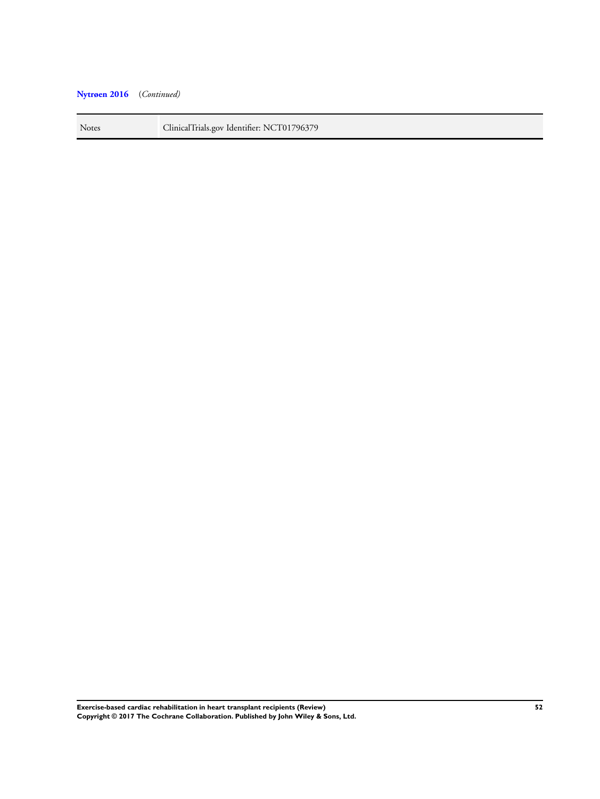# **[Nytrøen 2016](#page-25-0)** (*Continued)*

| <b>Notes</b> | ClinicalTrials.gov Identifier: NCT01796379 |
|--------------|--------------------------------------------|
|--------------|--------------------------------------------|

**Exercise-based cardiac rehabilitation in heart transplant recipients (Review) 52 Copyright © 2017 The Cochrane Collaboration. Published by John Wiley & Sons, Ltd.**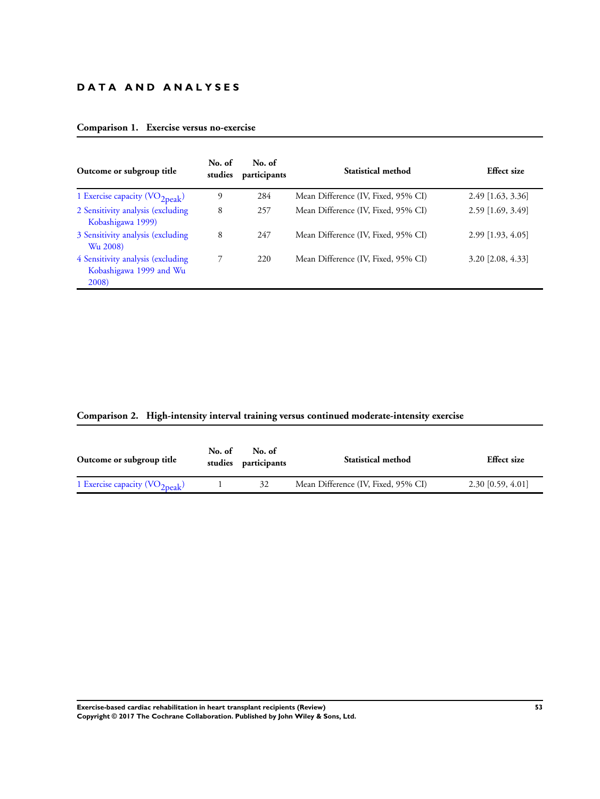# **D A T A A N D A N A L Y S E S**

| Outcome or subgroup title                                             | No. of<br>studies | No. of<br>participants | Statistical method                  | <b>Effect size</b>  |
|-----------------------------------------------------------------------|-------------------|------------------------|-------------------------------------|---------------------|
| 1 Exercise capacity (VO <sub>2peak</sub> )                            | 9                 | 284                    | Mean Difference (IV, Fixed, 95% CI) | $2.49$ [1.63, 3.36] |
| 2 Sensitivity analysis (excluding<br>Kobashigawa 1999)                | 8                 | 257                    | Mean Difference (IV, Fixed, 95% CI) | $2.59$ [1.69, 3.49] |
| 3 Sensitivity analysis (excluding<br>Wu 2008)                         | 8                 | 247                    | Mean Difference (IV, Fixed, 95% CI) | $2.99$ [1.93, 4.05] |
| 4 Sensitivity analysis (excluding<br>Kobashigawa 1999 and Wu<br>2008) | 7                 | 220                    | Mean Difference (IV, Fixed, 95% CI) | 3.20 [2.08, 4.33]   |

# **Comparison 1. Exercise versus no-exercise**

| Comparison 2. High-intensity interval training versus continued moderate-intensity exercise |  |  |  |
|---------------------------------------------------------------------------------------------|--|--|--|
|                                                                                             |  |  |  |

| Outcome or subgroup title              | No. of | No. of<br>studies participants | <b>Statistical method</b>           | <b>Effect</b> size  |
|----------------------------------------|--------|--------------------------------|-------------------------------------|---------------------|
| 1 Exercise capacity $(\rm VO_{2peak})$ |        | 32                             | Mean Difference (IV, Fixed, 95% CI) | $2.30$ [0.59, 4.01] |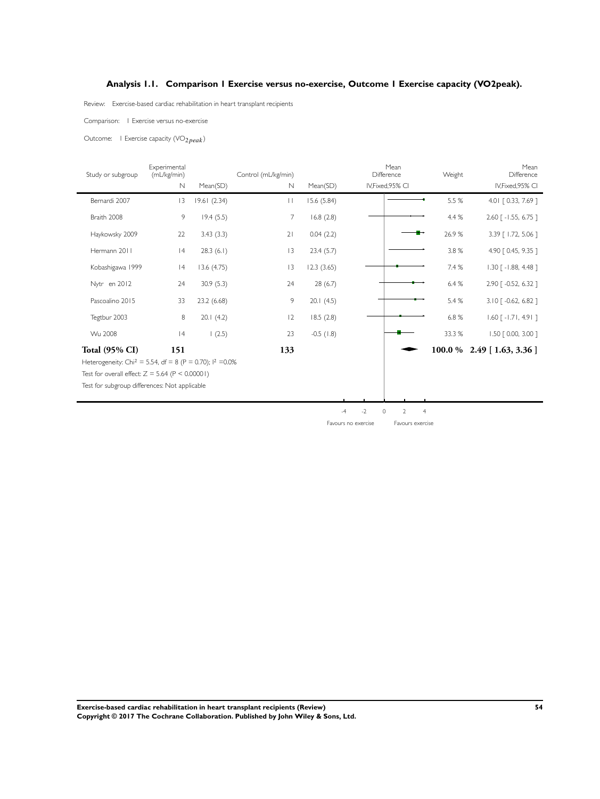# **Analysis 1.1. Comparison 1 Exercise versus no-exercise, Outcome 1 Exercise capacity (VO2peak).**

<span id="page-55-0"></span>Review: Exercise-based cardiac rehabilitation in heart transplant recipients

Comparison: 1 Exercise versus no-exercise

Outcome: 1 Exercise capacity (VO<sub>2peak</sub>)

| Study or subgroup                                                      | Experimental<br>(mL/kg/min) |             | Control (mL/kg/min) |              |                     | Mean<br>Difference               | Weight | Mean<br>Difference                 |
|------------------------------------------------------------------------|-----------------------------|-------------|---------------------|--------------|---------------------|----------------------------------|--------|------------------------------------|
|                                                                        | $\mathbb N$                 | Mean(SD)    | $\mathbb N$         | Mean(SD)     |                     | IV, Fixed, 95% CI                |        | IV, Fixed, 95% CI                  |
| Bernardi 2007                                                          | 3                           | 19.61(2.34) | $\ \; $             | 15.6 (5.84)  |                     |                                  | 5.5 %  | 4.01 [ 0.33, 7.69 ]                |
| Braith 2008                                                            | 9                           | 19.4(5.5)   | 7                   | 16.8(2.8)    |                     |                                  | 4.4 %  | $2.60$ [ -1.55, 6.75 ]             |
| Haykowsky 2009                                                         | 22                          | 3.43(3.3)   | 21                  | 0.04(2.2)    |                     |                                  | 26.9%  | 3.39 [ 1.72, 5.06 ]                |
| Hermann 2011                                                           | 4                           | 28.3(6.1)   | 3                   | 23.4(5.7)    |                     |                                  | 3.8 %  | 4.90 [ 0.45, 9.35 ]                |
| Kobashigawa 1999                                                       | 4                           | 13.6(4.75)  | 3                   | 12.3(3.65)   |                     |                                  | 7.4 %  | $1.30$ $\lceil -1.88, 4.48 \rceil$ |
| Nytr en 2012                                                           | 24                          | 30.9(5.3)   | 24                  | 28(6.7)      |                     |                                  | 6.4 %  | 2.90 [-0.52, 6.32]                 |
| Pascoalino 2015                                                        | 33                          | 23.2 (6.68) | 9                   | 20.1(4.5)    |                     |                                  | 5.4 %  | 3.10 [ -0.62, 6.82 ]               |
| Tegtbur 2003                                                           | 8                           | 20.1(4.2)   | 2                   | 18.5(2.8)    |                     |                                  | 6.8%   | $1.60$ [ $-1.71$ , 4.91]           |
| Wu 2008                                                                | 4                           | (2.5)       | 23                  | $-0.5$ (1.8) |                     |                                  | 33.3 % | $1.50$ $[0.00, 3.00]$              |
| <b>Total (95% CI)</b>                                                  | 151                         |             | 133                 |              |                     |                                  |        | $100.0 \%$ 2.49 [1.63, 3.36]       |
| Heterogeneity: Chi <sup>2</sup> = 5.54, df = 8 (P = 0.70); $1^2$ =0.0% |                             |             |                     |              |                     |                                  |        |                                    |
| Test for overall effect: $Z = 5.64$ (P < 0.00001)                      |                             |             |                     |              |                     |                                  |        |                                    |
| Test for subgroup differences: Not applicable                          |                             |             |                     |              |                     |                                  |        |                                    |
|                                                                        |                             |             |                     |              |                     |                                  |        |                                    |
|                                                                        |                             |             |                     |              | $-2$<br>-4          | $\overline{2}$<br>$\overline{4}$ |        |                                    |
|                                                                        |                             |             |                     |              | Favours no exercise | Favours exercise                 |        |                                    |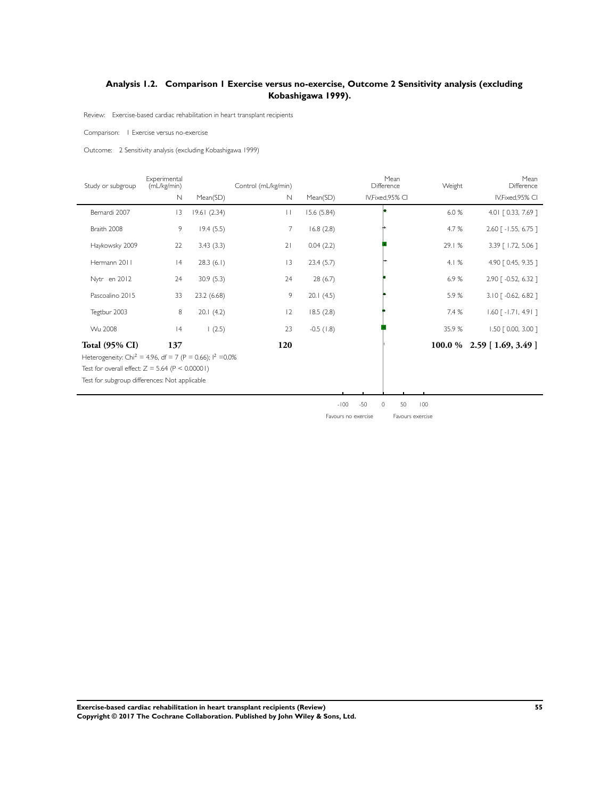# <span id="page-56-0"></span>**Analysis 1.2. Comparison 1 Exercise versus no-exercise, Outcome 2 Sensitivity analysis (excluding Kobashigawa 1999).**

Review: Exercise-based cardiac rehabilitation in heart transplant recipients

Comparison: 1 Exercise versus no-exercise

Outcome: 2 Sensitivity analysis (excluding Kobashigawa 1999)

| Study or subgroup                                                                                                                                                                                      | Experimental<br>(mL/kg/min) |             | Control (mL/kg/min) |              | Mean<br>Difference         | Weight | Mean<br>Difference           |
|--------------------------------------------------------------------------------------------------------------------------------------------------------------------------------------------------------|-----------------------------|-------------|---------------------|--------------|----------------------------|--------|------------------------------|
|                                                                                                                                                                                                        | $\mathbb N$                 | Mean(SD)    | $\mathbb N$         | Mean(SD)     | IV, Fixed, 95% CI          |        | IV, Fixed, 95% CI            |
| Bernardi 2007                                                                                                                                                                                          | 3                           | 19.61(2.34) | $\mathbf{H}$        | 15.6(5.84)   |                            | 6.0%   | 4.01 [ 0.33, 7.69 ]          |
| Braith 2008                                                                                                                                                                                            | 9                           | 19.4(5.5)   | $\overline{7}$      | 16.8(2.8)    |                            | 4.7 %  | $2.60$ [ -1.55, 6.75 ]       |
| Haykowsky 2009                                                                                                                                                                                         | 22                          | 3.43(3.3)   | 21                  | 0.04(2.2)    |                            | 29.1%  | 3.39 [ 1.72, 5.06 ]          |
| Hermann 2011                                                                                                                                                                                           | 4                           | 28.3(6.1)   | 3                   | 23.4(5.7)    |                            | 4.1%   | 4.90 [ 0.45, 9.35 ]          |
| Nytr en 2012                                                                                                                                                                                           | 24                          | 30.9(5.3)   | 24                  | 28(6.7)      |                            | 6.9%   | 2.90 [ -0.52, 6.32 ]         |
| Pascoalino 2015                                                                                                                                                                                        | 33                          | 23.2(6.68)  | 9                   | 20.1(4.5)    |                            | 5.9%   | $3.10$ $[-0.62, 6.82]$       |
| Tegtbur 2003                                                                                                                                                                                           | 8                           | 20.1(4.2)   | $ 2\rangle$         | 18.5(2.8)    |                            | 7.4 %  | $1.60$ [ -1.71, 4.91 ]       |
| Wu 2008                                                                                                                                                                                                | 4                           | (2.5)       | 23                  | $-0.5$ (1.8) |                            | 35.9%  | 1.50 [ 0.00, 3.00 ]          |
| <b>Total (95% CI)</b><br>Heterogeneity: Chi <sup>2</sup> = 4.96, df = 7 (P = 0.66); $1^2$ = 0.0%<br>Test for overall effect: $Z = 5.64$ (P < 0.00001)<br>Test for subgroup differences: Not applicable | 137                         |             | 120                 |              |                            |        | $100.0 \%$ 2.59 [1.69, 3.49] |
|                                                                                                                                                                                                        |                             |             |                     |              | $-100$<br>$-50$<br>50<br>∩ | 100    |                              |

Favours no exercise Favours exercise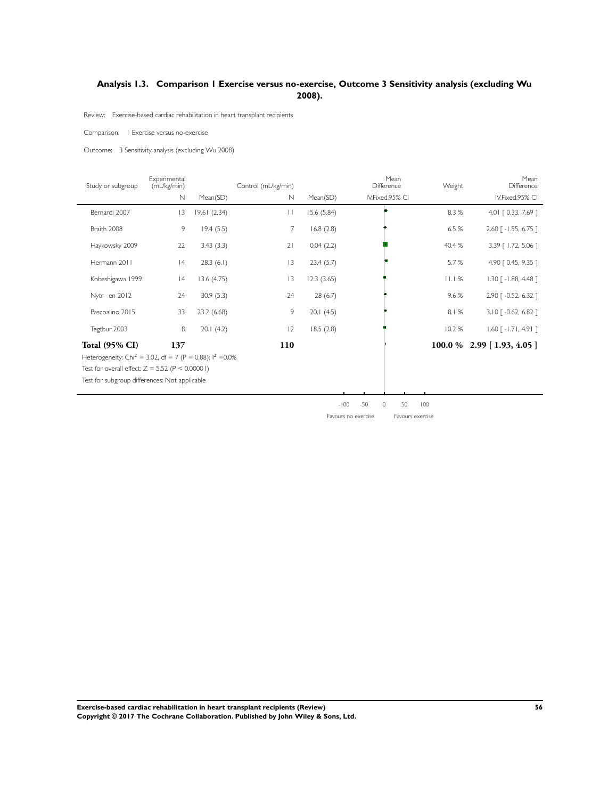# <span id="page-57-0"></span>**Analysis 1.3. Comparison 1 Exercise versus no-exercise, Outcome 3 Sensitivity analysis (excluding Wu 2008).**

Review: Exercise-based cardiac rehabilitation in heart transplant recipients

Comparison: 1 Exercise versus no-exercise

Outcome: 3 Sensitivity analysis (excluding Wu 2008)

| Study or subgroup                                                       | Experimental<br>(mL/kg/min) |             | Control (mL/kg/min) |             | Mean<br>Difference | Weight | Mean<br>Difference                 |
|-------------------------------------------------------------------------|-----------------------------|-------------|---------------------|-------------|--------------------|--------|------------------------------------|
|                                                                         | $\mathbb N$                 | Mean(SD)    | $\mathsf{N}$        | Mean(SD)    | IV, Fixed, 95% CI  |        | IV, Fixed, 95% CI                  |
| Bernardi 2007                                                           | 3                           | 19.61(2.34) | $\mathbf{H}$        | 15.6 (5.84) |                    | 8.3 %  | 4.01 [ 0.33, 7.69 ]                |
| Braith 2008                                                             | 9                           | 19.4(5.5)   | $\overline{7}$      | 16.8(2.8)   |                    | 6.5 %  | $2.60$ [ $-1.55$ , 6.75 ]          |
| Haykowsky 2009                                                          | 22                          | 3.43(3.3)   | 21                  | 0.04(2.2)   |                    | 40.4 % | 3.39 [ 1.72, 5.06 ]                |
| Hermann 2011                                                            | 4                           | 28.3(6.1)   | 3                   | 23.4(5.7)   |                    | 5.7 %  | 4.90 [ 0.45, 9.35 ]                |
| Kobashigawa 1999                                                        | 4                           | 13.6 (4.75) | 3                   | 12.3(3.65)  |                    | 11.1%  | $1.30$ $\lceil -1.88, 4.48 \rceil$ |
| Nytr en 2012                                                            | 24                          | 30.9(5.3)   | 24                  | 28(6.7)     |                    | 9.6%   | 2.90 [ -0.52, 6.32 ]               |
| Pascoalino 2015                                                         | 33                          | 23.2(6.68)  | 9                   | 20.1(4.5)   |                    | 8.1 %  | $3.10$ [ -0.62, 6.82 ]             |
| Tegtbur 2003                                                            | 8                           | 20.1(4.2)   | 2                   | 18.5(2.8)   |                    | 10.2%  | $1.60$ [ $-1.71$ , 4.91]           |
| <b>Total (95% CI)</b>                                                   | 137                         |             | 110                 |             |                    |        | $100.0 \%$ 2.99 [1.93, 4.05]       |
| Heterogeneity: Chi <sup>2</sup> = 3.02, df = 7 (P = 0.88); $1^2$ = 0.0% |                             |             |                     |             |                    |        |                                    |
| Test for overall effect: $Z = 5.52$ (P < 0.00001)                       |                             |             |                     |             |                    |        |                                    |
| Test for subgroup differences: Not applicable                           |                             |             |                     |             |                    |        |                                    |
|                                                                         |                             |             |                     |             |                    |        |                                    |

 $-100$   $-50$  0 50 100

Favours no exercise Favours exercise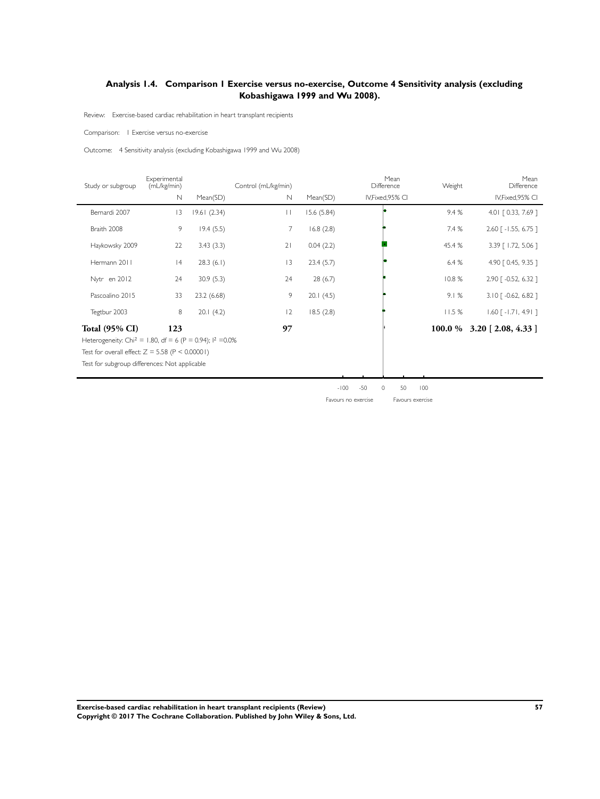# <span id="page-58-0"></span>**Analysis 1.4. Comparison 1 Exercise versus no-exercise, Outcome 4 Sensitivity analysis (excluding Kobashigawa 1999 and Wu 2008).**

Review: Exercise-based cardiac rehabilitation in heart transplant recipients

Comparison: 1 Exercise versus no-exercise

Outcome: 4 Sensitivity analysis (excluding Kobashigawa 1999 and Wu 2008)

| Study or subgroup                                                      | Experimental<br>(mL/kg/min) |             | Control (mL/kg/min) |            | Mean<br>Difference | Weight     | Mean<br>Difference       |
|------------------------------------------------------------------------|-----------------------------|-------------|---------------------|------------|--------------------|------------|--------------------------|
|                                                                        | $\mathbb N$                 | Mean(SD)    | $\mathbb N$         | Mean(SD)   | IV, Fixed, 95% CI  |            | IV, Fixed, 95% CI        |
| Bernardi 2007                                                          | 3                           | 19.61(2.34) | $\mathbf{H}$        | 15.6(5.84) |                    | 9.4%       | 4.01 [ 0.33, 7.69 ]      |
| Braith 2008                                                            | 9                           | 19.4(5.5)   | 7                   | 16.8(2.8)  |                    | 7.4 %      | $2.60$ [ -1.55, 6.75 ]   |
| Haykowsky 2009                                                         | 22                          | 3.43(3.3)   | 21                  | 0.04(2.2)  |                    | 45.4 %     | 3.39 [ 1.72, 5.06 ]      |
| Hermann 2011                                                           | 4                           | 28.3(6.1)   | 3                   | 23.4(5.7)  |                    | 6.4%       | 4.90 [ 0.45, 9.35 ]      |
| Nytr en 2012                                                           | 24                          | 30.9(5.3)   | 24                  | 28(6.7)    |                    | 10.8%      | 2.90 [ -0.52, 6.32 ]     |
| Pascoalino 2015                                                        | 33                          | 23.2(6.68)  | 9                   | 20.1(4.5)  |                    | 9.1%       | $3.10$ [ -0.62, 6.82 ]   |
| Tegtbur 2003                                                           | 8                           | 20.1(4.2)   | 12                  | 18.5(2.8)  |                    | 11.5%      | $1.60$ [ $-1.71$ , 4.91] |
| <b>Total (95% CI)</b>                                                  | 123                         |             | 97                  |            |                    | $100.0 \%$ | $3.20$ [ $2.08, 4.33$ ]  |
| Heterogeneity: Chi <sup>2</sup> = 1.80, df = 6 (P = 0.94); $1^2$ =0.0% |                             |             |                     |            |                    |            |                          |
| Test for overall effect: $Z = 5.58$ (P < 0.00001)                      |                             |             |                     |            |                    |            |                          |
| Test for subgroup differences: Not applicable                          |                             |             |                     |            |                    |            |                          |
|                                                                        |                             |             |                     |            |                    |            |                          |

 $-100$   $-50$   $\phi$  50 100

Favours no exercise Favours exercise

**Exercise-based cardiac rehabilitation in heart transplant recipients (Review) 57 Copyright © 2017 The Cochrane Collaboration. Published by John Wiley & Sons, Ltd.**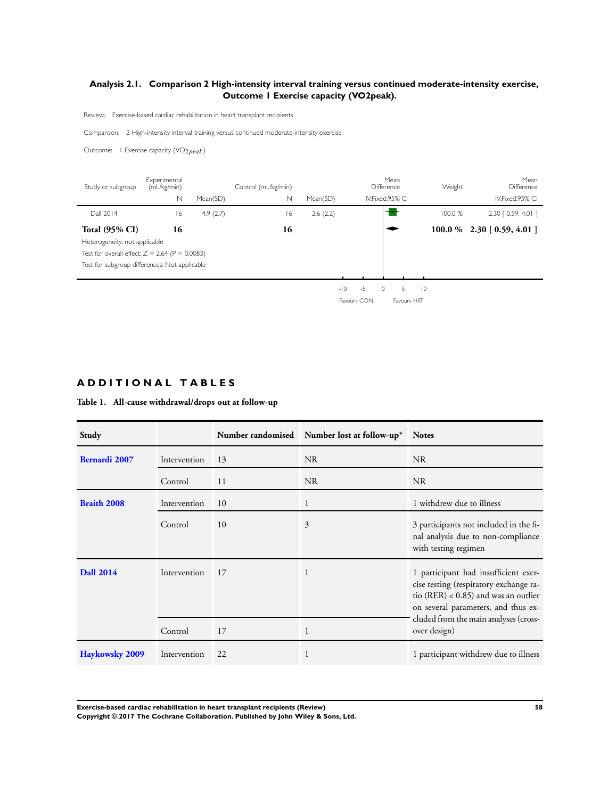# <span id="page-59-0"></span>**Analysis 2.1. Comparison 2 High-intensity interval training versus continued moderate-intensity exercise, Outcome 1 Exercise capacity (VO2peak).**

Review: Exercise-based cardiac rehabilitation in heart transplant recipients

Comparison: 2 High-intensity interval training versus continued moderate-intensity exercise

Outcome:  $1$  Exercise capacity ( $\sqrt{O_{2}}$ peak)



# **A D D I T I O N A L T A B L E S**

#### **Table 1. All-cause withdrawal/drops out at follow-up**

| Study                 |              |    | Number randomised Number lost at follow-up* | <b>Notes</b>                                                                                                                                                     |
|-----------------------|--------------|----|---------------------------------------------|------------------------------------------------------------------------------------------------------------------------------------------------------------------|
| <b>Bernardi 2007</b>  | Intervention | 13 | NR.                                         | <b>NR</b>                                                                                                                                                        |
|                       | Control      | 11 | <b>NR</b>                                   | <b>NR</b>                                                                                                                                                        |
| <b>Braith 2008</b>    | Intervention | 10 | 1                                           | 1 withdrew due to illness                                                                                                                                        |
|                       | Control      | 10 | 3                                           | 3 participants not included in the fi-<br>nal analysis due to non-compliance<br>with testing regimen                                                             |
| <b>Dall 2014</b>      | Intervention | 17 | 1                                           | 1 participant had insufficient exer-<br>cise testing (respiratory exchange ra-<br>tio (RER) < $0.85$ ) and was an outlier<br>on several parameters, and thus ex- |
|                       | Control      | 17 | 1                                           | cluded from the main analyses (cross-<br>over design)                                                                                                            |
| <b>Haykowsky 2009</b> | Intervention | 22 | 1                                           | 1 participant withdrew due to illness                                                                                                                            |
|                       |              |    |                                             |                                                                                                                                                                  |

**Exercise-based cardiac rehabilitation in heart transplant recipients (Review) 58 Copyright © 2017 The Cochrane Collaboration. Published by John Wiley & Sons, Ltd.**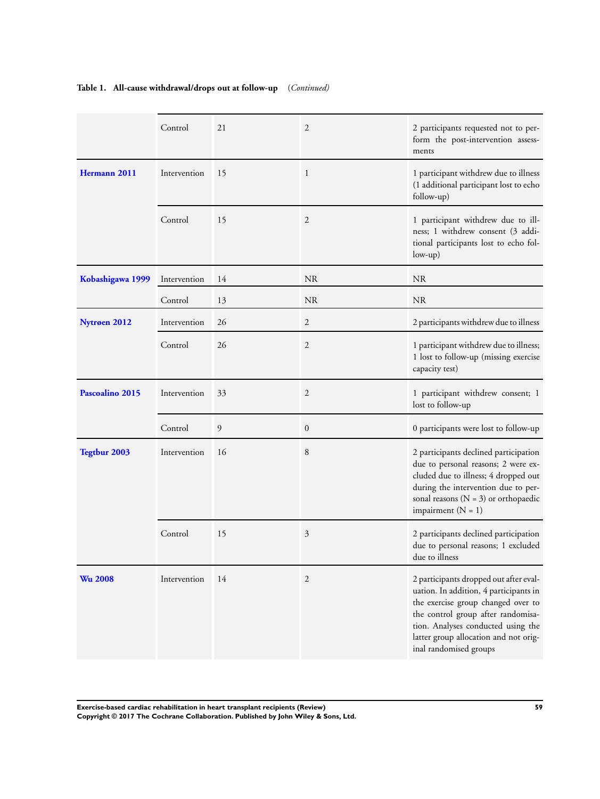# **Table 1. All-cause withdrawal/drops out at follow-up** (*Continued)*

|                     | Control      | 21 | 2                | 2 participants requested not to per-<br>form the post-intervention assess-<br>ments                                                                                                                                                                                   |
|---------------------|--------------|----|------------------|-----------------------------------------------------------------------------------------------------------------------------------------------------------------------------------------------------------------------------------------------------------------------|
| Hermann 2011        | Intervention | 15 | $\mathbf{1}$     | 1 participant withdrew due to illness<br>(1 additional participant lost to echo<br>follow-up)                                                                                                                                                                         |
|                     | Control      | 15 | $\overline{2}$   | 1 participant withdrew due to ill-<br>ness; 1 withdrew consent (3 addi-<br>tional participants lost to echo fol-<br>$low-up)$                                                                                                                                         |
| Kobashigawa 1999    | Intervention | 14 | <b>NR</b>        | <b>NR</b>                                                                                                                                                                                                                                                             |
|                     | Control      | 13 | NR               | <b>NR</b>                                                                                                                                                                                                                                                             |
| Nytrøen 2012        | Intervention | 26 | 2                | 2 participants withdrew due to illness                                                                                                                                                                                                                                |
|                     | Control      | 26 | 2                | 1 participant withdrew due to illness;<br>1 lost to follow-up (missing exercise<br>capacity test)                                                                                                                                                                     |
| Pascoalino 2015     | Intervention | 33 | 2                | 1 participant withdrew consent; 1<br>lost to follow-up                                                                                                                                                                                                                |
|                     | Control      | 9  | $\boldsymbol{0}$ | 0 participants were lost to follow-up                                                                                                                                                                                                                                 |
| <b>Tegtbur 2003</b> | Intervention | 16 | 8                | 2 participants declined participation<br>due to personal reasons; 2 were ex-<br>cluded due to illness; 4 dropped out<br>during the intervention due to per-<br>sonal reasons ( $N = 3$ ) or orthopaedic<br>impairment $(N = 1)$                                       |
|                     | Control      | 15 | 3                | 2 participants declined participation<br>due to personal reasons; 1 excluded<br>due to illness                                                                                                                                                                        |
| <b>Wu 2008</b>      | Intervention | 14 | 2                | 2 participants dropped out after eval-<br>uation. In addition, 4 participants in<br>the exercise group changed over to<br>the control group after randomisa-<br>tion. Analyses conducted using the<br>latter group allocation and not orig-<br>inal randomised groups |
|                     |              |    |                  |                                                                                                                                                                                                                                                                       |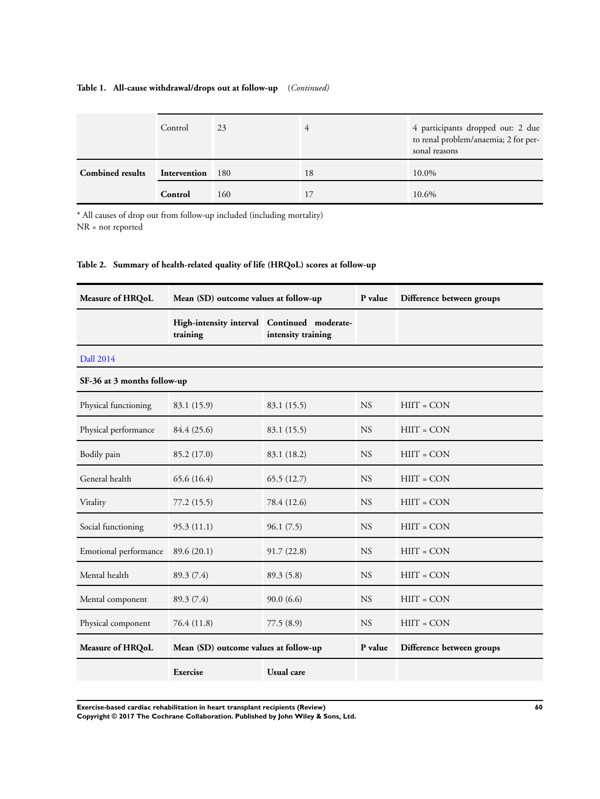# <span id="page-61-0"></span>**Table 1. All-cause withdrawal/drops out at follow-up** (*Continued)*

|                         | Control      | 23  | 4  | 4 participants dropped out: 2 due<br>to renal problem/anaemia; 2 for per-<br>sonal reasons |
|-------------------------|--------------|-----|----|--------------------------------------------------------------------------------------------|
| <b>Combined results</b> | Intervention | 180 | 18 | 10.0%                                                                                      |
|                         | Control      | 160 |    | 10.6%                                                                                      |

\* All causes of drop out from follow-up included (including mortality) NR = not reported

|  |  |  |  |  |  | Table 2. Summary of health-related quality of life (HRQoL) scores at follow-up |  |
|--|--|--|--|--|--|--------------------------------------------------------------------------------|--|
|--|--|--|--|--|--|--------------------------------------------------------------------------------|--|

| Measure of HRQoL            | Mean (SD) outcome values at follow-up<br>P value |                                                                   |           | Difference between groups |
|-----------------------------|--------------------------------------------------|-------------------------------------------------------------------|-----------|---------------------------|
|                             | training                                         | High-intensity interval Continued moderate-<br>intensity training |           |                           |
| Dall 2014                   |                                                  |                                                                   |           |                           |
| SF-36 at 3 months follow-up |                                                  |                                                                   |           |                           |
| Physical functioning        | 83.1 (15.9)                                      | 83.1 (15.5)                                                       | <b>NS</b> | $HIT = CON$               |
| Physical performance        | 84.4 (25.6)                                      | 83.1 (15.5)                                                       | NS        | $HIT = CON$               |
| Bodily pain                 | 85.2 (17.0)                                      | 83.1 (18.2)                                                       | <b>NS</b> | $HIT = CON$               |
| General health              | 65.6 (16.4)                                      | 65.5(12.7)                                                        | <b>NS</b> | $HIT = CON$               |
| Vitality                    | 77.2 (15.5)                                      | 78.4 (12.6)                                                       | <b>NS</b> | $HIT = CON$               |
| Social functioning          | 95.3(11.1)                                       | 96.1(7.5)                                                         | <b>NS</b> | $HIT = CON$               |
| Emotional performance       | 89.6 (20.1)                                      | 91.7(22.8)                                                        | <b>NS</b> | $HIT = CON$               |
| Mental health               | 89.3 (7.4)                                       | 89.3 (5.8)                                                        | <b>NS</b> | $HIT = CON$               |
| Mental component            | 89.3 (7.4)                                       | 90.0(6.6)                                                         | <b>NS</b> | $HIT = CON$               |
| Physical component          | 76.4 (11.8)                                      | 77.5(8.9)                                                         | <b>NS</b> | $HIT = CON$               |
| Measure of HRQoL            | Mean (SD) outcome values at follow-up            |                                                                   | P value   | Difference between groups |
|                             | Exercise                                         | Usual care                                                        |           |                           |

**Exercise-based cardiac rehabilitation in heart transplant recipients (Review) 60**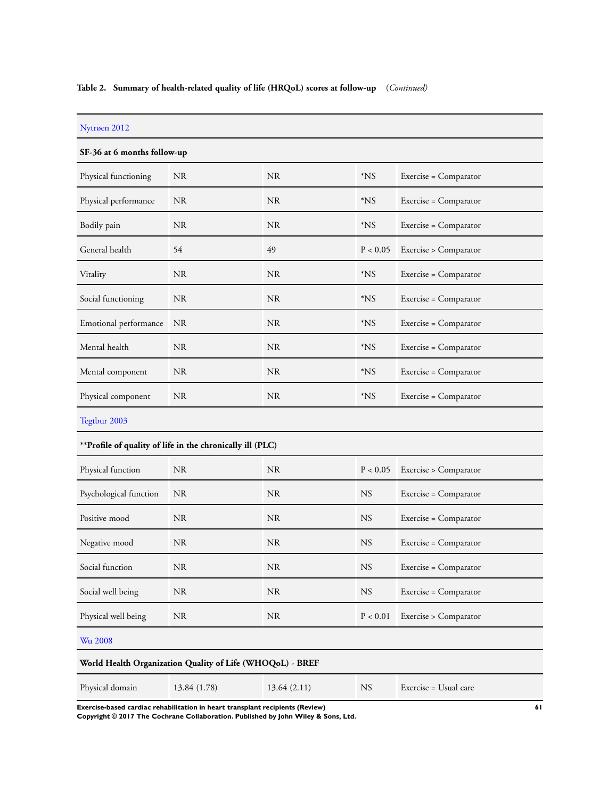# **Table 2. Summary of health-related quality of life (HRQoL) scores at follow-up** (*Continued)*

| Nytrøen 2012                |                                                            |             |                   |                       |  |  |  |  |
|-----------------------------|------------------------------------------------------------|-------------|-------------------|-----------------------|--|--|--|--|
| SF-36 at 6 months follow-up |                                                            |             |                   |                       |  |  |  |  |
| Physical functioning        | <b>NR</b>                                                  | <b>NR</b>   | $*$ NS            | Exercise = Comparator |  |  |  |  |
| Physical performance        | <b>NR</b>                                                  | <b>NR</b>   | $*$ NS            | Exercise = Comparator |  |  |  |  |
| Bodily pain                 | NR                                                         | <b>NR</b>   | $*$ NS            | Exercise = Comparator |  |  |  |  |
| General health              | 54                                                         | 49          | P < 0.05          | Exercise > Comparator |  |  |  |  |
| Vitality                    | <b>NR</b>                                                  | <b>NR</b>   | $*$ NS            | Exercise = Comparator |  |  |  |  |
| Social functioning          | <b>NR</b>                                                  | <b>NR</b>   | $*$ NS            | Exercise = Comparator |  |  |  |  |
| Emotional performance       | <b>NR</b>                                                  | <b>NR</b>   | $*$ NS            | Exercise = Comparator |  |  |  |  |
| Mental health               | <b>NR</b>                                                  | <b>NR</b>   | $*$ <sub>NS</sub> | Exercise = Comparator |  |  |  |  |
| Mental component            | <b>NR</b>                                                  | <b>NR</b>   | $*$ NS            | Exercise = Comparator |  |  |  |  |
| Physical component          | <b>NR</b>                                                  | <b>NR</b>   | $*$ NS            | Exercise = Comparator |  |  |  |  |
| Tegtbur 2003                |                                                            |             |                   |                       |  |  |  |  |
|                             | ** Profile of quality of life in the chronically ill (PLC) |             |                   |                       |  |  |  |  |
| Physical function           | <b>NR</b>                                                  | <b>NR</b>   | P < 0.05          | Exercise > Comparator |  |  |  |  |
| Psychological function      | $\rm NR$                                                   | <b>NR</b>   | <b>NS</b>         | Exercise = Comparator |  |  |  |  |
| Positive mood               | <b>NR</b>                                                  | <b>NR</b>   | <b>NS</b>         | Exercise = Comparator |  |  |  |  |
| Negative mood               | <b>NR</b>                                                  | <b>NR</b>   | <b>NS</b>         | Exercise = Comparator |  |  |  |  |
| Social function             | NR                                                         | $\rm NR$    | $_{\rm NS}$       | Exercise = Comparator |  |  |  |  |
| Social well being           | $\rm NR$                                                   | <b>NR</b>   | $_{\rm NS}$       | Exercise = Comparator |  |  |  |  |
| Physical well being         | $\rm NR$                                                   | <b>NR</b>   | P < 0.01          | Exercise > Comparator |  |  |  |  |
| Wu 2008                     |                                                            |             |                   |                       |  |  |  |  |
|                             | World Health Organization Quality of Life (WHOQoL) - BREF  |             |                   |                       |  |  |  |  |
| Physical domain             | 13.84 (1.78)                                               | 13.64(2.11) | <b>NS</b>         | Exercise = Usual care |  |  |  |  |

**Exercise-based cardiac rehabilitation in heart transplant recipients (Review) 61**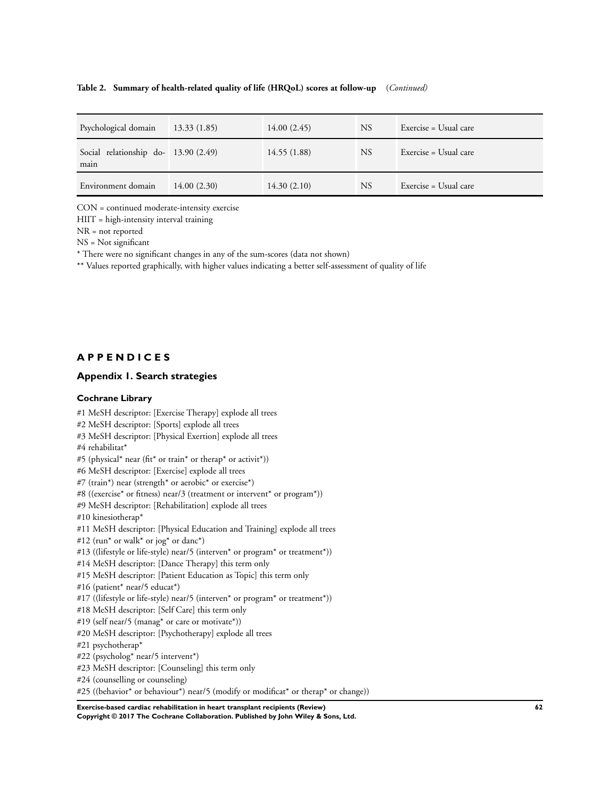<span id="page-63-0"></span>**Table 2. Summary of health-related quality of life (HRQoL) scores at follow-up** (*Continued)*

| Psychological domain                         | 13.33 (1.85) | 14.00(2.45) | <b>NS</b> | $Exercise = Usual care$ |
|----------------------------------------------|--------------|-------------|-----------|-------------------------|
| Social relationship do- 13.90 (2.49)<br>main |              | 14.55(1.88) | <b>NS</b> | Exercise = Usual care   |
| Environment domain                           | 14.00(2.30)  | 14.30(2.10) | <b>NS</b> | $Exercise = Usual care$ |

CON = continued moderate-intensity exercise

HIIT = high-intensity interval training

NR = not reported

NS = Not significant

\* There were no significant changes in any of the sum-scores (data not shown)

\*\* Values reported graphically, with higher values indicating a better self-assessment of quality of life

# **A P P E N D I C E S**

# **Appendix 1. Search strategies**

### **Cochrane Library**

#1 MeSH descriptor: [Exercise Therapy] explode all trees #2 MeSH descriptor: [Sports] explode all trees #3 MeSH descriptor: [Physical Exertion] explode all trees #4 rehabilitat\* #5 (physical\* near (fit\* or train\* or therap\* or activit\*)) #6 MeSH descriptor: [Exercise] explode all trees #7 (train\*) near (strength\* or aerobic\* or exercise\*) #8 ((exercise\* or fitness) near/3 (treatment or intervent\* or program\*)) #9 MeSH descriptor: [Rehabilitation] explode all trees #10 kinesiotherap\* #11 MeSH descriptor: [Physical Education and Training] explode all trees #12 (run<sup>\*</sup> or walk<sup>\*</sup> or jog<sup>\*</sup> or danc<sup>\*</sup>) #13 ((lifestyle or life-style) near/5 (interven\* or program\* or treatment\*)) #14 MeSH descriptor: [Dance Therapy] this term only #15 MeSH descriptor: [Patient Education as Topic] this term only #16 (patient\* near/5 educat\*) #17 ((lifestyle or life-style) near/5 (interven\* or program\* or treatment\*)) #18 MeSH descriptor: [Self Care] this term only #19 (self near/5 (manag\* or care or motivate\*)) #20 MeSH descriptor: [Psychotherapy] explode all trees #21 psychotherap\* #22 (psycholog\* near/5 intervent\*) #23 MeSH descriptor: [Counseling] this term only #24 (counselling or counseling) #25 ((behavior\* or behaviour\*) near/5 (modify or modificat\* or therap\* or change))

**Exercise-based cardiac rehabilitation in heart transplant recipients (Review) 62 Copyright © 2017 The Cochrane Collaboration. Published by John Wiley & Sons, Ltd.**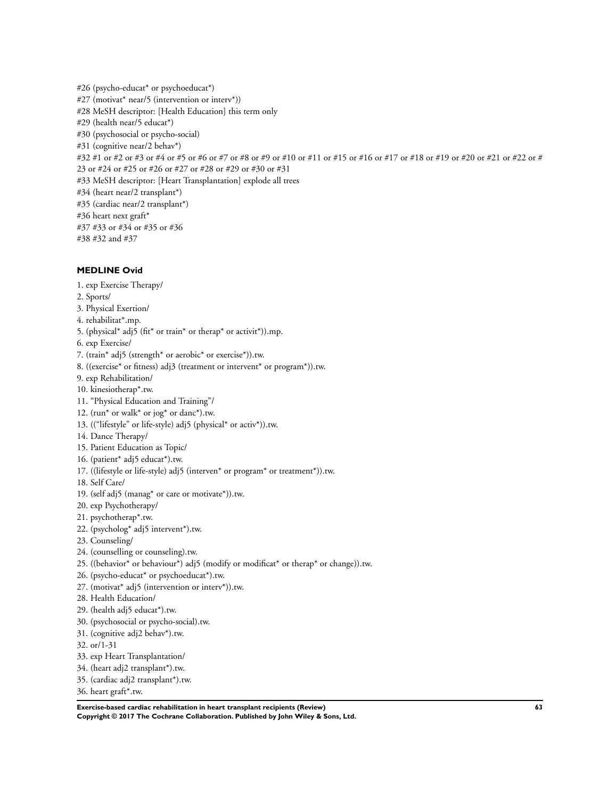#26 (psycho-educat\* or psychoeducat\*) #27 (motivat\* near/5 (intervention or interv\*)) #28 MeSH descriptor: [Health Education] this term only #29 (health near/5 educat\*) #30 (psychosocial or psycho-social) #31 (cognitive near/2 behav\*) #32 #1 or #2 or #3 or #4 or #5 or #6 or #7 or #8 or #9 or #10 or #11 or #15 or #16 or #17 or #18 or #19 or #20 or #21 or #22 or # 23 or #24 or #25 or #26 or #27 or #28 or #29 or #30 or #31 #33 MeSH descriptor: [Heart Transplantation] explode all trees #34 (heart near/2 transplant\*) #35 (cardiac near/2 transplant\*) #36 heart next graft\* #37 #33 or #34 or #35 or #36 #38 #32 and #37

# **MEDLINE Ovid**

- 1. exp Exercise Therapy/
- 2. Sports/
- 3. Physical Exertion/
- 4. rehabilitat\*.mp.
- 5. (physical\* adj5 (fit\* or train\* or therap\* or activit\*)).mp.
- 6. exp Exercise/
- 7. (train\* adj5 (strength\* or aerobic\* or exercise\*)).tw.
- 8. ((exercise\* or fitness) adj3 (treatment or intervent\* or program\*)).tw.
- 9. exp Rehabilitation/
- 10. kinesiotherap\*.tw.
- 11. "Physical Education and Training"/
- 12. (run<sup>\*</sup> or walk<sup>\*</sup> or jog<sup>\*</sup> or danc<sup>\*</sup>).tw.
- 13. (("lifestyle" or life-style) adj5 (physical\* or activ\*)).tw.
- 14. Dance Therapy/
- 15. Patient Education as Topic/
- 16. (patient\* adj5 educat\*).tw.
- 17. ((lifestyle or life-style) adj5 (interven\* or program\* or treatment\*)).tw.
- 18. Self Care/
- 19. (self adj5 (manag\* or care or motivate\*)).tw.
- 20. exp Psychotherapy/
- 21. psychotherap\*.tw.
- 22. (psycholog\* adj5 intervent\*).tw.
- 23. Counseling/
- 24. (counselling or counseling).tw.
- 25. ((behavior\* or behaviour\*) adj5 (modify or modificat\* or therap\* or change)).tw.
- 26. (psycho-educat\* or psychoeducat\*).tw.
- 27. (motivat\* adj5 (intervention or interv\*)).tw.
- 28. Health Education/
- 29. (health adj5 educat\*).tw.
- 30. (psychosocial or psycho-social).tw.
- 31. (cognitive adj2 behav\*).tw.
- 32. or/1-31
- 33. exp Heart Transplantation/
- 34. (heart adj2 transplant\*).tw.
- 35. (cardiac adj2 transplant\*).tw.
- 36. heart graft\*.tw.

**Exercise-based cardiac rehabilitation in heart transplant recipients (Review) 63 Copyright © 2017 The Cochrane Collaboration. Published by John Wiley & Sons, Ltd.**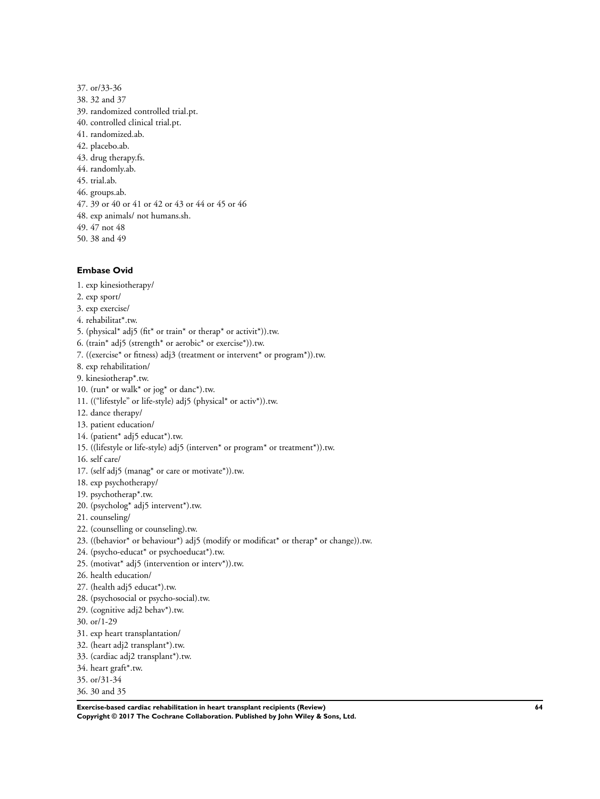37. or/33-36 38. 32 and 37 39. randomized controlled trial.pt. 40. controlled clinical trial.pt. 41. randomized.ab. 42. placebo.ab. 43. drug therapy.fs. 44. randomly.ab. 45. trial.ab. 46. groups.ab. 47. 39 or 40 or 41 or 42 or 43 or 44 or 45 or 46 48. exp animals/ not humans.sh. 49. 47 not 48 50. 38 and 49

# **Embase Ovid**

- 1. exp kinesiotherapy/
- 2. exp sport/
- 3. exp exercise/
- 4. rehabilitat\*.tw.
- 5. (physical\* adj5 (fit\* or train\* or therap\* or activit\*)).tw.
- 6. (train\* adj5 (strength\* or aerobic\* or exercise\*)).tw.
- 7. ((exercise\* or fitness) adj3 (treatment or intervent\* or program\*)).tw.
- 8. exp rehabilitation/
- 9. kinesiotherap\*.tw.
- 10. (run\* or walk\* or jog\* or danc\*).tw.
- 11. (("lifestyle" or life-style) adj5 (physical\* or activ\*)).tw.
- 12. dance therapy/
- 13. patient education/
- 14. (patient\* adj5 educat\*).tw.
- 15. ((lifestyle or life-style) adj5 (interven\* or program\* or treatment\*)).tw.
- 16. self care/
- 17. (self adj5 (manag\* or care or motivate\*)).tw.
- 18. exp psychotherapy/
- 19. psychotherap\*.tw.
- 20. (psycholog\* adj5 intervent\*).tw.
- 21. counseling/
- 22. (counselling or counseling).tw.
- 23. ((behavior\* or behaviour\*) adj5 (modify or modificat\* or therap\* or change)).tw.
- 24. (psycho-educat\* or psychoeducat\*).tw.
- 25. (motivat\* adj5 (intervention or interv\*)).tw.
- 26. health education/
- 27. (health adj5 educat\*).tw.
- 28. (psychosocial or psycho-social).tw.
- 29. (cognitive adj2 behav\*).tw.
- 30. or/1-29
- 31. exp heart transplantation/
- 32. (heart adj2 transplant\*).tw.
- 33. (cardiac adj2 transplant\*).tw.
- 34. heart graft\*.tw.
- 35. or/31-34
- 36. 30 and 35

**Exercise-based cardiac rehabilitation in heart transplant recipients (Review) 64 Copyright © 2017 The Cochrane Collaboration. Published by John Wiley & Sons, Ltd.**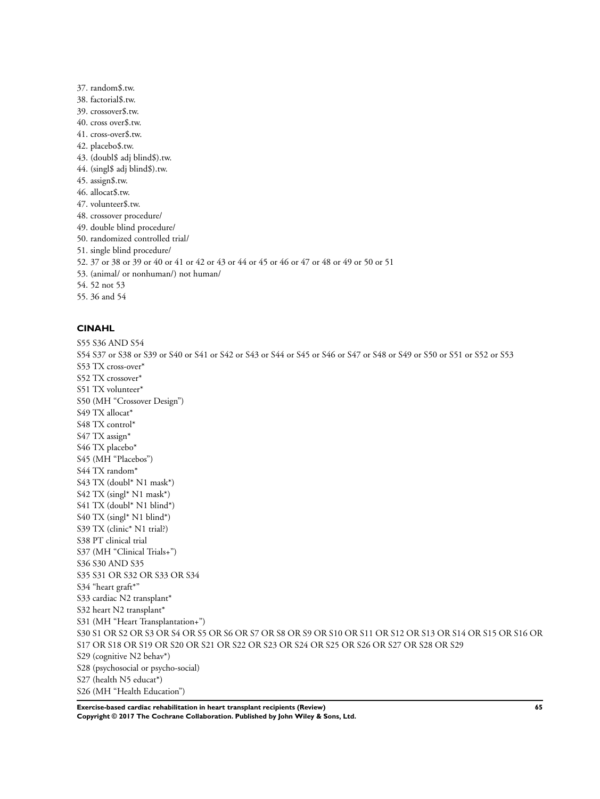- 37. random\$.tw. 38. factorial\$.tw. 39. crossover\$.tw. 40. cross over\$.tw. 41. cross-over\$.tw. 42. placebo\$.tw. 43. (doubl\$ adj blind\$).tw. 44. (singl\$ adj blind\$).tw. 45. assign\$.tw. 46. allocat\$.tw. 47. volunteer\$.tw. 48. crossover procedure/ 49. double blind procedure/ 50. randomized controlled trial/ 51. single blind procedure/ 52. 37 or 38 or 39 or 40 or 41 or 42 or 43 or 44 or 45 or 46 or 47 or 48 or 49 or 50 or 51 53. (animal/ or nonhuman/) not human/ 54. 52 not 53
- 55. 36 and 54

# **CINAHL**

S55 S36 AND S54 S54 S37 or S38 or S39 or S40 or S41 or S42 or S43 or S44 or S45 or S46 or S47 or S48 or S49 or S50 or S51 or S52 or S53 S53 TX cross-over\* S52 TX crossover\* S51 TX volunteer\* S50 (MH "Crossover Design") S49 TX allocat\* S48 TX control\* S47 TX assign\* S46 TX placebo\* S45 (MH "Placebos") S44 TX random\* S43 TX (doubl\* N1 mask\*) S42 TX (singl\* N1 mask\*) S41 TX (doubl\* N1 blind\*) S40 TX (singl\* N1 blind\*) S39 TX (clinic\* N1 trial?) S38 PT clinical trial S37 (MH "Clinical Trials+") S36 S30 AND S35 S35 S31 OR S32 OR S33 OR S34 S34 "heart graft\*" S33 cardiac N2 transplant\* S32 heart N2 transplant\* S31 (MH "Heart Transplantation+") S30 S1 OR S2 OR S3 OR S4 OR S5 OR S6 OR S7 OR S8 OR S9 OR S10 OR S11 OR S12 OR S13 OR S14 OR S15 OR S16 OR S17 OR S18 OR S19 OR S20 OR S21 OR S22 OR S23 OR S24 OR S25 OR S26 OR S27 OR S28 OR S29 S29 (cognitive N2 behav\*) S28 (psychosocial or psycho-social) S27 (health N5 educat\*) S26 (MH "Health Education")

**Exercise-based cardiac rehabilitation in heart transplant recipients (Review) 65 Copyright © 2017 The Cochrane Collaboration. Published by John Wiley & Sons, Ltd.**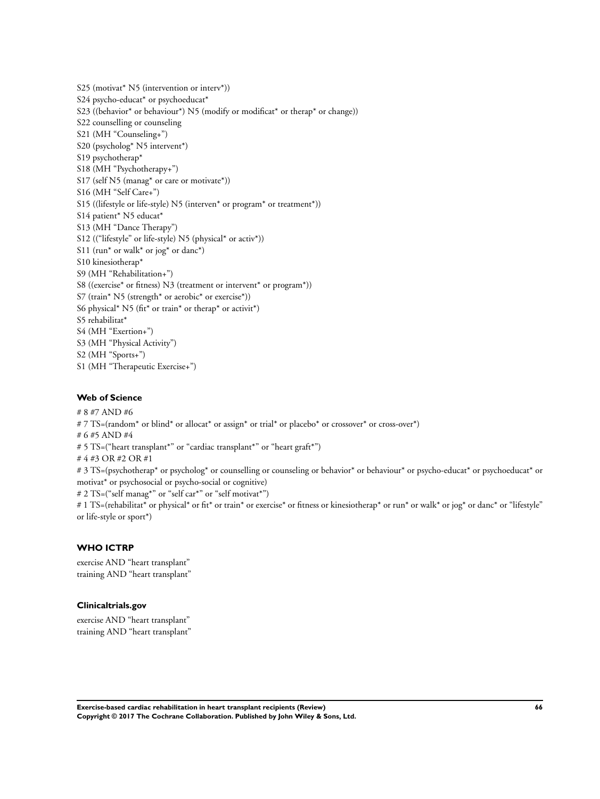S25 (motivat\* N5 (intervention or interv\*)) S24 psycho-educat\* or psychoeducat\* S23 ((behavior\* or behaviour\*) N5 (modify or modificat\* or therap\* or change)) S22 counselling or counseling S21 (MH "Counseling+") S20 (psycholog\* N5 intervent\*) S19 psychotherap\* S18 (MH "Psychotherapy+") S17 (self N5 (manag\* or care or motivate\*)) S16 (MH "Self Care+") S15 ((lifestyle or life-style) N5 (interven\* or program\* or treatment\*)) S14 patient\* N5 educat\* S13 (MH "Dance Therapy") S12 (("lifestyle" or life-style) N5 (physical\* or activ\*)) S11 (run\* or walk\* or jog\* or danc\*) S10 kinesiotherap\* S9 (MH "Rehabilitation+") S8 ((exercise\* or fitness) N3 (treatment or intervent\* or program\*)) S7 (train\* N5 (strength\* or aerobic\* or exercise\*)) S6 physical\* N5 (fit\* or train\* or therap\* or activit\*) S5 rehabilitat\* S4 (MH "Exertion+") S3 (MH "Physical Activity") S2 (MH "Sports+")

S1 (MH "Therapeutic Exercise+")

### **Web of Science**

# 8 #7 AND #6

# 7 TS=(random\* or blind\* or allocat\* or assign\* or trial\* or placebo\* or crossover\* or cross-over\*)

# 6 #5 AND #4

# 5 TS=("heart transplant\*" or "cardiac transplant\*" or "heart graft\*")

# 4 #3 OR #2 OR #1

# 3 TS=(psychotherap\* or psycholog\* or counselling or counseling or behavior\* or behaviour\* or psycho-educat\* or psychoeducat\* or motivat\* or psychosocial or psycho-social or cognitive)

# 2 TS=("self manag\*" or "self car\*" or "self motivat\*")

# 1 TS=(rehabilitat\* or physical\* or fit\* or train\* or exercise\* or fitness or kinesiotherap\* or run\* or walk\* or jog\* or danc\* or "lifestyle" or life-style or sport\*)

# **WHO ICTRP**

exercise AND "heart transplant" training AND "heart transplant"

### **Clinicaltrials.gov**

exercise AND "heart transplant" training AND "heart transplant"

**Exercise-based cardiac rehabilitation in heart transplant recipients (Review) 66 Copyright © 2017 The Cochrane Collaboration. Published by John Wiley & Sons, Ltd.**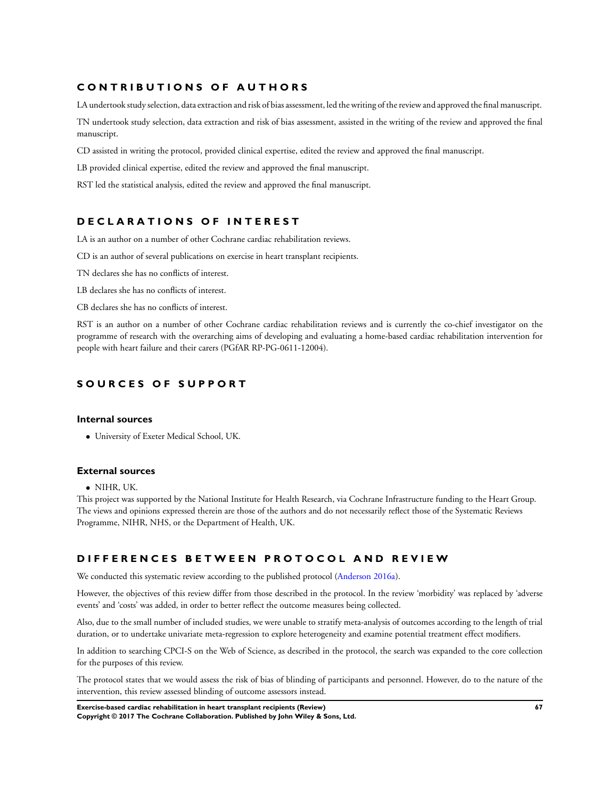# <span id="page-68-0"></span>**C O N T R I B U T I O N S O F A U T H O R S**

LA undertook study selection, data extraction and risk of bias assessment, led the writing of the review and approved the final manuscript.

TN undertook study selection, data extraction and risk of bias assessment, assisted in the writing of the review and approved the final manuscript.

CD assisted in writing the protocol, provided clinical expertise, edited the review and approved the final manuscript.

LB provided clinical expertise, edited the review and approved the final manuscript.

RST led the statistical analysis, edited the review and approved the final manuscript.

# **D E C L A R A T I O N S O F I N T E R E S T**

LA is an author on a number of other Cochrane cardiac rehabilitation reviews.

CD is an author of several publications on exercise in heart transplant recipients.

TN declares she has no conflicts of interest.

LB declares she has no conflicts of interest.

CB declares she has no conflicts of interest.

RST is an author on a number of other Cochrane cardiac rehabilitation reviews and is currently the co-chief investigator on the programme of research with the overarching aims of developing and evaluating a home-based cardiac rehabilitation intervention for people with heart failure and their carers (PGfAR RP-PG-0611-12004).

# **S O U R C E S O F S U P P O R T**

### **Internal sources**

• University of Exeter Medical School, UK.

#### **External sources**

• NIHR, UK.

This project was supported by the National Institute for Health Research, via Cochrane Infrastructure funding to the Heart Group. The views and opinions expressed therein are those of the authors and do not necessarily reflect those of the Systematic Reviews Programme, NIHR, NHS, or the Department of Health, UK.

# **D I F F E R E N C E S B E T W E E N P R O T O C O L A N D R E V I E W**

We conducted this systematic review according to the published protocol ([Anderson 2016a](#page-25-0)).

However, the objectives of this review differ from those described in the protocol. In the review 'morbidity' was replaced by 'adverse events' and 'costs' was added, in order to better reflect the outcome measures being collected.

Also, due to the small number of included studies, we were unable to stratify meta-analysis of outcomes according to the length of trial duration, or to undertake univariate meta-regression to explore heterogeneity and examine potential treatment effect modifiers.

In addition to searching CPCI-S on the Web of Science, as described in the protocol, the search was expanded to the core collection for the purposes of this review.

The protocol states that we would assess the risk of bias of blinding of participants and personnel. However, do to the nature of the intervention, this review assessed blinding of outcome assessors instead.

**Exercise-based cardiac rehabilitation in heart transplant recipients (Review) 67 Copyright © 2017 The Cochrane Collaboration. Published by John Wiley & Sons, Ltd.**